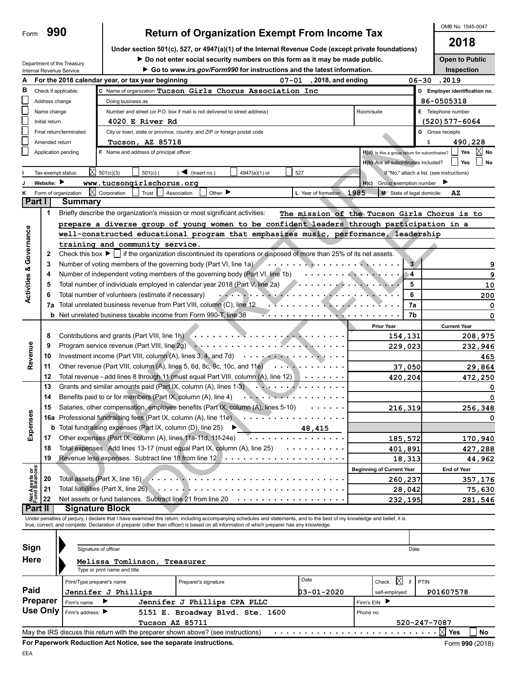**990**

Department of the Treasury

Form

|                                | Internal Revenue Service |                                                                    |                                                                                                                                                                            | Go to www.irs.gov/Form990 for instructions and the latest information. |                                                                                                                                                                                                                                   |                           |                                               |                            | Inspection                                   |
|--------------------------------|--------------------------|--------------------------------------------------------------------|----------------------------------------------------------------------------------------------------------------------------------------------------------------------------|------------------------------------------------------------------------|-----------------------------------------------------------------------------------------------------------------------------------------------------------------------------------------------------------------------------------|---------------------------|-----------------------------------------------|----------------------------|----------------------------------------------|
|                                |                          |                                                                    | For the 2018 calendar year, or tax year beginning                                                                                                                          |                                                                        | $07 - 01$                                                                                                                                                                                                                         | 2018, and ending          |                                               |                            | 06-30, 2019                                  |
| в                              | Check if applicable:     |                                                                    | C Name of organization Tucson Girls Chorus Association Inc                                                                                                                 |                                                                        |                                                                                                                                                                                                                                   |                           |                                               |                            | D Employer identification no.                |
|                                | Address change           |                                                                    | Doing business as                                                                                                                                                          |                                                                        |                                                                                                                                                                                                                                   |                           |                                               |                            | 86-0505318                                   |
|                                | Name change              |                                                                    | Number and street (or P.O. box if mail is not delivered to street address)                                                                                                 |                                                                        |                                                                                                                                                                                                                                   |                           | Room/suite                                    |                            | E Telephone number                           |
|                                | Initial return           |                                                                    |                                                                                                                                                                            |                                                                        |                                                                                                                                                                                                                                   |                           |                                               |                            |                                              |
|                                |                          |                                                                    | 4020 E River Rd                                                                                                                                                            |                                                                        |                                                                                                                                                                                                                                   |                           |                                               |                            | (520) 577–6064                               |
|                                |                          | Final return/terminated                                            | City or town, state or province, country, and ZIP or foreign postal code                                                                                                   |                                                                        |                                                                                                                                                                                                                                   |                           |                                               |                            | <b>G</b> Gross receipts                      |
|                                | Amended return           |                                                                    | Tucson, AZ 85718                                                                                                                                                           |                                                                        |                                                                                                                                                                                                                                   |                           |                                               |                            | 490,228<br>\$                                |
|                                | Application pending      |                                                                    | F Name and address of principal officer:                                                                                                                                   |                                                                        |                                                                                                                                                                                                                                   |                           | H(a) Is this a group return for subordinates? |                            | Yes<br>No                                    |
|                                |                          |                                                                    |                                                                                                                                                                            |                                                                        |                                                                                                                                                                                                                                   |                           | H(b) Are all subordinates included?           |                            | Yes<br><b>No</b>                             |
|                                | Tax-exempt status:       | X                                                                  | 501(c)(3)<br>$501(c)$ (                                                                                                                                                    | $\blacksquare$ (insert no.)                                            | 4947(a)(1) or                                                                                                                                                                                                                     | 527                       |                                               |                            | If "No," attach a list. (see instructions)   |
|                                | Website:                 |                                                                    | www.tucsongirlschorus.org                                                                                                                                                  |                                                                        |                                                                                                                                                                                                                                   |                           | H(c)                                          | Group exemption number     |                                              |
|                                | Form of organization:    | ΙXΙ                                                                | Corporation<br>Trust                                                                                                                                                       | Other $\blacktriangleright$<br>Association                             |                                                                                                                                                                                                                                   | L Year of formation: 1985 |                                               | M State of legal domicile: | AZ                                           |
|                                | Part I                   | Summary                                                            |                                                                                                                                                                            |                                                                        |                                                                                                                                                                                                                                   |                           |                                               |                            |                                              |
|                                | 1                        |                                                                    | Briefly describe the organization's mission or most significant activities:                                                                                                |                                                                        |                                                                                                                                                                                                                                   |                           |                                               |                            | The mission of the Tucson Girls Chorus is to |
|                                |                          |                                                                    | prepare a diverse group of young women to be confident leaders through participation in a                                                                                  |                                                                        |                                                                                                                                                                                                                                   |                           |                                               |                            |                                              |
|                                |                          |                                                                    | well-constructed educational program that emphasizes music, performance, leadership                                                                                        |                                                                        |                                                                                                                                                                                                                                   |                           |                                               |                            |                                              |
|                                |                          |                                                                    | training and community service.                                                                                                                                            |                                                                        |                                                                                                                                                                                                                                   |                           |                                               |                            |                                              |
| Governance                     | 2                        |                                                                    | Check this box $\blacktriangleright$   if the organization discontinued its operations or disposed of more than 25% of its net assets.                                     |                                                                        |                                                                                                                                                                                                                                   |                           |                                               |                            |                                              |
|                                | 3                        |                                                                    | Number of voting members of the governing body (Part VI, line 1a)                                                                                                          |                                                                        |                                                                                                                                                                                                                                   | . <b>. .</b>              |                                               | $\overline{3}$             |                                              |
|                                | 4                        |                                                                    | Number of independent voting members of the governing body (Part VI, line 1b)                                                                                              |                                                                        |                                                                                                                                                                                                                                   | .                         | <b>The Second Contract of Second</b>          | 4                          |                                              |
|                                | 5                        |                                                                    | Total number of individuals employed in calendar year 2018 (Part V, line 2a)                                                                                               |                                                                        |                                                                                                                                                                                                                                   | <b>.</b>                  |                                               | 5                          | 10                                           |
| <b>Activities &amp;</b>        | 6                        |                                                                    | Total number of volunteers (estimate if necessary)                                                                                                                         |                                                                        | $\mathbf{r}$ . The set of the set of the set of the set of the set of the set of the set of the set of the set of the set of the set of the set of the set of the set of the set of the set of the set of the set of the set of t |                           |                                               | 6                          | 200                                          |
|                                | 7a                       |                                                                    | Total unrelated business revenue from Part VIII, column (C), line 12                                                                                                       |                                                                        |                                                                                                                                                                                                                                   |                           |                                               | 7a                         | 0                                            |
|                                |                          |                                                                    | <b>b</b> Net unrelated business taxable income from Form 990-T, line 38                                                                                                    |                                                                        |                                                                                                                                                                                                                                   | <del>.</del>              | .                                             | 7b                         | 0                                            |
|                                |                          |                                                                    |                                                                                                                                                                            |                                                                        |                                                                                                                                                                                                                                   |                           | <b>Prior Year</b>                             |                            | <b>Current Year</b>                          |
|                                | 8                        |                                                                    | Contributions and grants (Part VIII, line 1h)                                                                                                                              |                                                                        |                                                                                                                                                                                                                                   |                           |                                               | 154,131                    | 208,975                                      |
|                                | 9                        |                                                                    |                                                                                                                                                                            |                                                                        |                                                                                                                                                                                                                                   |                           |                                               | 229,023                    | 232,946                                      |
| Revenue                        | 10                       |                                                                    | Investment income (Part VIII, column (A), lines 3, 4, and 7d) $\cdots$                                                                                                     |                                                                        |                                                                                                                                                                                                                                   |                           |                                               |                            | 465                                          |
|                                | 11                       |                                                                    | Other revenue (Part VIII, column (A), lines 5, 6d, 8c, 9c, 10c, and 11e) $\cdots$ $\cdots$ $\cdots$                                                                        |                                                                        |                                                                                                                                                                                                                                   |                           |                                               | 37,050                     | 29,864                                       |
|                                | 12                       |                                                                    | Total revenue - add lines 8 through 11 (must equal Part VIII, column (A), line 12) $\cdots \cdots$                                                                         |                                                                        |                                                                                                                                                                                                                                   |                           |                                               | 420,204                    | 472,250                                      |
|                                | 13                       |                                                                    | Grants and similar amounts paid (Part IX, column (A), lines 1-3)                                                                                                           |                                                                        |                                                                                                                                                                                                                                   | . <i>.</i>                |                                               |                            |                                              |
|                                | 14                       | Benefits paid to or for members (Part IX, column (A), line 4)<br>. |                                                                                                                                                                            |                                                                        |                                                                                                                                                                                                                                   |                           |                                               |                            |                                              |
|                                | 15                       |                                                                    | Salaries, other compensation, employee benefits (Part IX, column (A), lines 5-10)                                                                                          |                                                                        |                                                                                                                                                                                                                                   |                           |                                               | 216,319                    | 256,348                                      |
| Expenses                       |                          |                                                                    | 16a Professional fundraising fees (Part IX, column (A), line 11e)                                                                                                          |                                                                        |                                                                                                                                                                                                                                   |                           |                                               |                            |                                              |
|                                |                          |                                                                    | <b>b</b> Total fundraising expenses (Part IX, column (D), line 25)                                                                                                         |                                                                        |                                                                                                                                                                                                                                   | 48,415                    |                                               |                            |                                              |
|                                | 17                       |                                                                    | Other expenses (Part IX, column (A), lines 11a-11d, 11f-24e)                                                                                                               |                                                                        |                                                                                                                                                                                                                                   |                           |                                               | 185,572                    | 170,940                                      |
|                                | 18                       |                                                                    | Total expenses. Add lines 13-17 (must equal Part IX, column (A), line 25) $\cdots \cdots$                                                                                  |                                                                        |                                                                                                                                                                                                                                   |                           |                                               | 401,891                    | 427,288                                      |
|                                | 19                       |                                                                    |                                                                                                                                                                            |                                                                        |                                                                                                                                                                                                                                   |                           |                                               | 18,313                     | 44,962                                       |
|                                |                          |                                                                    |                                                                                                                                                                            |                                                                        |                                                                                                                                                                                                                                   |                           | <b>Beginning of Current Year</b>              |                            | <b>End of Year</b>                           |
|                                | 20                       |                                                                    | Total assets (Part X, line 16)                                                                                                                                             |                                                                        |                                                                                                                                                                                                                                   |                           |                                               | 260,237                    | 357,176                                      |
|                                | 21                       |                                                                    | Total liabilities (Part X, line 26)                                                                                                                                        |                                                                        |                                                                                                                                                                                                                                   |                           |                                               | 28,042                     | 75,630                                       |
| Net Assets or<br>Fund Balances | 22                       |                                                                    | Net assets or fund balances. Subtract line 21 from line 20                                                                                                                 |                                                                        |                                                                                                                                                                                                                                   |                           |                                               | 232,195                    | 281,546                                      |
|                                | Part II                  |                                                                    | <b>Signature Block</b>                                                                                                                                                     |                                                                        |                                                                                                                                                                                                                                   |                           |                                               |                            |                                              |
|                                |                          |                                                                    | Under penalties of perjury, I declare that I have examined this return, including accompanying schedules and statements, and to the best of my knowledge and belief, it is |                                                                        |                                                                                                                                                                                                                                   |                           |                                               |                            |                                              |
|                                |                          |                                                                    | true, correct, and complete. Declaration of preparer (other than officer) is based on all information of which preparer has any knowledge.                                 |                                                                        |                                                                                                                                                                                                                                   |                           |                                               |                            |                                              |
|                                |                          |                                                                    |                                                                                                                                                                            |                                                                        |                                                                                                                                                                                                                                   |                           |                                               |                            |                                              |
| Sign                           |                          |                                                                    | Signature of officer                                                                                                                                                       |                                                                        |                                                                                                                                                                                                                                   |                           |                                               | Date                       |                                              |
| Here                           |                          |                                                                    | Melissa Tomlinson, Treasurer                                                                                                                                               |                                                                        |                                                                                                                                                                                                                                   |                           |                                               |                            |                                              |
|                                |                          |                                                                    | Type or print name and title                                                                                                                                               |                                                                        |                                                                                                                                                                                                                                   |                           |                                               |                            |                                              |
|                                |                          | Print/Type preparer's name                                         |                                                                                                                                                                            | Preparer's signature                                                   |                                                                                                                                                                                                                                   | Date                      | Check                                         | ⊠<br>if                    | PTIN                                         |
| Paid                           |                          |                                                                    | Jennifer J Phillips                                                                                                                                                        |                                                                        |                                                                                                                                                                                                                                   | 03-01-2020                | self-employed                                 |                            | P01607578                                    |
|                                | <b>Preparer</b>          | Firm's name                                                        |                                                                                                                                                                            | Jennifer J Phillips CPA PLLC                                           |                                                                                                                                                                                                                                   |                           | Firm's EIN                                    |                            |                                              |
|                                | <b>Use Only</b>          | Firm's address                                                     |                                                                                                                                                                            | 5151 E. Broadway Blvd. Ste. 1600                                       |                                                                                                                                                                                                                                   |                           | Phone no.                                     |                            |                                              |
|                                |                          |                                                                    | Tucson AZ 85711                                                                                                                                                            |                                                                        |                                                                                                                                                                                                                                   |                           |                                               |                            | 520-247-7087                                 |
|                                |                          |                                                                    | May the IRS discuss this return with the preparer shown above? (see instructions)                                                                                          |                                                                        |                                                                                                                                                                                                                                   |                           |                                               |                            | No                                           |

# **Return of Organization Exempt From Income Tax**<br>2018

**Under section 501(c), 527, or 4947(a)(1) of the Internal Revenue Code (except private foundations)**

**Do not enter social security numbers on this form as it may be made public. Open to Public** 

OMB No. 1545-0047

EEA

**For Paperwork Reduction Act Notice, see the separate instructions.**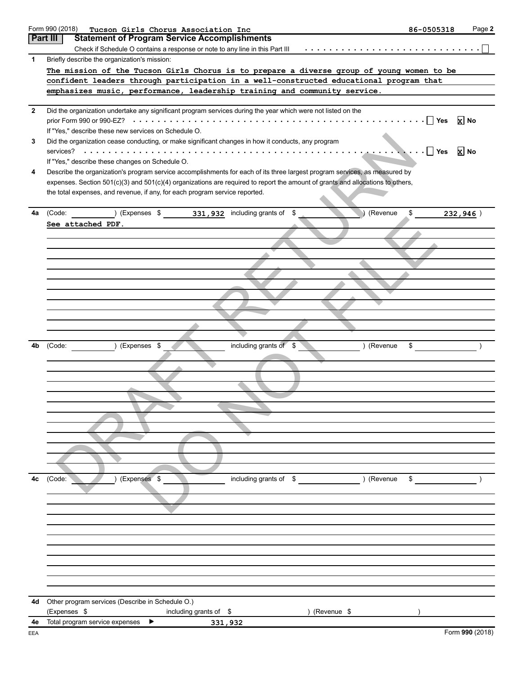|                | Form 990 (2018)<br>Tucson Girls Chorus Association Inc                                                                         | 86-0505318 | Page 2          |
|----------------|--------------------------------------------------------------------------------------------------------------------------------|------------|-----------------|
|                | <b>Part III</b><br><b>Statement of Program Service Accomplishments</b>                                                         |            |                 |
|                |                                                                                                                                |            |                 |
| 1              | Briefly describe the organization's mission:                                                                                   |            |                 |
|                | The mission of the Tucson Girls Chorus is to prepare a diverse group of young women to be                                      |            |                 |
|                | confident leaders through participation in a well-constructed educational program that                                         |            |                 |
|                | emphasizes music, performance, leadership training and community service.                                                      |            |                 |
|                |                                                                                                                                |            |                 |
| $\overline{2}$ | Did the organization undertake any significant program services during the year which were not listed on the                   |            |                 |
|                |                                                                                                                                |            | <b>x</b> No     |
|                | If "Yes," describe these new services on Schedule O.                                                                           |            |                 |
| 3              | Did the organization cease conducting, or make significant changes in how it conducts, any program                             |            |                 |
|                |                                                                                                                                |            | <b>x</b> No     |
|                | If "Yes," describe these changes on Schedule O.                                                                                |            |                 |
| 4              | Describe the organization's program service accomplishments for each of its three largest program services, as measured by     |            |                 |
|                | expenses. Section 501(c)(3) and 501(c)(4) organizations are required to report the amount of grants and allocations to others, |            |                 |
|                | the total expenses, and revenue, if any, for each program service reported.                                                    |            |                 |
|                |                                                                                                                                |            |                 |
| 4a             | (Code: ) (Expenses \$ 331, 932 including grants of \$<br>(Revenue                                                              | \$         | 232,946)        |
|                | See attached PDF.                                                                                                              |            |                 |
|                |                                                                                                                                |            |                 |
|                |                                                                                                                                |            |                 |
|                |                                                                                                                                |            |                 |
|                |                                                                                                                                |            |                 |
|                |                                                                                                                                |            |                 |
|                |                                                                                                                                |            |                 |
|                |                                                                                                                                |            |                 |
|                |                                                                                                                                |            |                 |
|                |                                                                                                                                |            |                 |
|                |                                                                                                                                |            |                 |
|                |                                                                                                                                |            |                 |
| 4b             | including grants of \$<br>) (Revenue<br>) (Expenses \$<br>(Code:                                                               | \$         |                 |
|                |                                                                                                                                |            |                 |
|                |                                                                                                                                |            |                 |
|                |                                                                                                                                |            |                 |
|                |                                                                                                                                |            |                 |
|                |                                                                                                                                |            |                 |
|                |                                                                                                                                |            |                 |
|                |                                                                                                                                |            |                 |
|                |                                                                                                                                |            |                 |
|                |                                                                                                                                |            |                 |
|                |                                                                                                                                |            |                 |
|                |                                                                                                                                |            |                 |
| 4c             | ) (Revenue<br>(Expenses \$<br>including grants of \$<br>(Code:                                                                 | \$         |                 |
|                |                                                                                                                                |            |                 |
|                |                                                                                                                                |            |                 |
|                |                                                                                                                                |            |                 |
|                |                                                                                                                                |            |                 |
|                |                                                                                                                                |            |                 |
|                |                                                                                                                                |            |                 |
|                |                                                                                                                                |            |                 |
|                |                                                                                                                                |            |                 |
|                |                                                                                                                                |            |                 |
|                |                                                                                                                                |            |                 |
|                |                                                                                                                                |            |                 |
| 4d             | Other program services (Describe in Schedule O.)                                                                               |            |                 |
|                | (Expenses \$<br>) (Revenue $$$<br>including grants of $$$                                                                      |            |                 |
| 4e             | Total program service expenses<br>▶<br>331,932                                                                                 |            |                 |
| EEA            |                                                                                                                                |            | Form 990 (2018) |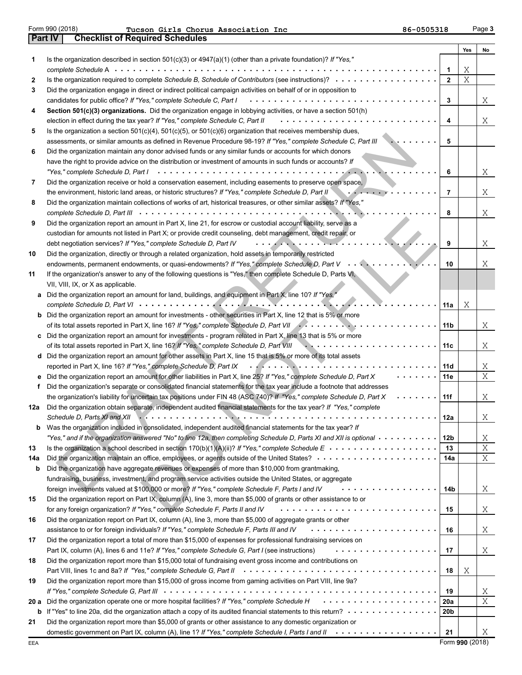|--|

| Form 990 (2018) | Tucson Girls Chorus Association Inc    | 86-0505318 | Page 3 |
|-----------------|----------------------------------------|------------|--------|
| <b>Part IV</b>  | <b>Checklist of Required Schedules</b> |            |        |

|      |                                                                                                                                                                                                                                                |                | Yes | No |
|------|------------------------------------------------------------------------------------------------------------------------------------------------------------------------------------------------------------------------------------------------|----------------|-----|----|
| 1    | Is the organization described in section 501(c)(3) or $4947(a)(1)$ (other than a private foundation)? If "Yes,"                                                                                                                                |                |     |    |
|      |                                                                                                                                                                                                                                                | 1              | Χ   |    |
| 2    | Is the organization required to complete Schedule B, Schedule of Contributors (see instructions)?                                                                                                                                              | $\overline{2}$ | Χ   |    |
| 3    | Did the organization engage in direct or indirect political campaign activities on behalf of or in opposition to                                                                                                                               |                |     |    |
|      | candidates for public office? If "Yes," complete Schedule C, Part I<br>.                                                                                                                                                                       | 3              |     | X  |
| 4    | Section 501(c)(3) organizations. Did the organization engage in lobbying activities, or have a section 501(h)                                                                                                                                  |                |     |    |
|      | election in effect during the tax year? If "Yes," complete Schedule C, Part II<br>.                                                                                                                                                            | 4              |     | Χ  |
| 5    | Is the organization a section $501(c)(4)$ , $501(c)(5)$ , or $501(c)(6)$ organization that receives membership dues,                                                                                                                           |                |     |    |
|      | assessments, or similar amounts as defined in Revenue Procedure 98-19? If "Yes," complete Schedule C, Part III                                                                                                                                 | 5              |     |    |
| 6    | Did the organization maintain any donor advised funds or any similar funds or accounts for which donors                                                                                                                                        |                |     |    |
|      | have the right to provide advice on the distribution or investment of amounts in such funds or accounts? If                                                                                                                                    |                |     |    |
|      |                                                                                                                                                                                                                                                | 6              |     | Χ  |
| 7    | Did the organization receive or hold a conservation easement, including easements to preserve open space,                                                                                                                                      |                |     |    |
|      | the environment, historic land areas, or historic structures? If "Yes," complete Schedule D, Part II                                                                                                                                           | $\overline{7}$ |     | Χ  |
| 8    | Did the organization maintain collections of works of art, historical treasures, or other similar assets? If "Yes,"                                                                                                                            | 8              |     | Χ  |
| 9    | Did the organization report an amount in Part X, line 21, for escrow or custodial account liability, serve as a                                                                                                                                |                |     |    |
|      | custodian for amounts not listed in Part X; or provide credit counseling, debt management, credit repair, or                                                                                                                                   |                |     |    |
|      | debt negotiation services? If "Yes," complete Schedule D, Part IV<br>. <i>. .</i>                                                                                                                                                              | 9              |     | Χ  |
| 10   | Did the organization, directly or through a related organization, hold assets in temporarily restricted                                                                                                                                        |                |     |    |
|      | endowments, permanent endowments, or quasi-endowments? If "Yes," complete Schedule D, Part V                                                                                                                                                   | 10             |     | Χ  |
| 11   | If the organization's answer to any of the following questions is "Yes," then complete Schedule D, Parts VI,                                                                                                                                   |                |     |    |
|      | VII, VIII, IX, or X as applicable.                                                                                                                                                                                                             |                |     |    |
| а    | Did the organization report an amount for land, buildings, and equipment in Part X, line 10? If "Yes,"                                                                                                                                         |                |     |    |
|      |                                                                                                                                                                                                                                                | 11a            | Χ   |    |
| b    | Did the organization report an amount for investments - other securities in Part X, line 12 that is 5% or more                                                                                                                                 |                |     |    |
|      | of its total assets reported in Part X, line 16? If "Yes," complete Schedule D, Part VII Alleman Alleman Alleman                                                                                                                               | 11 b           |     | Χ  |
| c    | Did the organization report an amount for investments - program related in Part X, line 13 that is 5% or more                                                                                                                                  |                |     |    |
|      | of its total assets reported in Part X, line 16? If "Yes," complete Schedule D, Part VIII<br>$\mathbf{v}$ , and a set of the set of $\mathbf{v}$                                                                                               | 11c            |     | Χ  |
| d    | Did the organization report an amount for other assets in Part X, line 15 that is 5% or more of its total assets                                                                                                                               |                |     |    |
|      | reported in Part X, line 16? If "Yes," complete Schedule D, Part IX $\cdots$ , $\cdots$ , $\cdots$ , $\cdots$                                                                                                                                  | 11 d           |     | Χ  |
|      | Did the organization report an amount for other liabilities in Part X, line 25? If "Yes," complete Schedule D, Part X                                                                                                                          | 11e            |     | X  |
|      | Did the organization's separate or consolidated financial statements for the tax year include a footnote that addresses                                                                                                                        |                |     |    |
|      | the organization's liability for uncertain tax positions under FIN 48 (ASC 740)? If "Yes," complete Schedule D, Part X                                                                                                                         | 11f            |     | Χ  |
| 12a  | Did the organization obtain separate, independent audited financial statements for the tax year? If "Yes," complete                                                                                                                            |                |     |    |
|      | Schedule D, Parts XI and XII<br>.                                                                                                                                                                                                              | 12a            |     | Χ  |
|      | Was the organization included in consolidated, independent audited financial statements for the tax year? If<br>"Yes," and if the organization answered "No" to line 12a, then completing Schedule D, Parts XI and XII is optional www.www.com | 12b            |     | X  |
| 13   |                                                                                                                                                                                                                                                | 13             |     | Χ  |
| 14a  |                                                                                                                                                                                                                                                | 14a            |     | Χ  |
| b    | Did the organization have aggregate revenues or expenses of more than \$10,000 from grantmaking,                                                                                                                                               |                |     |    |
|      | fundraising, business, investment, and program service activities outside the United States, or aggregate                                                                                                                                      |                |     |    |
|      | foreign investments valued at \$100,000 or more? If "Yes," complete Schedule F, Parts I and IV<br>.                                                                                                                                            | 14b            |     | X  |
| 15   | Did the organization report on Part IX, column (A), line 3, more than \$5,000 of grants or other assistance to or                                                                                                                              |                |     |    |
|      | for any foreign organization? If "Yes," complete Schedule F, Parts II and IV                                                                                                                                                                   | 15             |     | Χ  |
| 16   | Did the organization report on Part IX, column (A), line 3, more than \$5,000 of aggregate grants or other                                                                                                                                     |                |     |    |
|      | assistance to or for foreign individuals? If "Yes," complete Schedule F, Parts III and IV                                                                                                                                                      | 16             |     | Χ  |
| 17   | Did the organization report a total of more than \$15,000 of expenses for professional fundraising services on                                                                                                                                 |                |     |    |
|      | Part IX, column (A), lines 6 and 11e? If "Yes," complete Schedule G, Part I (see instructions)<br>.                                                                                                                                            | 17             |     | Χ  |
| 18   | Did the organization report more than \$15,000 total of fundraising event gross income and contributions on                                                                                                                                    |                |     |    |
|      |                                                                                                                                                                                                                                                | 18             | Χ   |    |
| 19   | Did the organization report more than \$15,000 of gross income from gaming activities on Part VIII, line 9a?                                                                                                                                   |                |     |    |
|      |                                                                                                                                                                                                                                                | 19             |     | Χ  |
| 20 a | .<br>Did the organization operate one or more hospital facilities? If "Yes," complete Schedule H                                                                                                                                               | 20a            |     | Χ  |
| b    |                                                                                                                                                                                                                                                | 20b            |     |    |
| 21   | Did the organization report more than \$5,000 of grants or other assistance to any domestic organization or                                                                                                                                    |                |     |    |
|      |                                                                                                                                                                                                                                                | 21             |     | X  |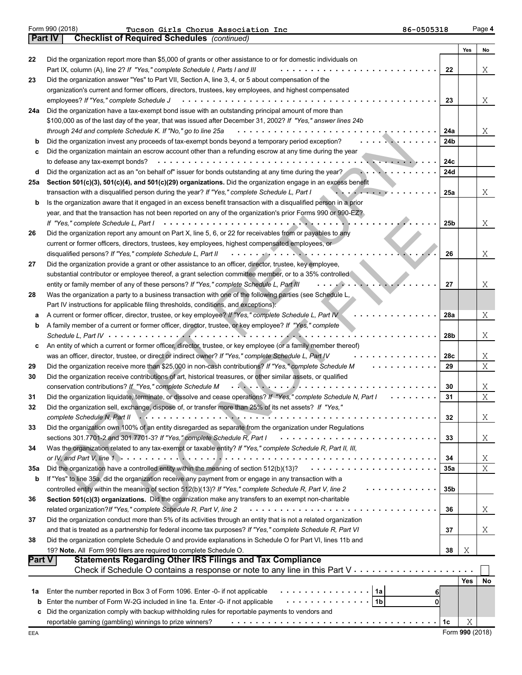| Form 990 (2018) |  |  |
|-----------------|--|--|
|                 |  |  |

|             |                                                                                                                                        |                 | Yes | No                |
|-------------|----------------------------------------------------------------------------------------------------------------------------------------|-----------------|-----|-------------------|
| 22          | Did the organization report more than \$5,000 of grants or other assistance to or for domestic individuals on                          |                 |     |                   |
|             | Part IX, column (A), line 2? If "Yes," complete Schedule I, Parts I and III                                                            | 22              |     | Χ                 |
| 23          | Did the organization answer "Yes" to Part VII, Section A, line 3, 4, or 5 about compensation of the                                    |                 |     |                   |
|             | organization's current and former officers, directors, trustees, key employees, and highest compensated                                |                 |     |                   |
|             | employees? If "Yes," complete Schedule J                                                                                               | 23              |     | Χ                 |
| 24a         | Did the organization have a tax-exempt bond issue with an outstanding principal amount of more than                                    |                 |     |                   |
|             | \$100,000 as of the last day of the year, that was issued after December 31, 2002? If "Yes," answer lines 24b                          |                 |     |                   |
|             | through 24d and complete Schedule K. If "No," go to line 25a                                                                           | 24a             |     | Χ                 |
| b           | Did the organization invest any proceeds of tax-exempt bonds beyond a temporary period exception?                                      | 24b             |     |                   |
| c           | Did the organization maintain an escrow account other than a refunding escrow at any time during the year                              |                 |     |                   |
|             | to defease any tax-exempt bonds?<br>.                                                                                                  | 24c             |     |                   |
| d           | Did the organization act as an "on behalf of" issuer for bonds outstanding at any time during the year?                                | 24d             |     |                   |
| 25a         | Section 501(c)(3), 501(c)(4), and 501(c)(29) organizations. Did the organization engage in an excess benefit                           |                 |     |                   |
|             | transaction with a disqualified person during the year? If "Yes," complete Schedule L, Part I<br>.                                     | 25a             |     | Χ                 |
| b           | Is the organization aware that it engaged in an excess benefit transaction with a disqualified person in a prior                       |                 |     |                   |
|             | year, and that the transaction has not been reported on any of the organization's prior Forms 990 or 990-EZ?                           |                 |     |                   |
|             | If "Yes," complete Schedule L, Part I<br>.                                                                                             | 25 <sub>b</sub> |     | Χ                 |
| 26          | Did the organization report any amount on Part X, line 5, 6, or 22 for receivables from or payables to any                             |                 |     |                   |
|             | current or former officers, directors, trustees, key employees, highest compensated employees, or                                      |                 |     |                   |
|             | disqualified persons? If "Yes," complete Schedule L, Part II                                                                           | 26              |     | Χ                 |
| 27          | Did the organization provide a grant or other assistance to an officer, director, trustee, key employee,                               |                 |     |                   |
|             | substantial contributor or employee thereof, a grant selection committee member, or to a 35% controlled                                |                 |     |                   |
|             | entity or family member of any of these persons? If "Yes," complete Schedule L, Part III                                               | 27              |     | Χ                 |
| 28          | Was the organization a party to a business transaction with one of the following parties (see Schedule L,                              |                 |     |                   |
|             | Part IV instructions for applicable filing thresholds, conditions, and exceptions):                                                    |                 |     |                   |
| а           | A current or former officer, director, trustee, or key employee? If "Yes," complete Schedule L, Part IV                                | 28a             |     | Χ                 |
| b           | A family member of a current or former officer, director, trustee, or key employee? If "Yes," complete                                 |                 |     |                   |
|             | Schedule L, Part IV $\cdots$ ,                                                                                                         | 28 <sub>b</sub> |     | Χ                 |
| c           | An entity of which a current or former officer, director, trustee, or key employee (or a family member thereof)                        |                 |     |                   |
|             | was an officer, director, trustee, or direct or indirect owner? If "Yes," complete Schedule L, Part IV                                 | 28c             |     | Χ                 |
| 29          | Did the organization receive more than \$25,000 in non-cash contributions? If "Yes," complete Schedule M                               | 29              |     | $X_{\mathcal{L}}$ |
| 30          | Did the organization receive contributions of art, historical treasures, or other similar assets, or qualified                         |                 |     |                   |
|             | conservation contributions? If "Yes," complete Schedule M<br>. <i>. .</i> .                                                            | 30              |     | Χ                 |
| 31          | Did the organization liquidate, terminate, or dissolve and cease operations? If "Yes," complete Schedule N, Part I                     | 31              |     | X                 |
| 32          | Did the organization sell, exchange, dispose of, or transfer more than 25% of its net assets? If "Yes,"                                |                 |     |                   |
|             | complete Schedule N, Part II                                                                                                           | 32              |     | Χ                 |
| 33          | Did the organization own 100% of an entity disregarded as separate from the organization under Regulations                             |                 |     |                   |
|             | sections 301.7701-2 and 301.7701-3? If "Yes," complete Schedule R, Part I                                                              | 33              |     | Χ                 |
| 34          | Was the organization related to any tax-exempt or taxable entity? If "Yes," complete Schedule R, Part II, III,                         |                 |     |                   |
|             | .                                                                                                                                      | 34              |     | Χ                 |
| 35a         | Did the organization have a controlled entity within the meaning of section 512(b)(13)?                                                | 35a             |     | $\mathbf X$       |
| $\mathbf b$ | If "Yes" to line 35a, did the organization receive any payment from or engage in any transaction with a                                |                 |     |                   |
|             | controlled entity within the meaning of section 512(b)(13)? If "Yes," complete Schedule R, Part V, line 2                              | 35 <sub>b</sub> |     |                   |
| 36          | Section 501(c)(3) organizations. Did the organization make any transfers to an exempt non-charitable                                   |                 |     |                   |
|             | related organization?If "Yes," complete Schedule R, Part V, line 2                                                                     | 36              |     | Χ                 |
| 37          | Did the organization conduct more than 5% of its activities through an entity that is not a related organization                       |                 |     |                   |
|             | and that is treated as a partnership for federal income tax purposes? If "Yes," complete Schedule R, Part VI                           | 37              |     | Χ                 |
| 38          | Did the organization complete Schedule O and provide explanations in Schedule O for Part VI, lines 11b and                             |                 |     |                   |
| Part V      | 19? Note. All Form 990 filers are required to complete Schedule O.<br><b>Statements Regarding Other IRS Filings and Tax Compliance</b> | 38              | Χ   |                   |
|             |                                                                                                                                        |                 |     |                   |
|             |                                                                                                                                        |                 | Yes |                   |
|             | 1a<br>Enter the number reported in Box 3 of Form 1096. Enter -0- if not applicable                                                     |                 |     | No                |
| 1а          | 61<br>.<br>1 <sub>b</sub><br>Enter the number of Form W-2G included in line 1a. Enter -0- if not applicable<br>οl                      |                 |     |                   |
| b           | Did the organization comply with backup withholding rules for reportable payments to vendors and                                       |                 |     |                   |
| c           | reportable gaming (gambling) winnings to prize winners?                                                                                | 1c              | Χ   |                   |
|             |                                                                                                                                        |                 |     |                   |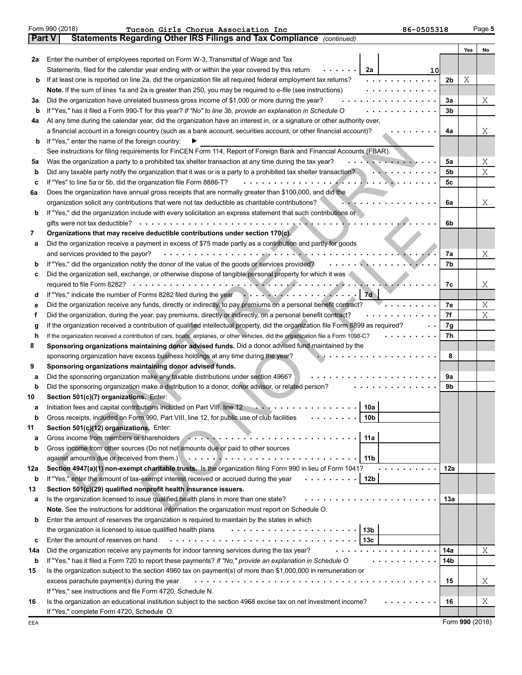|        | Form 990 (2018)<br>86-0505318<br>Tucson Girls Chorus Association Inc                                                               |     |     | Page 5 |
|--------|------------------------------------------------------------------------------------------------------------------------------------|-----|-----|--------|
| Part V | Statements Regarding Other IRS Filings and Tax Compliance (continued)                                                              |     |     |        |
|        |                                                                                                                                    |     | Yes | No     |
| 2a     | Enter the number of employees reported on Form W-3, Transmittal of Wage and Tax                                                    |     |     |        |
|        | Statements, filed for the calendar year ending with or within the year covered by this return<br>2a<br>10                          |     |     |        |
| b      | If at least one is reported on line 2a, did the organization file all required federal employment tax returns?                     | 2b  | Χ   |        |
|        | Note. If the sum of lines 1a and 2a is greater than 250, you may be required to e-file (see instructions)                          |     |     |        |
| За     | Did the organization have unrelated business gross income of \$1,000 or more during the year?                                      | 3a  |     | Χ      |
| b      | If "Yes," has it filed a Form 990-T for this year? If "No" to line 3b, provide an explanation in Schedule O                        | 3b  |     |        |
| 4a     | At any time during the calendar year, did the organization have an interest in, or a signature or other authority over,            |     |     |        |
|        | a financial account in a foreign country (such as a bank account, securities account, or other financial account)?                 | 4a  |     | X      |
| b      | If "Yes," enter the name of the foreign country:                                                                                   |     |     |        |
|        | See instructions for filing requirements for FinCEN Form 114, Report of Foreign Bank and Financial Accounts (FBAR).                |     |     |        |
| 5a     | Was the organization a party to a prohibited tax shelter transaction at any time during the tax year?<br>. <del>.</del>            | 5a  |     | Χ      |
| b      | Did any taxable party notify the organization that it was or is a party to a prohibited tax shelter transaction?                   | 5b  |     | Χ      |
| c      | If "Yes" to line 5a or 5b, did the organization file Form 8886-T?                                                                  | 5c  |     |        |
| 6a     | Does the organization have annual gross receipts that are normally greater than \$100,000, and did the                             |     |     |        |
|        | organization solicit any contributions that were not tax deductible as charitable contributions?                                   | 6a  |     | X      |
| b      | If "Yes," did the organization include with every solicitation an express statement that such contributions or                     |     |     |        |
|        |                                                                                                                                    | 6b  |     |        |
| 7      | Organizations that may receive deductible contributions under section 170(c).                                                      |     |     |        |
| а      | Did the organization receive a payment in excess of \$75 made partly as a contribution and partly for goods                        |     |     |        |
|        | . <b>. . .</b><br>and services provided to the payor?                                                                              | 7a  |     | Χ      |
| b      | If "Yes," did the organization notify the donor of the value of the goods or services provided?                                    | 7b  |     |        |
| c      | Did the organization sell, exchange, or otherwise dispose of tangible personal property for which it was                           |     |     |        |
|        |                                                                                                                                    | 7c  |     | X      |
| d      | If "Yes," indicate the number of Forms 8282 filed during the year entitled and set of the state of the state of<br>7d              |     |     |        |
| е      | Did the organization receive any funds, directly or indirectly, to pay premiums on a personal benefit contract?                    | 7е  |     | Χ      |
| f      | Did the organization, during the year, pay premiums, directly or indirectly, on a personal benefit contract?                       | 7f  |     | Χ      |
| g      | If the organization received a contribution of qualified intellectual property, did the organization file Form 8899 as required?   | 7g  |     |        |
| h      | If the organization received a contribution of cars, boats, airplanes, or other vehicles, did the organization file a Form 1098-C? | 7h  |     |        |
| 8      | Sponsoring organizations maintaining donor advised funds. Did a donor advised fund maintained by the                               |     |     |        |
|        | sponsoring organization have excess business holdings at any time during the year?                                                 | 8   |     |        |
| 9      | Sponsoring organizations maintaining donor advised funds.                                                                          |     |     |        |
| а      | Did the sponsoring organization make any taxable distributions under section 4966?                                                 | 9a  |     |        |
| b      | Did the sponsoring organization make a distribution to a donor, donor advisor, or related person?                                  | 9b  |     |        |
| 10     | Section 501(c)(7) organizations. Enter:                                                                                            |     |     |        |
|        | Initiation fees and capital contributions included on Part VIII, line 12<br>10a                                                    |     |     |        |
| b      | Gross receipts, included on Form 990, Part VIII, line 12, for public use of club facilities<br>10b                                 |     |     |        |
| 11     | Section 501(c)(12) organizations. Enter:                                                                                           |     |     |        |
| а      | Gross income from members or shareholders All Alberta Alberta Alberta Alberta Alberta Alberta Alberta Alberta A<br>11a             |     |     |        |
| b      | Gross income from other sources (Do not net amounts due or paid to other sources                                                   |     |     |        |
|        | 11 b                                                                                                                               |     |     |        |
| 12a    | Section 4947(a)(1) non-exempt charitable trusts. Is the organization filing Form 990 in lieu of Form 1041?                         | 12a |     |        |
| b      | If "Yes," enter the amount of tax-exempt interest received or accrued during the year<br>.<br>12b                                  |     |     |        |
| 13     | Section 501(c)(29) qualified nonprofit health insurance issuers.                                                                   |     |     |        |
| а      | Is the organization licensed to issue qualified health plans in more than one state?                                               | 13а |     |        |
|        | Note. See the instructions for additional information the organization must report on Schedule O.                                  |     |     |        |
| b      | Enter the amount of reserves the organization is required to maintain by the states in which                                       |     |     |        |
|        | 13 <sub>b</sub><br>the organization is licensed to issue qualified health plans                                                    |     |     |        |
| c      | Enter the amount of reserves on hand<br>13с                                                                                        |     |     |        |
| 14a    | Did the organization receive any payments for indoor tanning services during the tax year?                                         | 14a |     | Χ      |
| b      | If "Yes," has it filed a Form 720 to report these payments? If "No," provide an explanation in Schedule O                          | 14b |     |        |
|        |                                                                                                                                    |     |     |        |
| 15     | Is the organization subject to the section 4960 tax on payment(s) of more than \$1,000,000 in remuneration or                      |     |     |        |
|        | excess parachute payment(s) during the year                                                                                        | 15  |     | Χ      |
|        | If "Yes," see instructions and file Form 4720, Schedule N.                                                                         |     |     |        |
| 16     | Is the organization an educational institution subject to the section 4968 excise tax on net investment income?                    | 16  |     | Χ      |
|        | If "Yes," complete Form 4720, Schedule O.                                                                                          |     |     |        |

Form **990** (2018)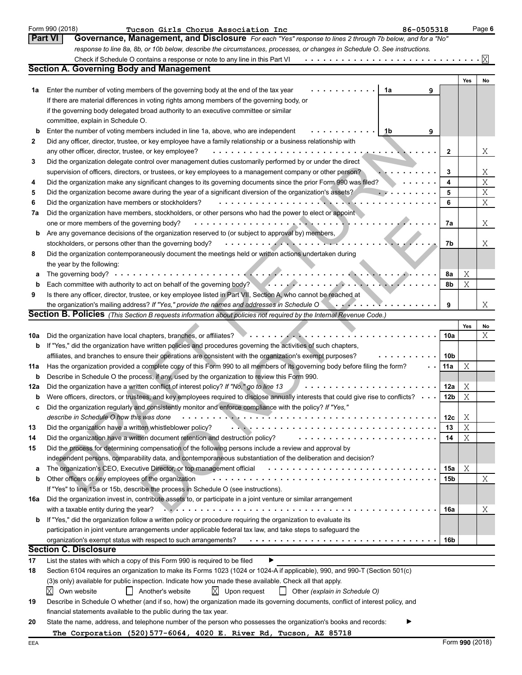|        | Form 990 (2018)<br>Tucson Girls Chorus Association Inc<br>86-0505318                                                                                                                                                               |                        |        | Page 6 |
|--------|------------------------------------------------------------------------------------------------------------------------------------------------------------------------------------------------------------------------------------|------------------------|--------|--------|
|        | <b>Part VI</b><br>Governance, Management, and Disclosure For each "Yes" response to lines 2 through 7b below, and for a "No"                                                                                                       |                        |        |        |
|        | response to line 8a, 8b, or 10b below, describe the circumstances, processes, or changes in Schedule O. See instructions.                                                                                                          |                        |        |        |
|        | Check if Schedule O contains a response or note to any line in this Part VI                                                                                                                                                        |                        |        | ΙXΙ    |
|        | <b>Section A. Governing Body and Management</b>                                                                                                                                                                                    |                        |        |        |
|        |                                                                                                                                                                                                                                    |                        | Yes    | No     |
| 1a     | Enter the number of voting members of the governing body at the end of the tax year<br>1a<br>9                                                                                                                                     |                        |        |        |
|        | If there are material differences in voting rights among members of the governing body, or                                                                                                                                         |                        |        |        |
|        | if the governing body delegated broad authority to an executive committee or similar                                                                                                                                               |                        |        |        |
|        | committee, explain in Schedule O.                                                                                                                                                                                                  |                        |        |        |
| b      | Enter the number of voting members included in line 1a, above, who are independent<br>1b<br>9                                                                                                                                      |                        |        |        |
| 2      | Did any officer, director, trustee, or key employee have a family relationship or a business relationship with                                                                                                                     |                        |        |        |
|        | any other officer, director, trustee, or key employee?<br>$\mathbf{1} \quad \mathbf{1} \quad \mathbf{1} \quad \mathbf{1} \quad \mathbf{1} \quad \mathbf{1} \quad \mathbf{1} \quad \mathbf{1} \quad \mathbf{1} \quad \mathbf{1}$    | $\mathbf{2}$           |        | Χ      |
| 3      | Did the organization delegate control over management duties customarily performed by or under the direct                                                                                                                          |                        |        |        |
|        | supervision of officers, directors, or trustees, or key employees to a management company or other person?                                                                                                                         | 3                      |        | Χ      |
| 4      | Did the organization make any significant changes to its governing documents since the prior Form 990 was filed?                                                                                                                   | 4                      |        | X      |
| 5      | Did the organization become aware during the year of a significant diversion of the organization's assets?                                                                                                                         | 5                      |        | X      |
| 6      | Did the organization have members or stockholders?                                                                                                                                                                                 | 6                      |        | Χ      |
| 7а     | Did the organization have members, stockholders, or other persons who had the power to elect or appoint                                                                                                                            |                        |        |        |
|        | one or more members of the governing body?                                                                                                                                                                                         | 7a                     |        | Χ      |
| b      | Are any governance decisions of the organization reserved to (or subject to approval by) members,                                                                                                                                  |                        |        |        |
|        | stockholders, or persons other than the governing body?                                                                                                                                                                            | 7b                     |        | X      |
| 8      | Did the organization contemporaneously document the meetings held or written actions undertaken during                                                                                                                             |                        |        |        |
|        | the year by the following:                                                                                                                                                                                                         |                        |        |        |
| a      | The governing body? $\cdots$ ,                                                                                                                                                                                                     | 8a                     | Χ      |        |
| b      | Each committee with authority to act on behalf of the governing body?<br>and the state of the state of the state of the governing body?<br>and the state of the state of the state of the state of the state of the state of the s | 8b                     | Χ      |        |
| 9      | Is there any officer, director, trustee, or key employee listed in Part VII, Section A, who cannot be reached at                                                                                                                   |                        |        |        |
|        | the organization's mailing address? If "Yes," provide the names and addresses in Schedule O<br>. . <i>. .</i>                                                                                                                      | 9                      |        | Χ      |
|        | <b>Section B. Policies</b> (This Section B requests information about policies not required by the Internal Revenue Code.)                                                                                                         |                        |        |        |
|        |                                                                                                                                                                                                                                    |                        | Yes    | No     |
| 10a    | Did the organization have local chapters, branches, or affiliates?                                                                                                                                                                 | 10a                    |        | Χ      |
| b      | If "Yes," did the organization have written policies and procedures governing the activities of such chapters,                                                                                                                     |                        |        |        |
|        | affiliates, and branches to ensure their operations are consistent with the organization's exempt purposes?                                                                                                                        | 10b                    |        |        |
| 11a    | Has the organization provided a complete copy of this Form 990 to all members of its governing body before filing the form?                                                                                                        | 11a                    | Χ      |        |
| b      | Describe in Schedule O the process, if any, used by the organization to review this Form 990.<br>Did the organization have a written conflict of interest policy? If "No," go to line 13                                           |                        |        |        |
| 12a    | Were officers, directors, or trustees, and key employees required to disclose annually interests that could give rise to conflicts?                                                                                                | 12a<br>12 <sub>b</sub> | Χ<br>X |        |
| b      | Did the organization regularly and consistently monitor and enforce compliance with the policy? If "Yes,"                                                                                                                          |                        |        |        |
|        | describe in Schedule O how this was done<br>and a state                                                                                                                                                                            |                        |        |        |
|        |                                                                                                                                                                                                                                    | 12c<br>13              | Χ<br>Χ |        |
| 13     | Did the organization have a written whistleblower policy?                                                                                                                                                                          |                        |        |        |
| 14     | Did the organization have a written document retention and destruction policy?                                                                                                                                                     | 14                     | Χ      |        |
| 15     | Did the process for determining compensation of the following persons include a review and approval by<br>independent persons, comparability data, and contemporaneous substantiation of the deliberation and decision?            |                        |        |        |
|        | The organization's CEO, Executive Director, or top management official                                                                                                                                                             | 15a                    | Χ      |        |
| а<br>b | Other officers or key employees of the organization                                                                                                                                                                                | 15 <sub>b</sub>        |        | Χ      |
|        | If "Yes" to line 15a or 15b, describe the process in Schedule O (see instructions).                                                                                                                                                |                        |        |        |
| 16a    | Did the organization invest in, contribute assets to, or participate in a joint venture or similar arrangement                                                                                                                     |                        |        |        |
|        | with a taxable entity during the year?                                                                                                                                                                                             | 16a                    |        | Χ      |
| b      | If "Yes," did the organization follow a written policy or procedure requiring the organization to evaluate its                                                                                                                     |                        |        |        |
|        | participation in joint venture arrangements under applicable federal tax law, and take steps to safeguard the                                                                                                                      |                        |        |        |
|        | organization's exempt status with respect to such arrangements?                                                                                                                                                                    | 16b                    |        |        |
|        | <b>Section C. Disclosure</b>                                                                                                                                                                                                       |                        |        |        |
| 17     | ▶<br>List the states with which a copy of this Form 990 is required to be filed                                                                                                                                                    |                        |        |        |
| 18     | Section 6104 requires an organization to make its Forms 1023 (1024 or 1024-A if applicable), 990, and 990-T (Section 501(c)                                                                                                        |                        |        |        |
|        | (3)s only) available for public inspection. Indicate how you made these available. Check all that apply.                                                                                                                           |                        |        |        |
|        | Χ<br>$X$ Upon request<br>Own website<br>Another's website<br>Other (explain in Schedule O)                                                                                                                                         |                        |        |        |
| 19     | Describe in Schedule O whether (and if so, how) the organization made its governing documents, conflict of interest policy, and                                                                                                    |                        |        |        |
|        | financial statements available to the public during the tax year.                                                                                                                                                                  |                        |        |        |
| 20     | State the name, address, and telephone number of the person who possesses the organization's books and records:                                                                                                                    |                        |        |        |
|        | The Corporation (520) 577-6064, 4020 E. River Rd, Tucson, AZ 85718                                                                                                                                                                 |                        |        |        |
|        |                                                                                                                                                                                                                                    |                        |        |        |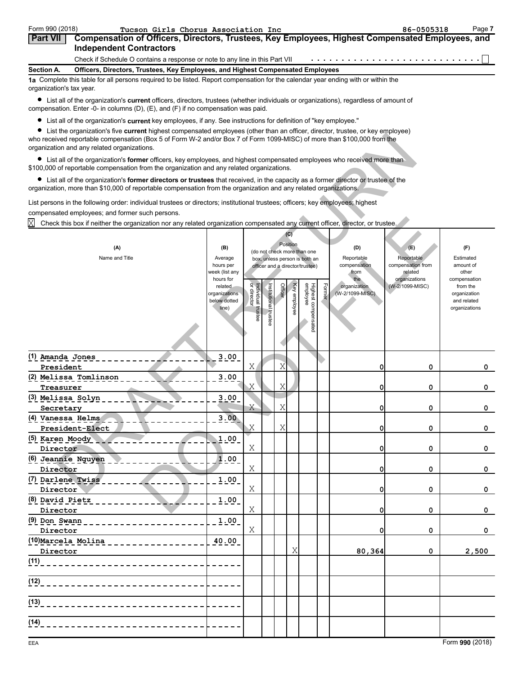| Form 990 (2018)          | Tucson Girls Chorus Association Inc                                                                                                | 86-0505318 | Page 7 |
|--------------------------|------------------------------------------------------------------------------------------------------------------------------------|------------|--------|
| <b>Part VII</b>          | Compensation of Officers, Directors, Trustees, Key Employees, Highest Compensated Employees, and<br><b>Independent Contractors</b> |            |        |
|                          | Check if Schedule O contains a response or note to any line in this Part VII                                                       |            |        |
| Section A.               | Officers, Directors, Trustees, Key Employees, and Highest Compensated Employees                                                    |            |        |
| organization's tax year. | 1a Complete this table for all persons required to be listed. Report compensation for the calendar year ending with or within the  |            |        |

List all of the organization's **current** officers, directors, trustees (whether individuals or organizations), regardless of amount of compensation. Enter -0- in columns (D), (E), and (F) if no compensation was paid.

List all of the organization's **current** key employees, if any. See instructions for definition of "key employee."

List the organization's five **current** highest compensated employees (other than an officer, director, trustee, or key employee)

| of all originization of the <b>variont</b> highoof componedica only oyou (other allan an omoor, allocatr, a detect, or hoy only o<br>who received reportable compensation (Box 5 of Form W-2 and/or Box 7 of Form 1099-MISC) of more than \$100,000 from the<br>organization and any related organizations. |                                                                |                                         |                         |        |                 |                                                                  |        |                                        |                                  |                                                                          |
|-------------------------------------------------------------------------------------------------------------------------------------------------------------------------------------------------------------------------------------------------------------------------------------------------------------|----------------------------------------------------------------|-----------------------------------------|-------------------------|--------|-----------------|------------------------------------------------------------------|--------|----------------------------------------|----------------------------------|--------------------------------------------------------------------------|
| • List all of the organization's former officers, key employees, and highest compensated employees who received more than<br>\$100,000 of reportable compensation from the organization and any related organizations.                                                                                      |                                                                |                                         |                         |        |                 |                                                                  |        |                                        |                                  |                                                                          |
| • List all of the organization's former directors or trustees that received, in the capacity as a former director or trustee of the<br>organization, more than \$10,000 of reportable compensation from the organization and any related organizations.                                                     |                                                                |                                         |                         |        |                 |                                                                  |        |                                        |                                  |                                                                          |
| List persons in the following order: individual trustees or directors; institutional trustees; officers; key employees; highest<br>compensated employees; and former such persons.                                                                                                                          |                                                                |                                         |                         |        |                 |                                                                  |        |                                        |                                  |                                                                          |
| ΙXΙ<br>Check this box if neither the organization nor any related organization compensated any current officer, director, or trustee.                                                                                                                                                                       |                                                                |                                         |                         |        |                 |                                                                  |        |                                        |                                  |                                                                          |
|                                                                                                                                                                                                                                                                                                             |                                                                |                                         |                         |        | (C)<br>Position |                                                                  |        |                                        |                                  |                                                                          |
| (A)                                                                                                                                                                                                                                                                                                         | (B)                                                            |                                         |                         |        |                 | (do not check more than one                                      |        | (D)                                    | (E)                              | (F)                                                                      |
| Name and Title                                                                                                                                                                                                                                                                                              | Average<br>hours per                                           |                                         |                         |        |                 | box, unless person is both an<br>officer and a director/trustee) |        | Reportable<br>compensation             | Reportable<br>compensation from  | Estimated<br>amount of                                                   |
|                                                                                                                                                                                                                                                                                                             | week (list any                                                 |                                         |                         |        |                 |                                                                  |        | from                                   | related                          | other                                                                    |
|                                                                                                                                                                                                                                                                                                             | hours for<br>related<br>organizations<br>below dotted<br>line) | g.<br>Individual trustee<br>or director | nstitutional<br>trustee | Office | Key employee    | Highest compensated<br>employee                                  | Former | the<br>organization<br>(W-2/1099-MISC) | organizations<br>(W-2/1099-MISC) | compensation<br>from the<br>organization<br>and related<br>organizations |
| (1) Amanda Jones<br>President                                                                                                                                                                                                                                                                               | 3.00                                                           | Χ                                       |                         | Χ      |                 |                                                                  |        | 0                                      | 0                                | 0                                                                        |
| (2) Melissa Tomlinson                                                                                                                                                                                                                                                                                       | 3.00                                                           |                                         |                         |        |                 |                                                                  |        |                                        |                                  |                                                                          |
| Treasurer                                                                                                                                                                                                                                                                                                   |                                                                | Χ                                       |                         | Χ      |                 |                                                                  |        | 0                                      | 0                                | 0                                                                        |
| (3) Melissa Solyn<br>Secretary                                                                                                                                                                                                                                                                              | 3.00                                                           | Χ                                       |                         | Χ      |                 |                                                                  |        | 0                                      | 0                                | 0                                                                        |
| (4) Vanessa Helms<br>President-Elect                                                                                                                                                                                                                                                                        | 3.00                                                           | Χ                                       |                         | Χ      |                 |                                                                  |        | 0                                      | 0                                | 0                                                                        |
| (5) Karen Moody<br>Director                                                                                                                                                                                                                                                                                 | 1.00                                                           | Χ                                       |                         |        |                 |                                                                  |        | 0                                      | 0                                | 0                                                                        |
| (6) Jeannie Nguyen<br>Director                                                                                                                                                                                                                                                                              | 1.00                                                           | Χ                                       |                         |        |                 |                                                                  |        | 0                                      | 0                                | 0                                                                        |
| (7) Darlene Twiss<br>Director                                                                                                                                                                                                                                                                               | 1.00                                                           | Χ                                       |                         |        |                 |                                                                  |        | 0                                      | 0                                | 0                                                                        |
| (8) David Pietz<br>Director                                                                                                                                                                                                                                                                                 | 1.00                                                           | Χ                                       |                         |        |                 |                                                                  |        | 0                                      | 0                                | 0                                                                        |
| $(9)$ Don Swann _ _ _ _ _ _ _ _ _ _ _ _ _ _ _ _                                                                                                                                                                                                                                                             | 1.00                                                           |                                         |                         |        |                 |                                                                  |        |                                        |                                  |                                                                          |
| Director                                                                                                                                                                                                                                                                                                    |                                                                | Χ                                       |                         |        |                 |                                                                  |        | 0                                      | 0                                | 0                                                                        |
| (10) Marcela Molina _____________                                                                                                                                                                                                                                                                           | 40.00                                                          |                                         |                         |        |                 |                                                                  |        |                                        |                                  |                                                                          |
| Director                                                                                                                                                                                                                                                                                                    |                                                                |                                         |                         |        | Χ               |                                                                  |        | 80,364                                 | 0                                | 2,500                                                                    |
| (11)                                                                                                                                                                                                                                                                                                        |                                                                |                                         |                         |        |                 |                                                                  |        |                                        |                                  |                                                                          |
| (12)<br>__________________________                                                                                                                                                                                                                                                                          |                                                                |                                         |                         |        |                 |                                                                  |        |                                        |                                  |                                                                          |
| (13)<br>________________________                                                                                                                                                                                                                                                                            |                                                                |                                         |                         |        |                 |                                                                  |        |                                        |                                  |                                                                          |
| (14)                                                                                                                                                                                                                                                                                                        |                                                                |                                         |                         |        |                 |                                                                  |        |                                        |                                  |                                                                          |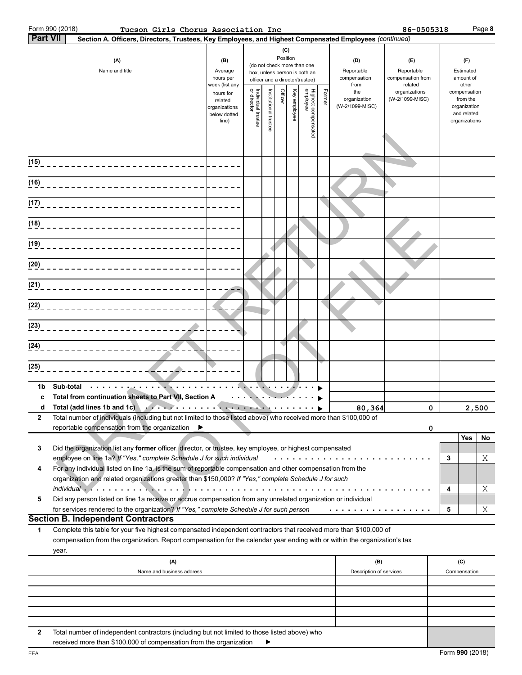|                 | Form 990 (2018) | Tucson Girls Chorus Association Inc                                                                                                                                                                                           |                       |                                   |                      |                                                                                                                                                                                                                                                                                                                                                                                                                              |              |                                 |        |                            | 86-0505318                      |   | Page 8                       |  |
|-----------------|-----------------|-------------------------------------------------------------------------------------------------------------------------------------------------------------------------------------------------------------------------------|-----------------------|-----------------------------------|----------------------|------------------------------------------------------------------------------------------------------------------------------------------------------------------------------------------------------------------------------------------------------------------------------------------------------------------------------------------------------------------------------------------------------------------------------|--------------|---------------------------------|--------|----------------------------|---------------------------------|---|------------------------------|--|
| <b>Part VII</b> |                 | Section A. Officers, Directors, Trustees, Key Employees, and Highest Compensated Employees (continued)                                                                                                                        |                       |                                   |                      |                                                                                                                                                                                                                                                                                                                                                                                                                              |              |                                 |        |                            |                                 |   |                              |  |
|                 |                 |                                                                                                                                                                                                                               |                       |                                   |                      | (C)                                                                                                                                                                                                                                                                                                                                                                                                                          |              |                                 |        |                            |                                 |   |                              |  |
|                 |                 | (A)                                                                                                                                                                                                                           | (B)                   |                                   |                      | Position                                                                                                                                                                                                                                                                                                                                                                                                                     |              |                                 |        | (D)                        | (F)                             |   | (F)                          |  |
|                 |                 |                                                                                                                                                                                                                               |                       |                                   |                      |                                                                                                                                                                                                                                                                                                                                                                                                                              |              | (do not check more than one     |        |                            |                                 |   | Estimated                    |  |
|                 |                 | Name and title                                                                                                                                                                                                                | Average<br>hours per  |                                   |                      |                                                                                                                                                                                                                                                                                                                                                                                                                              |              | box, unless person is both an   |        | Reportable<br>compensation | Reportable<br>compensation from |   | amount of                    |  |
|                 |                 |                                                                                                                                                                                                                               | week (list any        |                                   |                      |                                                                                                                                                                                                                                                                                                                                                                                                                              |              | officer and a director/trustee) |        | from                       | related                         |   | other                        |  |
|                 |                 |                                                                                                                                                                                                                               | hours for             |                                   |                      |                                                                                                                                                                                                                                                                                                                                                                                                                              |              |                                 |        | the                        | organizations                   |   | compensation                 |  |
|                 |                 |                                                                                                                                                                                                                               | related               |                                   |                      | Officer                                                                                                                                                                                                                                                                                                                                                                                                                      |              |                                 | Former | organization               | (W-2/1099-MISC)                 |   | from the                     |  |
|                 |                 |                                                                                                                                                                                                                               | organizations         | Individual trustee<br>or director |                      |                                                                                                                                                                                                                                                                                                                                                                                                                              | Key employee |                                 |        | (W-2/1099-MISC)            |                                 |   | organization                 |  |
|                 |                 |                                                                                                                                                                                                                               | below dotted<br>line) |                                   |                      |                                                                                                                                                                                                                                                                                                                                                                                                                              |              |                                 |        |                            |                                 |   | and related<br>organizations |  |
|                 |                 |                                                                                                                                                                                                                               |                       |                                   | nstitutional trustee |                                                                                                                                                                                                                                                                                                                                                                                                                              |              | Highest compensated<br>employee |        |                            |                                 |   |                              |  |
|                 |                 |                                                                                                                                                                                                                               |                       |                                   |                      |                                                                                                                                                                                                                                                                                                                                                                                                                              |              |                                 |        |                            |                                 |   |                              |  |
|                 |                 |                                                                                                                                                                                                                               |                       |                                   |                      |                                                                                                                                                                                                                                                                                                                                                                                                                              |              |                                 |        |                            |                                 |   |                              |  |
|                 |                 |                                                                                                                                                                                                                               |                       |                                   |                      |                                                                                                                                                                                                                                                                                                                                                                                                                              |              |                                 |        |                            |                                 |   |                              |  |
|                 |                 | (15) _______________________________                                                                                                                                                                                          |                       |                                   |                      |                                                                                                                                                                                                                                                                                                                                                                                                                              |              |                                 |        |                            |                                 |   |                              |  |
|                 |                 |                                                                                                                                                                                                                               |                       |                                   |                      |                                                                                                                                                                                                                                                                                                                                                                                                                              |              |                                 |        |                            |                                 |   |                              |  |
|                 |                 |                                                                                                                                                                                                                               |                       |                                   |                      |                                                                                                                                                                                                                                                                                                                                                                                                                              |              |                                 |        |                            |                                 |   |                              |  |
|                 |                 | (16)________________________________                                                                                                                                                                                          |                       |                                   |                      |                                                                                                                                                                                                                                                                                                                                                                                                                              |              |                                 |        |                            |                                 |   |                              |  |
|                 |                 |                                                                                                                                                                                                                               |                       |                                   |                      |                                                                                                                                                                                                                                                                                                                                                                                                                              |              |                                 |        |                            |                                 |   |                              |  |
|                 |                 |                                                                                                                                                                                                                               |                       |                                   |                      |                                                                                                                                                                                                                                                                                                                                                                                                                              |              |                                 |        |                            |                                 |   |                              |  |
|                 |                 |                                                                                                                                                                                                                               |                       |                                   |                      |                                                                                                                                                                                                                                                                                                                                                                                                                              |              |                                 |        |                            |                                 |   |                              |  |
|                 |                 | (18)________________________________                                                                                                                                                                                          |                       |                                   |                      |                                                                                                                                                                                                                                                                                                                                                                                                                              |              |                                 |        |                            |                                 |   |                              |  |
|                 |                 |                                                                                                                                                                                                                               |                       |                                   |                      |                                                                                                                                                                                                                                                                                                                                                                                                                              |              |                                 |        |                            |                                 |   |                              |  |
|                 |                 |                                                                                                                                                                                                                               |                       |                                   |                      |                                                                                                                                                                                                                                                                                                                                                                                                                              |              |                                 |        |                            |                                 |   |                              |  |
|                 |                 |                                                                                                                                                                                                                               |                       |                                   |                      |                                                                                                                                                                                                                                                                                                                                                                                                                              |              |                                 |        |                            |                                 |   |                              |  |
|                 |                 |                                                                                                                                                                                                                               |                       |                                   |                      |                                                                                                                                                                                                                                                                                                                                                                                                                              |              |                                 |        |                            |                                 |   |                              |  |
|                 |                 | (20)_______________________________                                                                                                                                                                                           |                       |                                   |                      |                                                                                                                                                                                                                                                                                                                                                                                                                              |              |                                 |        |                            |                                 |   |                              |  |
|                 |                 |                                                                                                                                                                                                                               |                       |                                   |                      |                                                                                                                                                                                                                                                                                                                                                                                                                              |              |                                 |        |                            |                                 |   |                              |  |
|                 |                 | (2 <u>1)</u> __________________________________                                                                                                                                                                               |                       |                                   |                      |                                                                                                                                                                                                                                                                                                                                                                                                                              |              |                                 |        |                            |                                 |   |                              |  |
|                 |                 |                                                                                                                                                                                                                               |                       |                                   |                      |                                                                                                                                                                                                                                                                                                                                                                                                                              |              |                                 |        |                            |                                 |   |                              |  |
|                 |                 |                                                                                                                                                                                                                               |                       |                                   |                      |                                                                                                                                                                                                                                                                                                                                                                                                                              |              |                                 |        |                            |                                 |   |                              |  |
|                 |                 |                                                                                                                                                                                                                               |                       |                                   |                      |                                                                                                                                                                                                                                                                                                                                                                                                                              |              |                                 |        |                            |                                 |   |                              |  |
|                 |                 |                                                                                                                                                                                                                               |                       |                                   |                      |                                                                                                                                                                                                                                                                                                                                                                                                                              |              |                                 |        |                            |                                 |   |                              |  |
|                 |                 |                                                                                                                                                                                                                               |                       |                                   |                      |                                                                                                                                                                                                                                                                                                                                                                                                                              |              |                                 |        |                            |                                 |   |                              |  |
|                 |                 |                                                                                                                                                                                                                               |                       |                                   |                      |                                                                                                                                                                                                                                                                                                                                                                                                                              |              |                                 |        |                            |                                 |   |                              |  |
|                 |                 |                                                                                                                                                                                                                               |                       |                                   |                      |                                                                                                                                                                                                                                                                                                                                                                                                                              |              |                                 |        |                            |                                 |   |                              |  |
|                 |                 |                                                                                                                                                                                                                               |                       |                                   |                      |                                                                                                                                                                                                                                                                                                                                                                                                                              |              |                                 |        |                            |                                 |   |                              |  |
| (25)            |                 | --------------                                                                                                                                                                                                                |                       |                                   |                      |                                                                                                                                                                                                                                                                                                                                                                                                                              |              |                                 |        |                            |                                 |   |                              |  |
|                 |                 |                                                                                                                                                                                                                               |                       |                                   |                      |                                                                                                                                                                                                                                                                                                                                                                                                                              |              |                                 |        |                            |                                 |   |                              |  |
| 1b              |                 | Sub-total                                                                                                                                                                                                                     | .                     |                                   |                      |                                                                                                                                                                                                                                                                                                                                                                                                                              |              |                                 |        |                            |                                 |   |                              |  |
| c               |                 | Total from continuation sheets to Part VII, Section A                                                                                                                                                                         |                       |                                   |                      |                                                                                                                                                                                                                                                                                                                                                                                                                              |              |                                 |        |                            |                                 |   |                              |  |
| d               |                 | Total (add lines 1b and 1c)                                                                                                                                                                                                   |                       |                                   |                      | $\mathbf{u} = \mathbf{u} + \mathbf{u} + \mathbf{u} + \mathbf{u} + \mathbf{u} + \mathbf{u} + \mathbf{u} + \mathbf{u} + \mathbf{u} + \mathbf{u} + \mathbf{u} + \mathbf{u} + \mathbf{u} + \mathbf{u} + \mathbf{u} + \mathbf{u} + \mathbf{u} + \mathbf{u} + \mathbf{u} + \mathbf{u} + \mathbf{u} + \mathbf{u} + \mathbf{u} + \mathbf{u} + \mathbf{u} + \mathbf{u} + \mathbf{u} + \mathbf{u} + \mathbf{u} + \mathbf{u} + \mathbf$ |              |                                 |        | 80,364                     | $\Omega$                        |   | 2.500                        |  |
|                 |                 |                                                                                                                                                                                                                               |                       |                                   |                      |                                                                                                                                                                                                                                                                                                                                                                                                                              |              |                                 |        |                            |                                 |   |                              |  |
| 2               |                 | Total number of individuals (including but not limited to those listed above) who received more than \$100,000 of                                                                                                             |                       |                                   |                      |                                                                                                                                                                                                                                                                                                                                                                                                                              |              |                                 |        |                            |                                 |   |                              |  |
|                 |                 | reportable compensation from the organization                                                                                                                                                                                 | ▶                     |                                   |                      |                                                                                                                                                                                                                                                                                                                                                                                                                              |              |                                 |        |                            | 0                               |   |                              |  |
|                 |                 |                                                                                                                                                                                                                               |                       |                                   |                      |                                                                                                                                                                                                                                                                                                                                                                                                                              |              |                                 |        |                            |                                 |   | Yes<br>No                    |  |
| 3               |                 | Did the organization list any former officer, director, or trustee, key employee, or highest compensated                                                                                                                      |                       |                                   |                      |                                                                                                                                                                                                                                                                                                                                                                                                                              |              |                                 |        |                            |                                 |   |                              |  |
|                 |                 | employee on line 1a? If "Yes," complete Schedule J for such individual                                                                                                                                                        |                       |                                   |                      |                                                                                                                                                                                                                                                                                                                                                                                                                              |              |                                 |        |                            |                                 | 3 | Χ                            |  |
| 4               |                 | For any individual listed on line 1a, is the sum of reportable compensation and other compensation from the                                                                                                                   |                       |                                   |                      |                                                                                                                                                                                                                                                                                                                                                                                                                              |              |                                 |        |                            |                                 |   |                              |  |
|                 |                 |                                                                                                                                                                                                                               |                       |                                   |                      |                                                                                                                                                                                                                                                                                                                                                                                                                              |              |                                 |        |                            |                                 |   |                              |  |
|                 |                 | organization and related organizations greater than \$150,000? If "Yes," complete Schedule J for such                                                                                                                         |                       |                                   |                      |                                                                                                                                                                                                                                                                                                                                                                                                                              |              |                                 |        |                            |                                 |   |                              |  |
|                 |                 | individual vertex and contact the contact of the contact of the contact of the contact of the contact of the contact of the contact of the contact of the contact of the contact of the contact of the contact of the contact |                       |                                   |                      |                                                                                                                                                                                                                                                                                                                                                                                                                              |              |                                 |        |                            |                                 | 4 | Χ                            |  |
| 5               |                 | Did any person listed on line 1a receive or accrue compensation from any unrelated organization or individual                                                                                                                 |                       |                                   |                      |                                                                                                                                                                                                                                                                                                                                                                                                                              |              |                                 |        |                            |                                 |   |                              |  |
|                 |                 | for services rendered to the organization? If "Yes," complete Schedule J for such person                                                                                                                                      |                       |                                   |                      |                                                                                                                                                                                                                                                                                                                                                                                                                              |              |                                 |        | .                          |                                 | 5 | Χ                            |  |
|                 |                 | <b>Section B. Independent Contractors</b>                                                                                                                                                                                     |                       |                                   |                      |                                                                                                                                                                                                                                                                                                                                                                                                                              |              |                                 |        |                            |                                 |   |                              |  |
| 1               |                 | Complete this table for your five highest compensated independent contractors that received more than \$100,000 of                                                                                                            |                       |                                   |                      |                                                                                                                                                                                                                                                                                                                                                                                                                              |              |                                 |        |                            |                                 |   |                              |  |
|                 |                 | compensation from the organization. Report compensation for the calendar year ending with or within the organization's tax                                                                                                    |                       |                                   |                      |                                                                                                                                                                                                                                                                                                                                                                                                                              |              |                                 |        |                            |                                 |   |                              |  |
|                 |                 |                                                                                                                                                                                                                               |                       |                                   |                      |                                                                                                                                                                                                                                                                                                                                                                                                                              |              |                                 |        |                            |                                 |   |                              |  |
|                 | year.           |                                                                                                                                                                                                                               |                       |                                   |                      |                                                                                                                                                                                                                                                                                                                                                                                                                              |              |                                 |        |                            |                                 |   |                              |  |
|                 |                 | (A)                                                                                                                                                                                                                           |                       |                                   |                      |                                                                                                                                                                                                                                                                                                                                                                                                                              |              |                                 |        | (B)                        |                                 |   | (C)                          |  |
|                 |                 | Name and business address                                                                                                                                                                                                     |                       |                                   |                      |                                                                                                                                                                                                                                                                                                                                                                                                                              |              |                                 |        | Description of services    |                                 |   | Compensation                 |  |
|                 |                 |                                                                                                                                                                                                                               |                       |                                   |                      |                                                                                                                                                                                                                                                                                                                                                                                                                              |              |                                 |        |                            |                                 |   |                              |  |
|                 |                 |                                                                                                                                                                                                                               |                       |                                   |                      |                                                                                                                                                                                                                                                                                                                                                                                                                              |              |                                 |        |                            |                                 |   |                              |  |
|                 |                 |                                                                                                                                                                                                                               |                       |                                   |                      |                                                                                                                                                                                                                                                                                                                                                                                                                              |              |                                 |        |                            |                                 |   |                              |  |
|                 |                 |                                                                                                                                                                                                                               |                       |                                   |                      |                                                                                                                                                                                                                                                                                                                                                                                                                              |              |                                 |        |                            |                                 |   |                              |  |
|                 |                 |                                                                                                                                                                                                                               |                       |                                   |                      |                                                                                                                                                                                                                                                                                                                                                                                                                              |              |                                 |        |                            |                                 |   |                              |  |
|                 |                 |                                                                                                                                                                                                                               |                       |                                   |                      |                                                                                                                                                                                                                                                                                                                                                                                                                              |              |                                 |        |                            |                                 |   |                              |  |

| Total number of independent contractors (including but not limited to those listed above) who |  |
|-----------------------------------------------------------------------------------------------|--|
| received more than \$100,000 of compensation from the organization                            |  |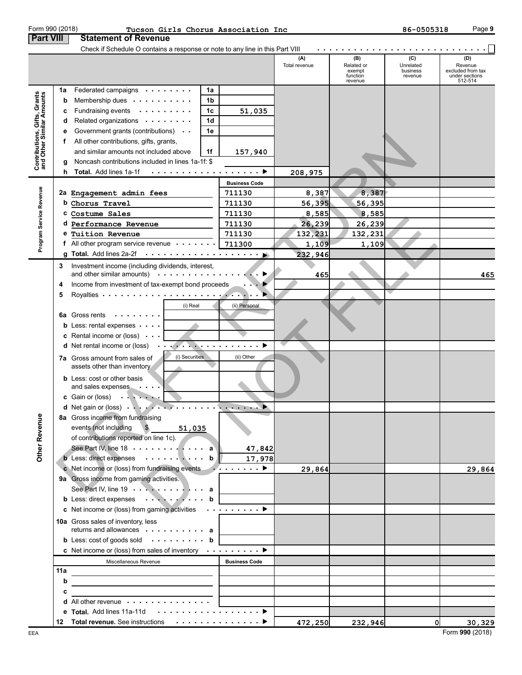|                                                                                                          |    | Check if Schedule O contains a response or note to any line in this Part VIII                                                |                      |                      |                                                    |                                         |                                                                  |
|----------------------------------------------------------------------------------------------------------|----|------------------------------------------------------------------------------------------------------------------------------|----------------------|----------------------|----------------------------------------------------|-----------------------------------------|------------------------------------------------------------------|
|                                                                                                          |    |                                                                                                                              |                      | (A)<br>Total revenue | (B)<br>Related or<br>exempt<br>function<br>revenue | (C)<br>Unrelated<br>business<br>revenue | (D)<br>Revenue<br>excluded from tax<br>under sections<br>512-514 |
|                                                                                                          | 1a | Federated campaigns<br>1a                                                                                                    |                      |                      |                                                    |                                         |                                                                  |
|                                                                                                          | b  | Membership dues<br>1b                                                                                                        |                      |                      |                                                    |                                         |                                                                  |
| Contributions, Gifts, Grants<br>and Other Similar Amounts<br>Program Service Revenue<br>≌<br>Other Rever | c  | Fundraising events<br>1c                                                                                                     | 51,035               |                      |                                                    |                                         |                                                                  |
|                                                                                                          | d  | Related organizations<br>1d                                                                                                  |                      |                      |                                                    |                                         |                                                                  |
|                                                                                                          | е  | Government grants (contributions)<br>1e                                                                                      |                      |                      |                                                    |                                         |                                                                  |
|                                                                                                          | f. | All other contributions, gifts, grants,                                                                                      |                      |                      |                                                    |                                         |                                                                  |
|                                                                                                          |    | and similar amounts not included above<br>1f                                                                                 | 157,940              |                      |                                                    |                                         |                                                                  |
|                                                                                                          | g  | Noncash contributions included in lines 1a-1f: \$                                                                            |                      |                      |                                                    |                                         |                                                                  |
|                                                                                                          | h. | Total. Add lines 1a-1f                                                                                                       |                      | 208,975              |                                                    |                                         |                                                                  |
|                                                                                                          |    |                                                                                                                              | <b>Business Code</b> |                      |                                                    |                                         |                                                                  |
|                                                                                                          |    | 2a Engagement admin fees                                                                                                     | 711130               | 8,387                | 8,387                                              |                                         |                                                                  |
|                                                                                                          |    | b Chorus Travel                                                                                                              | 711130               | 56,395               | 56,395                                             |                                         |                                                                  |
|                                                                                                          |    | c Costume Sales                                                                                                              | 711130               | 8,585                | 8,585                                              |                                         |                                                                  |
|                                                                                                          |    | d Performance Revenue                                                                                                        | 711130               | 26, 239              | 26,239                                             |                                         |                                                                  |
|                                                                                                          |    | e Tuition Revenue                                                                                                            | 711130               | 132,231              | 132,231                                            |                                         |                                                                  |
|                                                                                                          |    | f All other program service revenue                                                                                          | 711300               | 1,109                | 1,109                                              |                                         |                                                                  |
|                                                                                                          |    | g Total. Add lines 2a-2f $\cdots \cdots \cdots \cdots$                                                                       |                      | 232,946              |                                                    |                                         |                                                                  |
|                                                                                                          | 3  | Investment income (including dividends, interest,                                                                            |                      |                      |                                                    |                                         |                                                                  |
|                                                                                                          |    | and other similar amounts) $\cdots$                                                                                          |                      | 465                  |                                                    |                                         | 465                                                              |
|                                                                                                          | 4  | Income from investment of tax-exempt bond proceeds                                                                           |                      |                      |                                                    |                                         |                                                                  |
|                                                                                                          | 5  |                                                                                                                              |                      |                      |                                                    |                                         |                                                                  |
|                                                                                                          |    | (i) Real                                                                                                                     | (ii) Personal        |                      |                                                    |                                         |                                                                  |
|                                                                                                          | 6а | Gross rents<br>$\mathcal{A}$ . The set of the set of the $\mathcal{A}$                                                       |                      |                      |                                                    |                                         |                                                                  |
|                                                                                                          |    | <b>b</b> Less: rental expenses $\cdots$                                                                                      |                      |                      |                                                    |                                         |                                                                  |
|                                                                                                          |    | <b>c</b> Rental income or (loss) $\cdot \cdot \cdot$                                                                         |                      |                      |                                                    |                                         |                                                                  |
|                                                                                                          |    | $\ldots$ . The contract of the contract of $\ldots$<br><b>d</b> Net rental income or (loss) $\cdot \cdot$                    |                      |                      |                                                    |                                         |                                                                  |
|                                                                                                          |    | (i) Securities<br><b>7a</b> Gross amount from sales of<br>assets other than inventory                                        | (ii) Other           |                      |                                                    |                                         |                                                                  |
|                                                                                                          |    |                                                                                                                              |                      |                      |                                                    |                                         |                                                                  |
|                                                                                                          |    | <b>b</b> Less: cost or other basis<br>and sales expenses<br>$\sim$ 100 $\sim$ 100 $\sim$                                     |                      |                      |                                                    |                                         |                                                                  |
|                                                                                                          |    | c Gain or (loss)                                                                                                             |                      |                      |                                                    |                                         |                                                                  |
|                                                                                                          |    | d Net gain or (loss)                                                                                                         | and the same states  |                      |                                                    |                                         |                                                                  |
|                                                                                                          |    | 8a Gross income from fundraising                                                                                             |                      |                      |                                                    |                                         |                                                                  |
|                                                                                                          |    | $\mathbf{B}$<br>events (not including<br>51,035                                                                              |                      |                      |                                                    |                                         |                                                                  |
|                                                                                                          |    | of contributions reported on line 1c).                                                                                       |                      |                      |                                                    |                                         |                                                                  |
|                                                                                                          |    | See Part IV, line 18 $\cdots$ $\cdots$ $\cdots$ a                                                                            | 47,842               |                      |                                                    |                                         |                                                                  |
|                                                                                                          |    | <b>b</b> Less: direct expenses $\cdots \cdots \cdots$ <b>b</b>                                                               | 17,978               |                      |                                                    |                                         |                                                                  |
|                                                                                                          |    | c Net income or (loss) from fundraising events $\cdots$                                                                      |                      | 29,864               |                                                    |                                         | 29,864                                                           |
|                                                                                                          |    | 9a Gross income from gaming activities.                                                                                      |                      |                      |                                                    |                                         |                                                                  |
|                                                                                                          |    | See Part IV, line 19 $\cdots$ $\cdots$ $\cdots$                                                                              |                      |                      |                                                    |                                         |                                                                  |
|                                                                                                          |    | b Less: direct expenses b                                                                                                    |                      |                      |                                                    |                                         |                                                                  |
|                                                                                                          |    |                                                                                                                              |                      |                      |                                                    |                                         |                                                                  |
|                                                                                                          |    | 10a Gross sales of inventory, less                                                                                           |                      |                      |                                                    |                                         |                                                                  |
|                                                                                                          |    | returns and allowances $\cdots$ , $\cdots$ , $\cdots$                                                                        |                      |                      |                                                    |                                         |                                                                  |
|                                                                                                          |    | <b>b</b> Less: $\cosh$ of goods sold $\cdots$ $\cdots$ $\cdots$ <b>b</b>                                                     |                      |                      |                                                    |                                         |                                                                  |
|                                                                                                          |    | c Net income or (loss) from sales of inventory $\cdots \cdots$                                                               |                      |                      |                                                    |                                         |                                                                  |
|                                                                                                          |    | Miscellaneous Revenue                                                                                                        | <b>Business Code</b> |                      |                                                    |                                         |                                                                  |
|                                                                                                          |    |                                                                                                                              |                      |                      |                                                    |                                         |                                                                  |
|                                                                                                          | b  |                                                                                                                              |                      |                      |                                                    |                                         |                                                                  |
|                                                                                                          | c  |                                                                                                                              |                      |                      |                                                    |                                         |                                                                  |
|                                                                                                          |    | <b>d</b> All other revenue $\cdots$ , $\cdots$ , $\cdots$<br>e Total. Add lines 11a-11d $\ldots \ldots \ldots \ldots \ldots$ |                      |                      |                                                    |                                         |                                                                  |
|                                                                                                          |    | 12 Total revenue. See instructions ▶                                                                                         |                      |                      |                                                    | <sub>0</sub>                            | 30,329                                                           |
|                                                                                                          |    |                                                                                                                              |                      | 472,250              | 232,946                                            |                                         |                                                                  |

#### **Part VIII | Statement of Revenue** Form 990 (2018) Page **9 Tucson Girls Chorus Association Inc 86-0505318**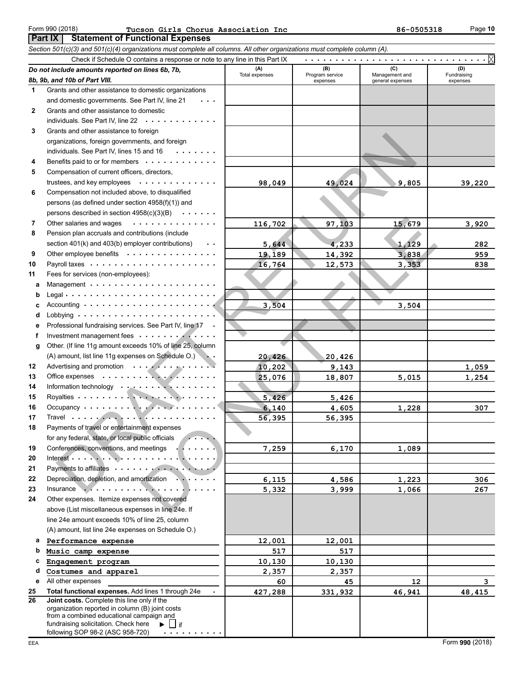#### **Part IX | Statement of Functional Expenses** Form 990 (2018) Page **10 Tucson Girls Chorus Association Inc 86-0505318**

|    | Section 501(c)(3) and 501(c)(4) organizations must complete all columns. All other organizations must complete column (A). |                |                             |                                    |                         |
|----|----------------------------------------------------------------------------------------------------------------------------|----------------|-----------------------------|------------------------------------|-------------------------|
|    | Check if Schedule O contains a response or note to any line in this Part IX                                                |                |                             |                                    |                         |
|    | Do not include amounts reported on lines 6b, 7b,                                                                           | (A)            | (B)                         | (C)                                | (D)                     |
|    | 8b, 9b, and 10b of Part VIII.                                                                                              | Total expenses | Program service<br>expenses | Management and<br>general expenses | Fundraising<br>expenses |
| 1  | Grants and other assistance to domestic organizations                                                                      |                |                             |                                    |                         |
|    | and domestic governments. See Part IV, line 21                                                                             |                |                             |                                    |                         |
| 2  | Grants and other assistance to domestic                                                                                    |                |                             |                                    |                         |
|    | individuals. See Part IV, line 22                                                                                          |                |                             |                                    |                         |
| 3  | Grants and other assistance to foreign                                                                                     |                |                             |                                    |                         |
|    | organizations, foreign governments, and foreign                                                                            |                |                             |                                    |                         |
|    | individuals. See Part IV, lines 15 and 16<br>.                                                                             |                |                             |                                    |                         |
| 4  | Benefits paid to or for members                                                                                            |                |                             |                                    |                         |
| 5  | Compensation of current officers, directors,                                                                               |                |                             |                                    |                         |
|    | trustees, and key employees                                                                                                | 98,049         | 49,024                      | 9,805                              | 39,220                  |
| 6  | Compensation not included above, to disqualified                                                                           |                |                             |                                    |                         |
|    | persons (as defined under section 4958(f)(1)) and                                                                          |                |                             |                                    |                         |
|    | persons described in section 4958(c)(3)(B)<br>$\sim$ .<br><br><br><br><br><br><br><br><br><br><br><br>                     |                |                             |                                    |                         |
| 7  | Other salaries and wages<br>.                                                                                              |                |                             |                                    |                         |
| 8  | Pension plan accruals and contributions (include                                                                           | 116,702        | 97,103                      | 15,679                             | 3,920                   |
|    | section 401(k) and 403(b) employer contributions)<br>$\ddot{\phantom{0}}$                                                  | 5,644          | 4,233                       | 1,129                              |                         |
|    | Other employee benefits                                                                                                    |                |                             |                                    | 282                     |
| 9  |                                                                                                                            | 19,189         | 14,392                      | 3,838                              | 959                     |
| 10 |                                                                                                                            | 16,764         | 12,573                      | 3,353                              | 838                     |
| 11 | Fees for services (non-employees):                                                                                         |                |                             |                                    |                         |
| a  |                                                                                                                            |                |                             |                                    |                         |
| b  | Accounting $\cdots$ $\cdots$ $\cdots$ $\cdots$ $\cdots$ $\cdots$ $\cdots$ $\cdots$                                         |                |                             |                                    |                         |
| c  |                                                                                                                            | 3,504          |                             | 3,504                              |                         |
| d  |                                                                                                                            |                |                             |                                    |                         |
| е  | Professional fundraising services. See Part IV, line 17                                                                    |                |                             |                                    |                         |
| f  | Investment management fees                                                                                                 |                |                             |                                    |                         |
| g  | Other. (If line 11g amount exceeds 10% of line 25, column                                                                  |                |                             |                                    |                         |
|    | (A) amount, list line 11g expenses on Schedule O.)                                                                         | 20,426         | 20,426                      |                                    |                         |
| 12 | Advertising and promotion                                                                                                  | 10, 202        | 9,143                       |                                    | 1,059                   |
| 13 |                                                                                                                            | 25,076         | 18,807                      | 5,015                              | 1,254                   |
| 14 | Information technology                                                                                                     |                |                             |                                    |                         |
| 15 |                                                                                                                            | 5,426          | 5,426                       |                                    |                         |
| 16 |                                                                                                                            | 6,140          | 4,605                       | 1,228                              | 307                     |
| 17 | Travel $\cdots$                                                                                                            | 56,395         | 56,395                      |                                    |                         |
| 18 | Payments of travel or entertainment expenses                                                                               |                |                             |                                    |                         |
|    | for any federal, state, or local public officials                                                                          |                |                             |                                    |                         |
| 19 | Conferences, conventions, and meetings<br>.                                                                                | 7,259          | 6,170                       | 1,089                              |                         |
| 20 | Interest. $\ldots$ .                                                                                                       |                |                             |                                    |                         |
| 21 | Payments to affiliates                                                                                                     |                |                             |                                    |                         |
| 22 | Depreciation, depletion, and amortization                                                                                  | 6,115          | 4,586                       | 1,223                              | 306                     |
| 23 | <b>Insurance</b><br>. <b>. .</b> 1                                                                                         | 5,332          | 3,999                       | 1,066                              | 267                     |
| 24 | Other expenses. Itemize expenses not covered                                                                               |                |                             |                                    |                         |
|    | above (List miscellaneous expenses in line 24e. If                                                                         |                |                             |                                    |                         |
|    | line 24e amount exceeds 10% of line 25, column                                                                             |                |                             |                                    |                         |
|    | (A) amount, list line 24e expenses on Schedule O.)                                                                         |                |                             |                                    |                         |
| a  | Performance expense                                                                                                        | 12,001         | 12,001                      |                                    |                         |
| b  | Music camp expense                                                                                                         | 517            | 517                         |                                    |                         |
| с  | Engagement program                                                                                                         | 10,130         | 10,130                      |                                    |                         |
| d  | Costumes and apparel                                                                                                       | 2,357          | 2,357                       |                                    |                         |
| е  | All other expenses                                                                                                         | 60             | 45                          | 12                                 | 3                       |
| 25 | Total functional expenses. Add lines 1 through 24e                                                                         | 427,288        | 331,932                     | 46,941                             | 48,415                  |
| 26 | Joint costs. Complete this line only if the                                                                                |                |                             |                                    |                         |
|    | organization reported in column (B) joint costs<br>from a combined educational campaign and                                |                |                             |                                    |                         |
|    | fundraising solicitation. Check here<br>Þ.<br>$ $ if                                                                       |                |                             |                                    |                         |
|    | following SOP 98-2 (ASC 958-720)                                                                                           |                |                             |                                    |                         |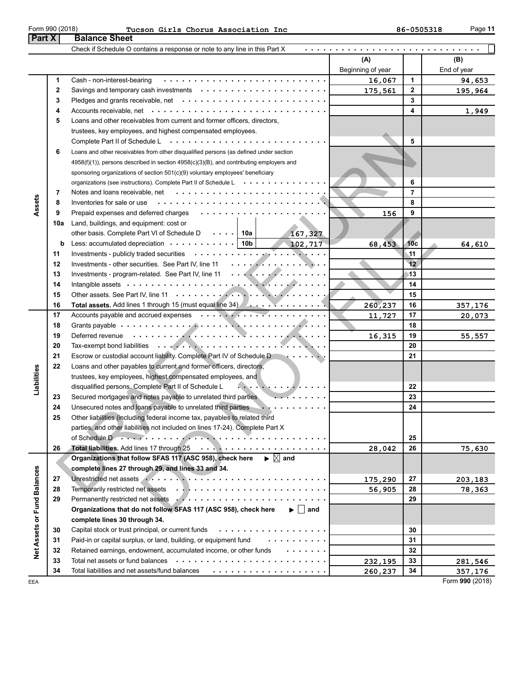| Form 990 (201 |  |
|---------------|--|
|---------------|--|

| age |  |
|-----|--|
|     |  |

|                                 |     | <b>Balance Sheet</b>                                                                                                                                                                                                           |                   |                 |                 |
|---------------------------------|-----|--------------------------------------------------------------------------------------------------------------------------------------------------------------------------------------------------------------------------------|-------------------|-----------------|-----------------|
|                                 |     | Check if Schedule O contains a response or note to any line in this Part X                                                                                                                                                     |                   |                 |                 |
|                                 |     |                                                                                                                                                                                                                                | (A)               |                 | (B)             |
|                                 |     |                                                                                                                                                                                                                                | Beginning of year |                 | End of year     |
|                                 | 1   | Cash - non-interest-bearing                                                                                                                                                                                                    | 16,067            | 1               | 94,653          |
|                                 | 2   |                                                                                                                                                                                                                                | 175,561           | 2               | 195,964         |
|                                 | 3   |                                                                                                                                                                                                                                |                   | 3               |                 |
|                                 | 4   |                                                                                                                                                                                                                                |                   | 4               | 1,949           |
| Part X<br>Assets<br>Liabilities | 5   | Loans and other receivables from current and former officers, directors,                                                                                                                                                       |                   |                 |                 |
|                                 |     | trustees, key employees, and highest compensated employees.                                                                                                                                                                    |                   |                 |                 |
|                                 |     |                                                                                                                                                                                                                                |                   | 5               |                 |
|                                 | 6   | Loans and other receivables from other disqualified persons (as defined under section                                                                                                                                          |                   |                 |                 |
|                                 |     | $4958(f)(1)$ ), persons described in section $4958(c)(3)(B)$ , and contributing employers and                                                                                                                                  |                   |                 |                 |
|                                 |     | sponsoring organizations of section 501(c)(9) voluntary employees' beneficiary                                                                                                                                                 |                   |                 |                 |
|                                 |     | organizations (see instructions). Complete Part II of Schedule L                                                                                                                                                               |                   | 6               |                 |
|                                 | 7   |                                                                                                                                                                                                                                |                   | $\overline{7}$  |                 |
|                                 | 8   | Inventories for sale or use                                                                                                                                                                                                    |                   | 8               |                 |
|                                 | 9   | Prepaid expenses and deferred charges                                                                                                                                                                                          | 156               | 9               |                 |
|                                 | 10a | Land, buildings, and equipment: cost or                                                                                                                                                                                        |                   |                 |                 |
|                                 |     | other basis. Complete Part VI of Schedule D $\cdots$   10a<br>167,327                                                                                                                                                          |                   |                 |                 |
|                                 | b   | Less: accumulated depreciation $\cdots \cdots \cdots$   10b<br>102,717                                                                                                                                                         | 68,453            | 10 <sub>c</sub> | 64,610          |
|                                 | 11  |                                                                                                                                                                                                                                |                   | $\mathbf{11}$   |                 |
|                                 | 12  |                                                                                                                                                                                                                                |                   | 12              |                 |
|                                 | 13  | Investments - program-related. See Part IV, line 11                                                                                                                                                                            |                   | 13              |                 |
|                                 | 14  |                                                                                                                                                                                                                                |                   | 14              |                 |
|                                 | 15  |                                                                                                                                                                                                                                |                   | 15              |                 |
|                                 | 16  | Total assets. Add lines 1 through 15 (must equal line 34) A.                                                                                                                                                                   | 260,237           | 16              | 357,176         |
|                                 | 17  |                                                                                                                                                                                                                                | 11,727            | 17              | 20,073          |
|                                 | 18  |                                                                                                                                                                                                                                |                   | 18              |                 |
|                                 | 19  | Deferred revenue enterity and the contract of the contract of the contract of the contract of the contract of                                                                                                                  | 16,315            | 19              | 55,557          |
|                                 | 20  |                                                                                                                                                                                                                                |                   | 20              |                 |
|                                 | 21  | Escrow or custodial account liability. Complete Part IV of Schedule D                                                                                                                                                          |                   | 21              |                 |
|                                 | 22  | Loans and other payables to current and former officers, directors,                                                                                                                                                            |                   |                 |                 |
|                                 |     | trustees, key employees, highest compensated employees, and                                                                                                                                                                    |                   |                 |                 |
|                                 |     | disqualified persons. Complete Part II of Schedule L<br>$\mathcal{L}$ . The contract of $\mathcal{L}$ is a set of $\mathcal{L}$                                                                                                |                   | 22              |                 |
|                                 | 23  | Secured mortgages and notes payable to unrelated third parties<br>.                                                                                                                                                            |                   | 23              |                 |
|                                 | 24  | Unsecured notes and loans payable to unrelated third parties<br>.                                                                                                                                                              |                   | 24              |                 |
|                                 |     | Other liabilities (including federal income tax, payables to related third                                                                                                                                                     |                   |                 |                 |
|                                 |     | parties, and other liabilities not included on lines 17-24). Complete Part X                                                                                                                                                   |                   |                 |                 |
|                                 |     | of Schedule Dans and Allen and Allen and Allen and Allen and Allen and Allen and Allen and Allen and Allen                                                                                                                     |                   | 25              |                 |
|                                 | 26  |                                                                                                                                                                                                                                | 28,042            | 26              | 75,630          |
|                                 |     | Organizations that follow SFAS 117 (ASC 958), check here $\qquadblacktriangleright \boxed{\times}$ and                                                                                                                         |                   |                 |                 |
|                                 |     | complete lines 27 through 29, and lines 33 and 34.                                                                                                                                                                             |                   |                 |                 |
|                                 | 27  | Unrestricted net assets Armor Albert Community of The Strict Community of The Strict Community of The Strict Community of The Strict Community of The Strict Community of The Strict Community of The Strict Community of The  | 175,290           | 27              | 203,183         |
|                                 | 28  |                                                                                                                                                                                                                                | 56,905            | 28              | 78,363          |
|                                 | 29  | Permanently restricted net assets Arthur Alexander Arthur Arthur Arthur Arthur Arthur Arthur Arthur Arthur Arthur Arthur Arthur Arthur Arthur Arthur Arthur Arthur Arthur Arthur Arthur Arthur Arthur Arthur Arthur Arthur Art |                   | 29              |                 |
|                                 |     | Organizations that do not follow SFAS 117 (ASC 958), check here<br>$\blacktriangleright$   and                                                                                                                                 |                   |                 |                 |
| Net Assets or Fund Balances     |     | complete lines 30 through 34.                                                                                                                                                                                                  |                   |                 |                 |
|                                 | 30  |                                                                                                                                                                                                                                |                   | 30              |                 |
|                                 | 31  | Paid-in or capital surplus, or land, building, or equipment fund www.ware.com                                                                                                                                                  |                   | 31              |                 |
|                                 | 32  | Retained earnings, endowment, accumulated income, or other funds<br><b>Contract Contract Contract Contract Contract</b>                                                                                                        |                   | 32              |                 |
|                                 | 33  |                                                                                                                                                                                                                                | 232,195           | 33              | 281,546         |
|                                 | 34  | Total liabilities and net assets/fund balances $\cdots \cdots \cdots \cdots \cdots \cdots \cdots$                                                                                                                              | 260,237           | 34              | 357,176         |
| EEA                             |     |                                                                                                                                                                                                                                |                   |                 | Form 990 (2018) |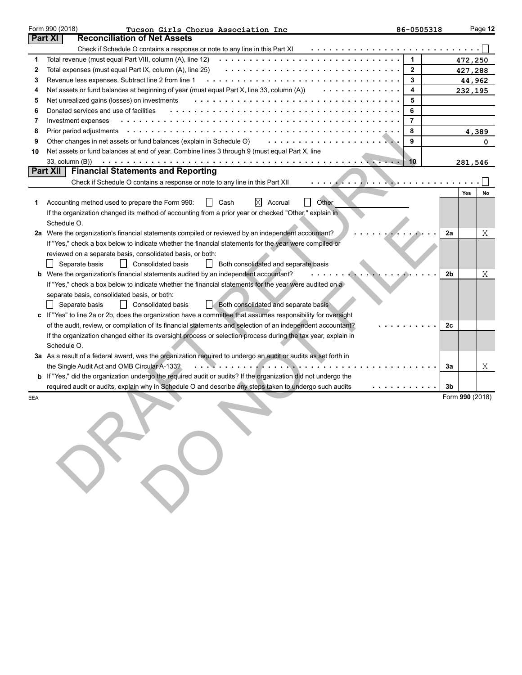|        | Form 990 (2018)<br>Tucson Girls Chorus Association Inc                                                                                          | 86-0505318     |    |                 | Page 12 |
|--------|-------------------------------------------------------------------------------------------------------------------------------------------------|----------------|----|-----------------|---------|
|        | <b>Reconciliation of Net Assets</b><br><b>Part XI</b>                                                                                           |                |    |                 |         |
|        | Check if Schedule O contains a response or note to any line in this Part XI                                                                     |                |    |                 |         |
| 1      | Total revenue (must equal Part VIII, column (A), line 12) $\cdots \cdots \cdots \cdots \cdots \cdots \cdots \cdots \cdots \cdots \cdots \cdots$ | 1              |    | 472,250         |         |
| 2      | Total expenses (must equal Part IX, column (A), line 25)                                                                                        | 2              |    | 427,288         |         |
| 3<br>4 | Net assets or fund balances at beginning of year (must equal Part X, line 33, column (A))<br>.                                                  | 3<br>4         |    | 44,962          |         |
| 5      | Net unrealized gains (losses) on investments                                                                                                    | 5              |    | 232,195         |         |
| 6      | Donated services and use of facilities                                                                                                          | 6              |    |                 |         |
| 7      | Investment expenses                                                                                                                             | $\overline{7}$ |    |                 |         |
| 8      |                                                                                                                                                 | 8              |    |                 | 4,389   |
| 9      | Other changes in net assets or fund balances (explain in Schedule O)                                                                            | 9              |    |                 | 0       |
| 10     | Net assets or fund balances at end of year. Combine lines 3 through 9 (must equal Part X, line                                                  |                |    |                 |         |
|        | $33$ , column $(B)$ )                                                                                                                           | 10             |    | 281,546         |         |
|        | <b>Financial Statements and Reporting</b><br><b>Part XII</b>                                                                                    |                |    |                 |         |
|        | Check if Schedule O contains a response or note to any line in this Part XII<br>. <i>. .</i>                                                    |                |    |                 |         |
|        |                                                                                                                                                 |                |    | Yes             | No      |
| 1      | Other<br>Accounting method used to prepare the Form 990:<br>ΙXΙ<br>Accrual<br>Cash                                                              |                |    |                 |         |
|        | If the organization changed its method of accounting from a prior year or checked "Other," explain in                                           |                |    |                 |         |
|        | Schedule O.                                                                                                                                     |                |    |                 |         |
|        | 2a Were the organization's financial statements compiled or reviewed by an independent accountant?                                              |                | 2a |                 | Χ       |
|        | If "Yes," check a box below to indicate whether the financial statements for the year were compiled or                                          |                |    |                 |         |
|        | reviewed on a separate basis, consolidated basis, or both:                                                                                      |                |    |                 |         |
|        | Consolidated basis<br>Both consolidated and separate basis<br>Separate basis<br>$\perp$                                                         |                |    |                 |         |
|        | b Were the organization's financial statements audited by an independent accountant?                                                            |                | 2b |                 | Χ       |
|        | If "Yes," check a box below to indicate whether the financial statements for the year were audited on a                                         |                |    |                 |         |
|        | separate basis, consolidated basis, or both:                                                                                                    |                |    |                 |         |
|        | Separate basis<br>$\perp$<br><b>Consolidated basis</b><br>Both consolidated and separate basis                                                  |                |    |                 |         |
|        | c If "Yes" to line 2a or 2b, does the organization have a committee that assumes responsibility for oversight                                   |                |    |                 |         |
|        | of the audit, review, or compilation of its financial statements and selection of an independent accountant?                                    |                | 2c |                 |         |
|        | If the organization changed either its oversight process or selection process during the tax year, explain in<br>Schedule O.                    |                |    |                 |         |
|        | 3a As a result of a federal award, was the organization required to undergo an audit or audits as set forth in                                  |                |    |                 |         |
|        | the Single Audit Act and OMB Circular A-133?<br>. <i>. .</i>                                                                                    |                | За |                 | Χ       |
|        | <b>b</b> If "Yes," did the organization undergo the required audit or audits? If the organization did not undergo the                           |                |    |                 |         |
|        | required audit or audits, explain why in Schedule O and describe any steps taken to undergo such audits<br>.                                    |                | 3b |                 |         |
| EEA    |                                                                                                                                                 |                |    | Form 990 (2018) |         |
|        |                                                                                                                                                 |                |    |                 |         |
|        |                                                                                                                                                 |                |    |                 |         |
|        |                                                                                                                                                 |                |    |                 |         |
|        |                                                                                                                                                 |                |    |                 |         |
|        |                                                                                                                                                 |                |    |                 |         |
|        |                                                                                                                                                 |                |    |                 |         |
|        |                                                                                                                                                 |                |    |                 |         |
|        |                                                                                                                                                 |                |    |                 |         |
|        |                                                                                                                                                 |                |    |                 |         |
|        |                                                                                                                                                 |                |    |                 |         |
|        |                                                                                                                                                 |                |    |                 |         |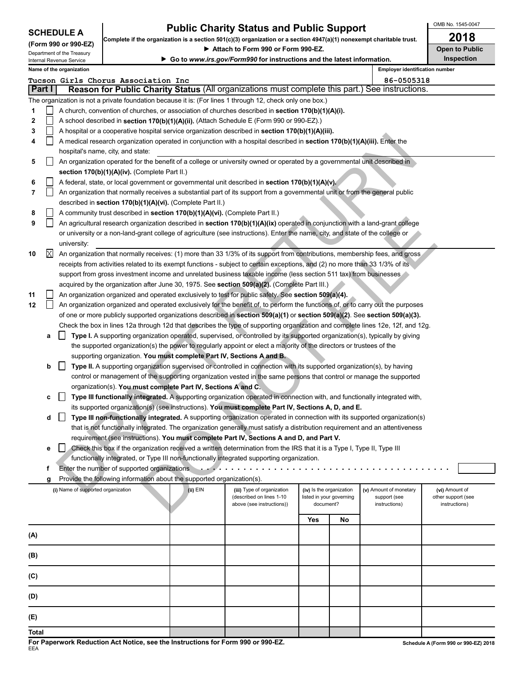| <b>SCHEDULE A</b> |  |
|-------------------|--|
|-------------------|--|

**COMPING 1998 EXERCISE:** Complete if the organization is a section 501(c)(3) organization or a section 4947(a)(1) nonexempt charitable trust.

OMB No. 1545-0047

|       |        | (Form 990 or 990-EZ)<br>Department of the Treasury |                                                                              |          | ► Attach to Form 990 or Form 990-EZ.                                                                                             |                          |                          |                        | <b>Open to Public</b> |  |  |  |
|-------|--------|----------------------------------------------------|------------------------------------------------------------------------------|----------|----------------------------------------------------------------------------------------------------------------------------------|--------------------------|--------------------------|------------------------|-----------------------|--|--|--|
|       |        | Internal Revenue Service                           |                                                                              |          | Go to www.irs.gov/Form990 for instructions and the latest information.                                                           |                          | <b>Inspection</b>        |                        |                       |  |  |  |
|       |        | Name of the organization                           |                                                                              |          | <b>Employer identification number</b>                                                                                            |                          |                          |                        |                       |  |  |  |
|       |        |                                                    | Tucson Girls Chorus Association Inc                                          |          |                                                                                                                                  |                          |                          | 86-0505318             |                       |  |  |  |
|       | Part I |                                                    |                                                                              |          | Reason for Public Charity Status (All organizations must complete this part.) See instructions.                                  |                          |                          |                        |                       |  |  |  |
|       |        |                                                    |                                                                              |          | The organization is not a private foundation because it is: (For lines 1 through 12, check only one box.)                        |                          |                          |                        |                       |  |  |  |
| 1     |        |                                                    |                                                                              |          | A church, convention of churches, or association of churches described in section 170(b)(1)(A)(i).                               |                          |                          |                        |                       |  |  |  |
| 2     |        |                                                    |                                                                              |          | A school described in section 170(b)(1)(A)(ii). (Attach Schedule E (Form 990 or 990-EZ).)                                        |                          |                          |                        |                       |  |  |  |
| 3     |        |                                                    |                                                                              |          | A hospital or a cooperative hospital service organization described in section 170(b)(1)(A)(iii).                                |                          |                          |                        |                       |  |  |  |
| 4     |        |                                                    |                                                                              |          | A medical research organization operated in conjunction with a hospital described in section 170(b)(1)(A)(iii). Enter the        |                          |                          |                        |                       |  |  |  |
|       |        |                                                    | hospital's name, city, and state:                                            |          |                                                                                                                                  |                          |                          |                        |                       |  |  |  |
| 5     |        |                                                    |                                                                              |          | An organization operated for the benefit of a college or university owned or operated by a governmental unit described in        |                          |                          |                        |                       |  |  |  |
|       |        |                                                    | section 170(b)(1)(A)(iv). (Complete Part II.)                                |          |                                                                                                                                  |                          |                          |                        |                       |  |  |  |
| 6     |        |                                                    |                                                                              |          | A federal, state, or local government or governmental unit described in section $170(b)(1)(A)(v)$ .                              |                          |                          |                        |                       |  |  |  |
| 7     |        |                                                    |                                                                              |          | An organization that normally receives a substantial part of its support from a governmental unit or from the general public     |                          |                          |                        |                       |  |  |  |
|       |        |                                                    | described in section 170(b)(1)(A)(vi). (Complete Part II.)                   |          |                                                                                                                                  |                          |                          |                        |                       |  |  |  |
| 8     |        |                                                    | A community trust described in section 170(b)(1)(A)(vi). (Complete Part II.) |          |                                                                                                                                  |                          |                          |                        |                       |  |  |  |
| 9     |        |                                                    |                                                                              |          | An agricultural research organization described in section 170(b)(1)(A)(ix) operated in conjunction with a land-grant college    |                          |                          |                        |                       |  |  |  |
|       |        |                                                    |                                                                              |          | or university or a non-land-grant college of agriculture (see instructions). Enter the name, city, and state of the college or   |                          |                          |                        |                       |  |  |  |
|       |        | university:                                        |                                                                              |          |                                                                                                                                  |                          |                          |                        |                       |  |  |  |
| 10    | Χ      |                                                    |                                                                              |          | An organization that normally receives: (1) more than 33 1/3% of its support from contributions, membership fees, and gross      |                          |                          |                        |                       |  |  |  |
|       |        |                                                    |                                                                              |          | receipts from activities related to its exempt functions - subject to certain exceptions, and (2) no more than 33 1/3% of its    |                          |                          |                        |                       |  |  |  |
|       |        |                                                    |                                                                              |          | support from gross investment income and unrelated business taxable income (less section 511 tax) from businesses                |                          |                          |                        |                       |  |  |  |
|       |        |                                                    |                                                                              |          | acquired by the organization after June 30, 1975. See section 509(a)(2). (Complete Part III.)                                    |                          |                          |                        |                       |  |  |  |
| 11    |        |                                                    |                                                                              |          | An organization organized and operated exclusively to test for public safety. See section 509(a)(4).                             |                          |                          |                        |                       |  |  |  |
| 12    |        |                                                    |                                                                              |          | An organization organized and operated exclusively for the benefit of, to perform the functions of, or to carry out the purposes |                          |                          |                        |                       |  |  |  |
|       |        |                                                    |                                                                              |          | of one or more publicly supported organizations described in section 509(a)(1) or section 509(a)(2). See section 509(a)(3).      |                          |                          |                        |                       |  |  |  |
|       |        |                                                    |                                                                              |          | Check the box in lines 12a through 12d that describes the type of supporting organization and complete lines 12e, 12f, and 12g.  |                          |                          |                        |                       |  |  |  |
|       | a      |                                                    |                                                                              |          | Type I. A supporting organization operated, supervised, or controlled by its supported organization(s), typically by giving      |                          |                          |                        |                       |  |  |  |
|       |        |                                                    |                                                                              |          | the supported organization(s) the power to regularly appoint or elect a majority of the directors or trustees of the             |                          |                          |                        |                       |  |  |  |
|       |        |                                                    | supporting organization. You must complete Part IV, Sections A and B.        |          |                                                                                                                                  |                          |                          |                        |                       |  |  |  |
|       | b      |                                                    |                                                                              |          | Type II. A supporting organization supervised or controlled in connection with its supported organization(s), by having          |                          |                          |                        |                       |  |  |  |
|       |        |                                                    |                                                                              |          | control or management of the supporting organization vested in the same persons that control or manage the supported             |                          |                          |                        |                       |  |  |  |
|       |        |                                                    | organization(s). You must complete Part IV, Sections A and C.                |          |                                                                                                                                  |                          |                          |                        |                       |  |  |  |
|       | c      |                                                    |                                                                              |          | Type III functionally integrated. A supporting organization operated in connection with, and functionally integrated with,       |                          |                          |                        |                       |  |  |  |
|       |        |                                                    |                                                                              |          | its supported organization(s) (see instructions). You must complete Part IV, Sections A, D, and E.                               |                          |                          |                        |                       |  |  |  |
|       | d      |                                                    |                                                                              |          | Type III non-functionally integrated. A supporting organization operated in connection with its supported organization(s)        |                          |                          |                        |                       |  |  |  |
|       |        |                                                    |                                                                              |          | that is not functionally integrated. The organization generally must satisfy a distribution requirement and an attentiveness     |                          |                          |                        |                       |  |  |  |
|       |        |                                                    |                                                                              |          | requirement (see instructions). You must complete Part IV, Sections A and D, and Part V.                                         |                          |                          |                        |                       |  |  |  |
|       | e      |                                                    |                                                                              |          | Check this box if the organization received a written determination from the IRS that it is a Type I, Type II, Type III          |                          |                          |                        |                       |  |  |  |
|       | f      |                                                    | Enter the number of supported organizations                                  |          | functionally integrated, or Type III non-functionally integrated supporting organization.<br>.                                   |                          | .                        |                        |                       |  |  |  |
|       |        |                                                    | Provide the following information about the supported organization(s).       |          |                                                                                                                                  |                          |                          |                        |                       |  |  |  |
|       | g      | (i) Name of supported organization                 |                                                                              |          |                                                                                                                                  | (iv) Is the organization |                          | (v) Amount of monetary | (vi) Amount of        |  |  |  |
|       |        |                                                    |                                                                              | (ii) EIN | (iii) Type of organization<br>(described on lines 1-10                                                                           |                          | listed in your governing | support (see           | other support (see    |  |  |  |
|       |        |                                                    |                                                                              |          | above (see instructions))                                                                                                        | document?                |                          | instructions)          | instructions)         |  |  |  |
|       |        |                                                    |                                                                              |          |                                                                                                                                  | Yes                      | No                       |                        |                       |  |  |  |
|       |        |                                                    |                                                                              |          |                                                                                                                                  |                          |                          |                        |                       |  |  |  |
| (A)   |        |                                                    |                                                                              |          |                                                                                                                                  |                          |                          |                        |                       |  |  |  |
|       |        |                                                    |                                                                              |          |                                                                                                                                  |                          |                          |                        |                       |  |  |  |
| (B)   |        |                                                    |                                                                              |          |                                                                                                                                  |                          |                          |                        |                       |  |  |  |
|       |        |                                                    |                                                                              |          |                                                                                                                                  |                          |                          |                        |                       |  |  |  |
| (C)   |        |                                                    |                                                                              |          |                                                                                                                                  |                          |                          |                        |                       |  |  |  |
|       |        |                                                    |                                                                              |          |                                                                                                                                  |                          |                          |                        |                       |  |  |  |
| (D)   |        |                                                    |                                                                              |          |                                                                                                                                  |                          |                          |                        |                       |  |  |  |
|       |        |                                                    |                                                                              |          |                                                                                                                                  |                          |                          |                        |                       |  |  |  |
| (E)   |        |                                                    |                                                                              |          |                                                                                                                                  |                          |                          |                        |                       |  |  |  |
| Total |        |                                                    |                                                                              |          |                                                                                                                                  |                          |                          |                        |                       |  |  |  |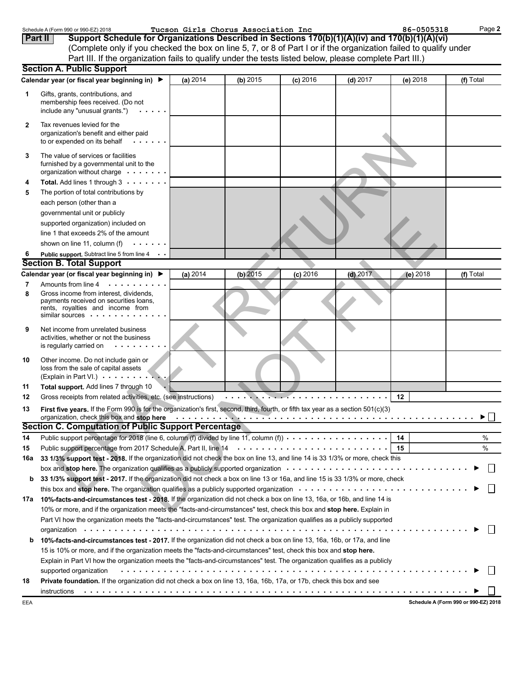|                | Schedule A (Form 990 or 990-EZ) 2018                                                                                                                                                                                           |          | Tucson Girls Chorus Association Inc |            |            | 86-0505318 | Page 2    |
|----------------|--------------------------------------------------------------------------------------------------------------------------------------------------------------------------------------------------------------------------------|----------|-------------------------------------|------------|------------|------------|-----------|
| <b>Part II</b> | Support Schedule for Organizations Described in Sections 170(b)(1)(A)(iv) and 170(b)(1)(A)(vi)                                                                                                                                 |          |                                     |            |            |            |           |
|                | (Complete only if you checked the box on line 5, 7, or 8 of Part I or if the organization failed to qualify under                                                                                                              |          |                                     |            |            |            |           |
|                | Part III. If the organization fails to qualify under the tests listed below, please complete Part III.)                                                                                                                        |          |                                     |            |            |            |           |
|                | <b>Section A. Public Support</b>                                                                                                                                                                                               |          |                                     |            |            |            |           |
|                | Calendar year (or fiscal year beginning in) ▶                                                                                                                                                                                  | (a) 2014 | (b) 2015                            | $(c)$ 2016 | $(d)$ 2017 | (e) 2018   | (f) Total |
| 1              | Gifts, grants, contributions, and                                                                                                                                                                                              |          |                                     |            |            |            |           |
|                | membership fees received. (Do not                                                                                                                                                                                              |          |                                     |            |            |            |           |
|                | include any "unusual grants.")                                                                                                                                                                                                 |          |                                     |            |            |            |           |
| 2              | Tax revenues levied for the                                                                                                                                                                                                    |          |                                     |            |            |            |           |
|                | organization's benefit and either paid                                                                                                                                                                                         |          |                                     |            |            |            |           |
|                | to or expended on its behalf                                                                                                                                                                                                   |          |                                     |            |            |            |           |
| 3              | The value of services or facilities                                                                                                                                                                                            |          |                                     |            |            |            |           |
|                | furnished by a governmental unit to the                                                                                                                                                                                        |          |                                     |            |            |            |           |
|                | organization without charge                                                                                                                                                                                                    |          |                                     |            |            |            |           |
| 4              | Total. Add lines 1 through 3                                                                                                                                                                                                   |          |                                     |            |            |            |           |
| 5              | The portion of total contributions by                                                                                                                                                                                          |          |                                     |            |            |            |           |
|                | each person (other than a                                                                                                                                                                                                      |          |                                     |            |            |            |           |
|                | governmental unit or publicly                                                                                                                                                                                                  |          |                                     |            |            |            |           |
|                | supported organization) included on                                                                                                                                                                                            |          |                                     |            |            |            |           |
|                | line 1 that exceeds 2% of the amount                                                                                                                                                                                           |          |                                     |            |            |            |           |
|                | shown on line 11, column (f)                                                                                                                                                                                                   |          |                                     |            |            |            |           |
|                | Public support. Subtract line 5 from line 4                                                                                                                                                                                    |          |                                     |            |            |            |           |
|                | <b>Section B. Total Support</b>                                                                                                                                                                                                |          |                                     |            |            |            |           |
|                | Calendar year (or fiscal year beginning in) ▶                                                                                                                                                                                  | (a) 2014 | $(b)$ 2015                          | $(c)$ 2016 | $(d)$ 2017 | (e) $2018$ | (f) Total |
| 7              | Amounts from line 4<br>.                                                                                                                                                                                                       |          |                                     |            |            |            |           |
| 8              | Gross income from interest, dividends,                                                                                                                                                                                         |          |                                     |            |            |            |           |
|                | payments received on securities loans,<br>rents, royalties and income from                                                                                                                                                     |          |                                     |            |            |            |           |
|                | similar sources $\cdots$ .                                                                                                                                                                                                     |          |                                     |            |            |            |           |
| 9              | Net income from unrelated business                                                                                                                                                                                             |          |                                     |            |            |            |           |
|                | activities, whether or not the business                                                                                                                                                                                        |          |                                     |            |            |            |           |
|                | is regularly carried on<br>$\sim$ $\sim$ $\sim$ $\sim$                                                                                                                                                                         |          |                                     |            |            |            |           |
| 10             | Other income. Do not include gain or                                                                                                                                                                                           |          |                                     |            |            |            |           |
|                | loss from the sale of capital assets                                                                                                                                                                                           |          |                                     |            |            |            |           |
|                | (Explain in Part VI.)                                                                                                                                                                                                          |          |                                     |            |            |            |           |
| 11             | Total support. Add lines 7 through 10                                                                                                                                                                                          |          |                                     |            |            |            |           |
| 12             | Gross receipts from related activities, etc. (see instructions)                                                                                                                                                                |          |                                     |            |            | 12         |           |
| 13             | First five years. If the Form 990 is for the organization's first, second, third, fourth, or fifth tax year as a section 501(c)(3)                                                                                             |          |                                     |            |            |            |           |
|                | organization, check this box and stop here entirely and the set of the set of the set of the set of the set of the set of the set of the set of the set of the set of the set of the set of the set of the set of the set of t |          |                                     |            |            |            | ▶         |
|                | Section C. Computation of Public Support Percentage                                                                                                                                                                            |          |                                     |            |            |            |           |
| 14             |                                                                                                                                                                                                                                |          |                                     |            |            |            | $\%$      |
| 15             |                                                                                                                                                                                                                                |          |                                     |            |            |            | %         |
| 16a            | 33 1/3% support test - 2018. If the organization did not check the box on line 13, and line 14 is 33 1/3% or more, check this                                                                                                  |          |                                     |            |            |            |           |
|                |                                                                                                                                                                                                                                |          |                                     |            |            |            |           |
| b              | 33 1/3% support test - 2017. If the organization did not check a box on line 13 or 16a, and line 15 is 33 1/3% or more, check                                                                                                  |          |                                     |            |            |            |           |
|                |                                                                                                                                                                                                                                |          |                                     |            |            |            |           |
|                | 17a 10%-facts-and-circumstances test - 2018. If the organization did not check a box on line 13, 16a, or 16b, and line 14 is                                                                                                   |          |                                     |            |            |            |           |
|                | 10% or more, and if the organization meets the "facts-and-circumstances" test, check this box and stop here. Explain in                                                                                                        |          |                                     |            |            |            |           |
|                | Part VI how the organization meets the "facts-and-circumstances" test. The organization qualifies as a publicly supported                                                                                                      |          |                                     |            |            |            |           |
|                |                                                                                                                                                                                                                                |          |                                     |            |            |            |           |
| b              | 10%-facts-and-circumstances test - 2017. If the organization did not check a box on line 13, 16a, 16b, or 17a, and line                                                                                                        |          |                                     |            |            |            |           |
|                | 15 is 10% or more, and if the organization meets the "facts-and-circumstances" test, check this box and <b>stop here.</b>                                                                                                      |          |                                     |            |            |            |           |
|                | Explain in Part VI how the organization meets the "facts-and-circumstances" test. The organization qualifies as a publicly                                                                                                     |          |                                     |            |            |            |           |
|                | supported organization                                                                                                                                                                                                         |          |                                     |            |            |            |           |
| 18             | Private foundation. If the organization did not check a box on line 13, 16a, 16b, 17a, or 17b, check this box and see                                                                                                          |          |                                     |            |            |            |           |
|                | instructions                                                                                                                                                                                                                   |          |                                     |            |            |            |           |
|                |                                                                                                                                                                                                                                |          |                                     |            |            |            |           |

**Schedule A (Form 990 or 990-EZ) 2018**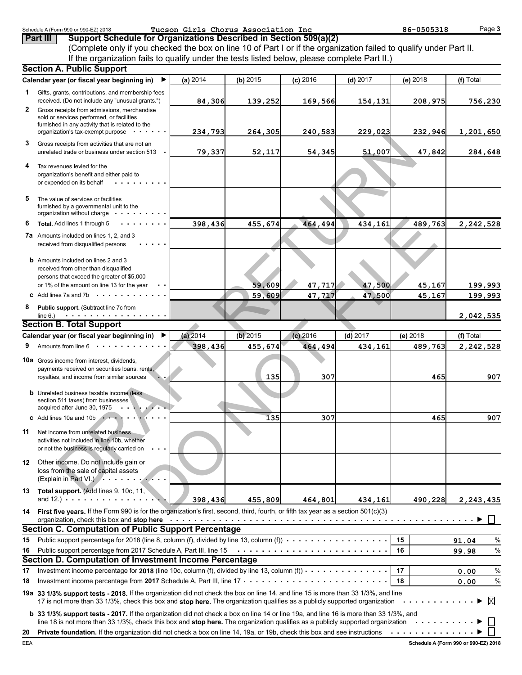|                | Schedule A (Form 990 or 990-EZ) 2018                                                                                                                                                                                                                                                                                                                                 |          | Tucson Girls Chorus Association Inc |            |            | 86-0505318 | Page 3        |
|----------------|----------------------------------------------------------------------------------------------------------------------------------------------------------------------------------------------------------------------------------------------------------------------------------------------------------------------------------------------------------------------|----------|-------------------------------------|------------|------------|------------|---------------|
|                | Support Schedule for Organizations Described in Section 509(a)(2)<br>Part III                                                                                                                                                                                                                                                                                        |          |                                     |            |            |            |               |
|                | (Complete only if you checked the box on line 10 of Part I or if the organization failed to qualify under Part II.                                                                                                                                                                                                                                                   |          |                                     |            |            |            |               |
|                | If the organization fails to qualify under the tests listed below, please complete Part II.)<br><b>Section A. Public Support</b>                                                                                                                                                                                                                                     |          |                                     |            |            |            |               |
|                | Calendar year (or fiscal year beginning in)<br>▶                                                                                                                                                                                                                                                                                                                     | (a) 2014 |                                     |            |            |            | (f) Total     |
|                |                                                                                                                                                                                                                                                                                                                                                                      |          | (b) 2015                            | $(c)$ 2016 | $(d)$ 2017 | (e) 2018   |               |
| 1              | Gifts, grants, contributions, and membership fees<br>received. (Do not include any "unusual grants.")                                                                                                                                                                                                                                                                | 84,306   | 139,252                             | 169,566    | 154,131    | 208,975    | 756,230       |
| $\mathbf{2}^-$ | Gross receipts from admissions, merchandise<br>sold or services performed, or facilities                                                                                                                                                                                                                                                                             |          |                                     |            |            |            |               |
|                | furnished in any activity that is related to the<br>organization's tax-exempt purpose                                                                                                                                                                                                                                                                                | 234,793  | 264, 305                            | 240,583    | 229,023    | 232,946    | 1,201,650     |
| 3              | Gross receipts from activities that are not an                                                                                                                                                                                                                                                                                                                       |          |                                     |            |            |            |               |
|                | unrelated trade or business under section 513                                                                                                                                                                                                                                                                                                                        | 79,337   | 52,117                              | 54,345     | 51,007     | 47,842     | 284,648       |
|                | Tax revenues levied for the<br>organization's benefit and either paid to<br>or expended on its behalf                                                                                                                                                                                                                                                                |          |                                     |            |            |            |               |
| 5              | The value of services or facilities<br>furnished by a governmental unit to the<br>organization without charge .                                                                                                                                                                                                                                                      |          |                                     |            |            |            |               |
| 6              | Total. Add lines 1 through 5                                                                                                                                                                                                                                                                                                                                         | 398,436  | 455,674                             | 464,494    | 434,161    | 489,763    | 2,242,528     |
|                | <b>7a</b> Amounts included on lines 1, 2, and 3<br>received from disqualified persons                                                                                                                                                                                                                                                                                |          |                                     |            |            |            |               |
|                | <b>b</b> Amounts included on lines 2 and 3<br>received from other than disqualified                                                                                                                                                                                                                                                                                  |          |                                     |            |            |            |               |
|                | persons that exceed the greater of \$5,000                                                                                                                                                                                                                                                                                                                           |          |                                     |            |            |            |               |
|                | or 1% of the amount on line 13 for the year                                                                                                                                                                                                                                                                                                                          |          | 59,609                              | 47,717     | 47,500     | 45,167     | 199,993       |
|                | <b>c</b> Add lines 7a and 7b $\cdots$                                                                                                                                                                                                                                                                                                                                |          | 59,609                              | 47,717     | 47,500     | 45,167     | 199,993       |
| 8              | Public support. (Subtract line 7c from<br>. <b>.</b> .<br>line $6.$ )                                                                                                                                                                                                                                                                                                |          |                                     |            |            |            | 2,042,535     |
|                | <b>Section B. Total Support</b>                                                                                                                                                                                                                                                                                                                                      |          |                                     |            |            |            |               |
|                | Calendar year (or fiscal year beginning in)                                                                                                                                                                                                                                                                                                                          | (a) 2014 | $(b)$ 2015                          | $(c)$ 2016 | $(d)$ 2017 | (e) 2018   | (f) Total     |
| 9              | Amounts from line $6 \cdot \cdot \cdot \cdot$                                                                                                                                                                                                                                                                                                                        | 398,436  | 455,674                             | 464,494    | 434,161    | 489,763    | 2,242,528     |
|                | 10a Gross income from interest, dividends,<br>payments received on securities loans, rents,<br>royalties, and income from similar sources                                                                                                                                                                                                                            |          | 135                                 | 307        |            | 465        | 907           |
|                | <b>b</b> Unrelated business taxable income (less<br>section 511 taxes) from businesses                                                                                                                                                                                                                                                                               |          |                                     |            |            |            |               |
|                | acquired after June 30, 1975<br><b>c</b> Add lines 10a and 10b $\cdot$                                                                                                                                                                                                                                                                                               |          |                                     |            |            |            |               |
|                |                                                                                                                                                                                                                                                                                                                                                                      |          | 135                                 | 307        |            | 465        | 907           |
| 11             | Net income from unrelated business<br>activities not included in line 10b, whether<br>or not the business is regularly carried on                                                                                                                                                                                                                                    |          |                                     |            |            |            |               |
| 12             | Other income. Do not include gain or<br>loss from the sale of capital assets<br>(Explain in Part VI.) $\cdots$                                                                                                                                                                                                                                                       |          |                                     |            |            |            |               |
|                | 13 Total support. (Add lines 9, 10c, 11,<br>and 12.) $\cdots$ $\cdots$ $\cdots$ $\cdots$ $\cdots$                                                                                                                                                                                                                                                                    | 398,436  | 455,809                             | 464,801    | 434,161    | 490,228    | 2,243,435     |
| 14             | First five years. If the Form 990 is for the organization's first, second, third, fourth, or fifth tax year as a section 501(c)(3)<br>organization, check this box and stop here example of the state of the state of the state of the state of the state of the state of the state of the state of the state of the state of the state of the state of the state of |          |                                     |            |            |            |               |
|                | Section C. Computation of Public Support Percentage                                                                                                                                                                                                                                                                                                                  |          |                                     |            |            |            |               |
| 15             | Public support percentage for 2018 (line 8, column (f), divided by line 13, column (f) $\cdots$                                                                                                                                                                                                                                                                      |          |                                     |            |            | 15         | $\%$<br>91.04 |
| 16             | Public support percentage from 2017 Schedule A, Part III, line 15 (a) and contain a series of the support percentage from 2017 Schedule A, Part III, line 15<br>Section D. Computation of Investment Income Percentage                                                                                                                                               |          |                                     |            |            | 16         | $\%$<br>99.98 |
| 17             | Investment income percentage for 2018 (line 10c, column (f), divided by line 13, column (f)) $\cdots$                                                                                                                                                                                                                                                                |          |                                     |            |            | 17         | $\%$<br>0.00  |
| 18             | Investment income percentage from 2017 Schedule A, Part III, line $17 + \cdots + \cdots + \cdots + \cdots + \cdots$                                                                                                                                                                                                                                                  |          |                                     |            |            | 18         | $\%$<br>0.00  |
|                | 19a 33 1/3% support tests - 2018. If the organization did not check the box on line 14, and line 15 is more than 33 1/3%, and line<br>17 is not more than 33 1/3%, check this box and stop here. The organization qualifies as a publicly supported organization                                                                                                     |          |                                     |            |            | .          | Σl            |
|                | <b>b</b> 33 1/3% support tests - 2017. If the organization did not check a box on line 14 or line 19a, and line 16 is more than 33 1/3%, and<br>line 18 is not more than 33 1/3%, check this box and stop here. The organization qualifies as a publicly supported organization $\cdots \cdots \cdots$                                                               |          |                                     |            |            |            |               |
|                |                                                                                                                                                                                                                                                                                                                                                                      |          |                                     |            |            |            |               |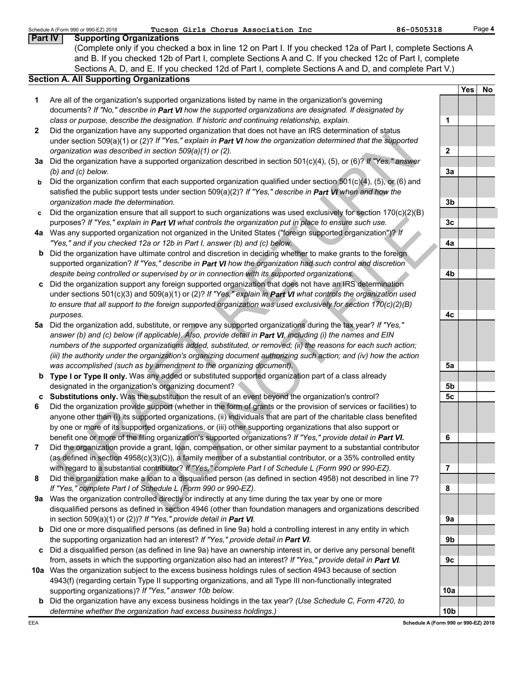|                | Tucson Girls Chorus Association Inc<br>86-0505318<br>Schedule A (Form 990 or 990-EZ) 2018                                                                                                                                |                 |     | Page 4 |
|----------------|--------------------------------------------------------------------------------------------------------------------------------------------------------------------------------------------------------------------------|-----------------|-----|--------|
| <b>Part IV</b> | <b>Supporting Organizations</b>                                                                                                                                                                                          |                 |     |        |
|                | (Complete only if you checked a box in line 12 on Part I. If you checked 12a of Part I, complete Sections A                                                                                                              |                 |     |        |
|                | and B. If you checked 12b of Part I, complete Sections A and C. If you checked 12c of Part I, complete                                                                                                                   |                 |     |        |
|                | Sections A, D, and E. If you checked 12d of Part I, complete Sections A and D, and complete Part V.)                                                                                                                     |                 |     |        |
|                | <b>Section A. All Supporting Organizations</b>                                                                                                                                                                           |                 |     |        |
|                |                                                                                                                                                                                                                          |                 | Yes | No     |
| 1              | Are all of the organization's supported organizations listed by name in the organization's governing                                                                                                                     |                 |     |        |
|                | documents? If "No," describe in Part VI how the supported organizations are designated. If designated by                                                                                                                 |                 |     |        |
|                | class or purpose, describe the designation. If historic and continuing relationship, explain.                                                                                                                            | 1               |     |        |
| $\mathbf{2}$   | Did the organization have any supported organization that does not have an IRS determination of status                                                                                                                   |                 |     |        |
|                | under section 509(a)(1) or (2)? If "Yes," explain in Part VI how the organization determined that the supported                                                                                                          |                 |     |        |
|                | organization was described in section 509(a)(1) or (2).                                                                                                                                                                  | $\mathbf{2}$    |     |        |
|                | 3a Did the organization have a supported organization described in section 501(c)(4), (5), or (6)? If "Yes," answer                                                                                                      |                 |     |        |
|                | $(b)$ and $(c)$ below.                                                                                                                                                                                                   | 3a              |     |        |
| b              | Did the organization confirm that each supported organization qualified under section $501(c)(4)$ , (5), or (6) and                                                                                                      |                 |     |        |
|                | satisfied the public support tests under section $509(a)(2)?$ If "Yes," describe in Part VI when and how the                                                                                                             |                 |     |        |
|                | organization made the determination.                                                                                                                                                                                     | 3 <sub>b</sub>  |     |        |
| c              | Did the organization ensure that all support to such organizations was used exclusively for section 170(c)(2)(B)                                                                                                         |                 |     |        |
|                | purposes? If "Yes," explain in Part VI what controls the organization put in place to ensure such use.                                                                                                                   | 3 <sub>c</sub>  |     |        |
|                | 4a Was any supported organization not organized in the United States ("foreign supported organization")? If                                                                                                              |                 |     |        |
|                | "Yes," and if you checked 12a or 12b in Part I, answer (b) and (c) below.                                                                                                                                                | 4a              |     |        |
| b              | Did the organization have ultimate control and discretion in deciding whether to make grants to the foreign                                                                                                              |                 |     |        |
|                | supported organization? If "Yes," describe in Part VI how the organization had such control and discretion                                                                                                               |                 |     |        |
|                | despite being controlled or supervised by or in connection with its supported organizations.                                                                                                                             | 4b              |     |        |
|                | Did the organization support any foreign supported organization that does not have an IRS determination                                                                                                                  |                 |     |        |
|                | under sections $501(c)(3)$ and $509(a)(1)$ or (2)? If "Yes," explain in Part VI what controls the organization used                                                                                                      |                 |     |        |
|                | to ensure that all support to the foreign supported organization was used exclusively for section 170(c)(2)(B)                                                                                                           |                 |     |        |
|                | purposes.                                                                                                                                                                                                                | 4c              |     |        |
| 5а             | Did the organization add, substitute, or remove any supported organizations during the tax year? If "Yes,"<br>answer (b) and (c) below (if applicable). Also, provide detail in Part VI, including (i) the names and EIN |                 |     |        |
|                | numbers of the supported organizations added, substituted, or removed; (ii) the reasons for each such action;                                                                                                            |                 |     |        |
|                | (iii) the authority under the organization's organizing document authorizing such action; and (iv) how the action                                                                                                        |                 |     |        |
|                | was accomplished (such as by amendment to the organizing document).                                                                                                                                                      | 5a              |     |        |
|                | b Type I or Type II only. Was any added or substituted supported organization part of a class already                                                                                                                    |                 |     |        |
|                | designated in the organization's organizing document?                                                                                                                                                                    | 5b              |     |        |
|                | c Substitutions only. Was the substitution the result of an event beyond the organization's control?                                                                                                                     | 5c              |     |        |
| 6              | Did the organization provide support (whether in the form of grants or the provision of services or facilities) to                                                                                                       |                 |     |        |
|                | anyone other than (i) its supported organizations, (ii) individuals that are part of the charitable class benefited                                                                                                      |                 |     |        |
|                | by one or more of its supported organizations, or (iii) other supporting organizations that also support or                                                                                                              |                 |     |        |
|                | benefit one or more of the filing organization's supported organizations? If "Yes," provide detail in Part VI.                                                                                                           | 6               |     |        |
| 7              | Did the organization provide a grant, loan, compensation, or other similar payment to a substantial contributor                                                                                                          |                 |     |        |
|                | (as defined in section 4958(c)(3)(C)), a family member of a substantial contributor, or a 35% controlled entity                                                                                                          |                 |     |        |
|                | with regard to a substantial contributor? If "Yes," complete Part I of Schedule L (Form 990 or 990-EZ).                                                                                                                  | 7               |     |        |
| 8              | Did the organization make a loan to a disqualified person (as defined in section 4958) not described in line 7?                                                                                                          |                 |     |        |
|                | If "Yes," complete Part I of Schedule L (Form 990 or 990-EZ).                                                                                                                                                            | 8               |     |        |
| 9а             | Was the organization controlled directly or indirectly at any time during the tax year by one or more                                                                                                                    |                 |     |        |
|                | disqualified persons as defined in section 4946 (other than foundation managers and organizations described                                                                                                              |                 |     |        |
|                | in section 509(a)(1) or (2))? If "Yes," provide detail in Part VI.                                                                                                                                                       | 9a              |     |        |
| b              | Did one or more disqualified persons (as defined in line 9a) hold a controlling interest in any entity in which                                                                                                          |                 |     |        |
|                | the supporting organization had an interest? If "Yes," provide detail in Part VI.                                                                                                                                        | 9b              |     |        |
| C              | Did a disqualified person (as defined in line 9a) have an ownership interest in, or derive any personal benefit                                                                                                          |                 |     |        |
|                | from, assets in which the supporting organization also had an interest? If "Yes," provide detail in Part VI.                                                                                                             | 9c              |     |        |
|                | 10a Was the organization subject to the excess business holdings rules of section 4943 because of section                                                                                                                |                 |     |        |
|                | 4943(f) (regarding certain Type II supporting organizations, and all Type III non-functionally integrated                                                                                                                |                 |     |        |
|                | supporting organizations)? If "Yes," answer 10b below.                                                                                                                                                                   | 10a             |     |        |
| b              | Did the organization have any excess business holdings in the tax year? (Use Schedule C, Form 4720, to                                                                                                                   |                 |     |        |
|                | determine whether the organization had excess business holdings.)                                                                                                                                                        | 10 <sub>b</sub> |     |        |
| EEA            | Schedule A (Form 990 or 990-EZ) 2018                                                                                                                                                                                     |                 |     |        |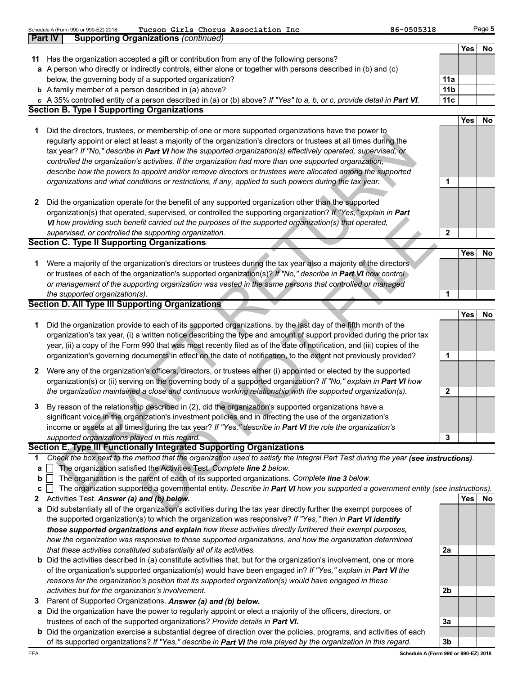|    | Tucson Girls Chorus Association Inc<br>Schedule A (Form 990 or 990-EZ) 2018                                                       | 86-0505318      |            | Page 5 |
|----|-----------------------------------------------------------------------------------------------------------------------------------|-----------------|------------|--------|
|    | <b>Supporting Organizations (continued)</b><br><b>Part IV</b>                                                                     |                 |            |        |
|    |                                                                                                                                   |                 | Yes        | No     |
| 11 | Has the organization accepted a gift or contribution from any of the following persons?                                           |                 |            |        |
|    | a A person who directly or indirectly controls, either alone or together with persons described in (b) and (c)                    |                 |            |        |
|    | below, the governing body of a supported organization?                                                                            | 11a             |            |        |
|    | <b>b</b> A family member of a person described in (a) above?                                                                      | 11 <sub>b</sub> |            |        |
|    | c A 35% controlled entity of a person described in (a) or (b) above? If "Yes" to a, b, or c, provide detail in Part VI.           | 11c             |            |        |
|    | <b>Section B. Type I Supporting Organizations</b>                                                                                 |                 |            |        |
|    |                                                                                                                                   |                 | Yes        | No     |
| 1  | Did the directors, trustees, or membership of one or more supported organizations have the power to                               |                 |            |        |
|    | regularly appoint or elect at least a majority of the organization's directors or trustees at all times during the                |                 |            |        |
|    | tax year? If "No," describe in Part VI how the supported organization(s) effectively operated, supervised, or                     |                 |            |        |
|    | controlled the organization's activities. If the organization had more than one supported organization,                           |                 |            |        |
|    | describe how the powers to appoint and/or remove directors or trustees were allocated among the supported                         |                 |            |        |
|    | organizations and what conditions or restrictions, if any, applied to such powers during the tax year.                            | 1               |            |        |
|    |                                                                                                                                   |                 |            |        |
| 2  | Did the organization operate for the benefit of any supported organization other than the supported                               |                 |            |        |
|    | organization(s) that operated, supervised, or controlled the supporting organization? If "Yes," explain in Part                   |                 |            |        |
|    | VI how providing such benefit carried out the purposes of the supported organization(s) that operated,                            |                 |            |        |
|    | supervised, or controlled the supporting organization.                                                                            | $\mathbf{2}$    |            |        |
|    | <b>Section C. Type II Supporting Organizations</b>                                                                                |                 |            |        |
|    |                                                                                                                                   |                 | <b>Yes</b> | No     |
| 1  | Were a majority of the organization's directors or trustees during the tax year also a majority of the directors                  |                 |            |        |
|    | or trustees of each of the organization's supported organization(s)? If "No," describe in Part VI how control                     |                 |            |        |
|    | or management of the supporting organization was vested in the same persons that controlled or managed                            |                 |            |        |
|    | the supported organization(s).                                                                                                    | 1               |            |        |
|    | <b>Section D. All Type III Supporting Organizations</b>                                                                           |                 |            |        |
|    |                                                                                                                                   |                 | <b>Yes</b> | No     |
| 1  | Did the organization provide to each of its supported organizations, by the last day of the fifth month of the                    |                 |            |        |
|    | organization's tax year, (i) a written notice describing the type and amount of support provided during the prior tax             |                 |            |        |
|    | year, (ii) a copy of the Form 990 that was most recently filed as of the date of notification, and (iii) copies of the            |                 |            |        |
|    | organization's governing documents in effect on the date of notification, to the extent not previously provided?                  | 1               |            |        |
| 2  | Were any of the organization's officers, directors, or trustees either (i) appointed or elected by the supported                  |                 |            |        |
|    | organization(s) or (ii) serving on the governing body of a supported organization? If "No," explain in Part VI how                |                 |            |        |
|    | the organization maintained a close and continuous working relationship with the supported organization(s).                       | $\mathbf{2}$    |            |        |
|    | By reason of the relationship described in (2), did the organization's supported organizations have a                             |                 |            |        |
|    | significant voice in the organization's investment policies and in directing the use of the organization's                        |                 |            |        |
|    | income or assets at all times during the tax year? If "Yes," describe in Part VI the role the organization's                      |                 |            |        |
|    | supported organizations played in this regard.                                                                                    | 3               |            |        |
|    | Section E. Type III Functionally Integrated Supporting Organizations                                                              |                 |            |        |
| 1  | Check the box next to the method that the organization used to satisfy the Integral Part Test during the year (see instructions). |                 |            |        |
| а  | The organization satisfied the Activities Test. Complete line 2 below.                                                            |                 |            |        |
| b  | The organization is the parent of each of its supported organizations. Complete line 3 below.                                     |                 |            |        |
| с  | The organization supported a governmental entity. Describe in Part VI how you supported a government entity (see instructions).   |                 |            |        |
| 2  | Activities Test. Answer (a) and (b) below.                                                                                        |                 | <b>Yes</b> | No.    |
| а  | Did substantially all of the organization's activities during the tax year directly further the exempt purposes of                |                 |            |        |
|    | the supported organization(s) to which the organization was responsive? If "Yes," then in Part VI identify                        |                 |            |        |
|    | those supported organizations and explain how these activities directly furthered their exempt purposes,                          |                 |            |        |
|    | how the organization was responsive to those supported organizations, and how the organization determined                         |                 |            |        |
|    | that these activities constituted substantially all of its activities.                                                            | 2a              |            |        |
|    | <b>b</b> Did the activities described in (a) constitute activities that, but for the organization's involvement, one or more      |                 |            |        |
|    | of the organization's supported organization(s) would have been engaged in? If "Yes," explain in Part VI the                      |                 |            |        |
|    | reasons for the organization's position that its supported organization(s) would have engaged in these                            |                 |            |        |
|    | activities but for the organization's involvement.                                                                                | 2b              |            |        |
| 3  | Parent of Supported Organizations. Answer (a) and (b) below.                                                                      |                 |            |        |
| а  | Did the organization have the power to regularly appoint or elect a majority of the officers, directors, or                       |                 |            |        |
|    | trustees of each of the supported organizations? Provide details in Part VI.                                                      | 3a              |            |        |

**b** Did the organization exercise a substantial degree of direction over the policies, programs, and activities of each of its supported organizations? *If "Yes," describe in Part VI the role played by the organization in this regard.*

**3b Schedule A (Form 990 or 990-EZ) 2018**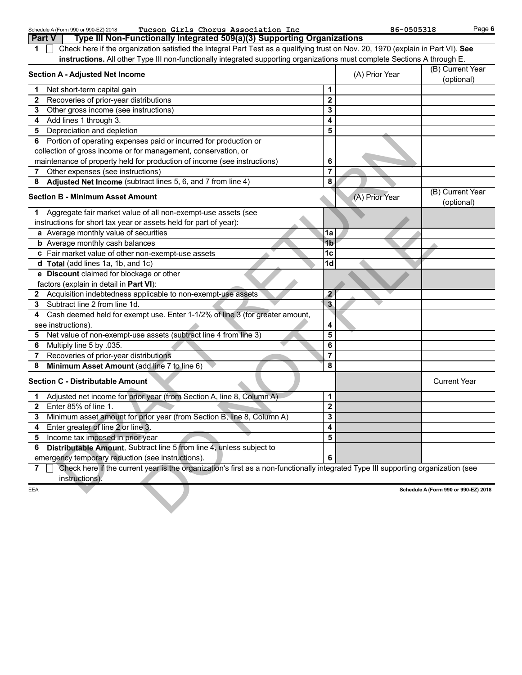|     | Tucson Girls Chorus Association Inc<br>Schedule A (Form 990 or 990-EZ) 2018                                                       |                         | 86-0505318     | Page 6                               |
|-----|-----------------------------------------------------------------------------------------------------------------------------------|-------------------------|----------------|--------------------------------------|
|     | Type III Non-Functionally Integrated 509(a)(3) Supporting Organizations<br>Part V                                                 |                         |                |                                      |
| 1   | Check here if the organization satisfied the Integral Part Test as a qualifying trust on Nov. 20, 1970 (explain in Part VI). See  |                         |                |                                      |
|     | instructions. All other Type III non-functionally integrated supporting organizations must complete Sections A through E.         |                         |                |                                      |
|     | <b>Section A - Adjusted Net Income</b>                                                                                            |                         | (A) Prior Year | (B) Current Year<br>(optional)       |
| 1   | Net short-term capital gain                                                                                                       | 1                       |                |                                      |
| 2   | Recoveries of prior-year distributions                                                                                            | $\mathbf 2$             |                |                                      |
| 3.  | Other gross income (see instructions)                                                                                             | 3                       |                |                                      |
| 4   | Add lines 1 through 3.                                                                                                            | 4                       |                |                                      |
|     | 5 Depreciation and depletion                                                                                                      | 5                       |                |                                      |
|     | 6 Portion of operating expenses paid or incurred for production or                                                                |                         |                |                                      |
|     | collection of gross income or for management, conservation, or                                                                    |                         |                |                                      |
|     | maintenance of property held for production of income (see instructions)                                                          | 6                       |                |                                      |
| 7   | Other expenses (see instructions)                                                                                                 | 7                       |                |                                      |
| 8   | Adjusted Net Income (subtract lines 5, 6, and 7 from line 4)                                                                      | 8                       |                |                                      |
|     | <b>Section B - Minimum Asset Amount</b>                                                                                           |                         | (A) Prior Year | (B) Current Year<br>(optional)       |
| 1   | Aggregate fair market value of all non-exempt-use assets (see                                                                     |                         |                |                                      |
|     | instructions for short tax year or assets held for part of year):                                                                 |                         |                |                                      |
|     | a Average monthly value of securities                                                                                             | 1a                      |                |                                      |
|     | <b>b</b> Average monthly cash balances                                                                                            | 1 <sub>b</sub>          |                |                                      |
|     | c Fair market value of other non-exempt-use assets                                                                                | 1c                      |                |                                      |
|     | d Total (add lines 1a, 1b, and 1c)                                                                                                | 1 <sub>d</sub>          |                |                                      |
|     | e Discount claimed for blockage or other                                                                                          |                         |                |                                      |
|     | factors (explain in detail in Part VI):                                                                                           |                         |                |                                      |
|     | 2 Acquisition indebtedness applicable to non-exempt-use assets                                                                    | 2                       |                |                                      |
|     | 3 Subtract line 2 from line 1d.                                                                                                   | $\overline{\mathbf{3}}$ |                |                                      |
| 4   | Cash deemed held for exempt use. Enter 1-1/2% of line 3 (for greater amount,                                                      |                         |                |                                      |
|     | see instructions).                                                                                                                | 4                       |                |                                      |
| 5   | Net value of non-exempt-use assets (subtract line 4 from line 3)                                                                  | 5                       |                |                                      |
| 6.  | Multiply line 5 by .035.                                                                                                          | 6                       |                |                                      |
| 7   | Recoveries of prior-year distributions                                                                                            | 7                       |                |                                      |
| 8   | Minimum Asset Amount (add line 7 to line 6)                                                                                       | 8                       |                |                                      |
|     | <b>Section C - Distributable Amount</b>                                                                                           |                         |                | <b>Current Year</b>                  |
|     | Adjusted net income for prior year (from Section A, line 8, Column A)                                                             | 1                       |                |                                      |
| 2   | Enter 85% of line 1                                                                                                               | $\mathbf{z}$            |                |                                      |
| 3   | Minimum asset amount for prior year (from Section B, line 8, Column A)                                                            | 3                       |                |                                      |
| 4   | Enter greater of line 2 or line 3.                                                                                                | 4                       |                |                                      |
| 5.  | Income tax imposed in prior year                                                                                                  | 5                       |                |                                      |
| 6   | Distributable Amount. Subtract line 5 from line 4, unless subject to                                                              |                         |                |                                      |
|     | emergency temporary reduction (see instructions).                                                                                 | 6                       |                |                                      |
| 7   | Check here if the current year is the organization's first as a non-functionally integrated Type III supporting organization (see |                         |                |                                      |
|     | instructions).                                                                                                                    |                         |                |                                      |
| EEA |                                                                                                                                   |                         |                | Schedule A (Form 990 or 990-EZ) 2018 |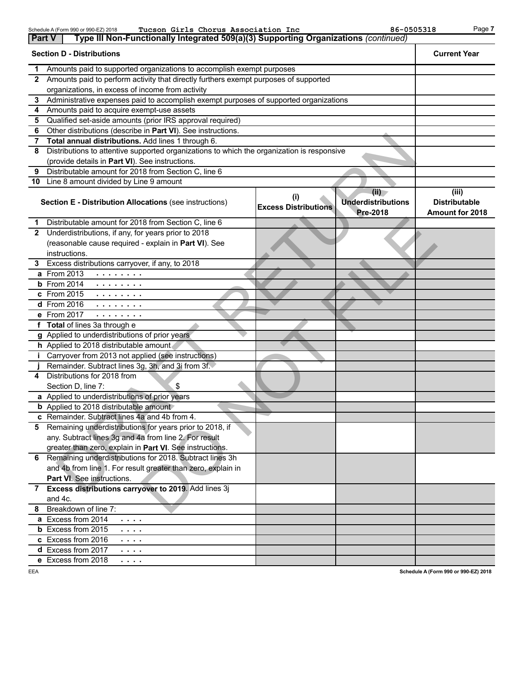| <b>Part V</b> | Tucson Girls Chorus Association Inc<br>Schedule A (Form 990 or 990-EZ) 2018<br>Type III Non-Functionally Integrated 509(a)(3) Supporting Organizations (continued) |                             | 86-0505318                                           | Page 7                                           |
|---------------|--------------------------------------------------------------------------------------------------------------------------------------------------------------------|-----------------------------|------------------------------------------------------|--------------------------------------------------|
|               | <b>Section D - Distributions</b>                                                                                                                                   |                             |                                                      | <b>Current Year</b>                              |
| 1             | Amounts paid to supported organizations to accomplish exempt purposes                                                                                              |                             |                                                      |                                                  |
| $\mathbf{2}$  | Amounts paid to perform activity that directly furthers exempt purposes of supported                                                                               |                             |                                                      |                                                  |
|               | organizations, in excess of income from activity                                                                                                                   |                             |                                                      |                                                  |
| 3             | Administrative expenses paid to accomplish exempt purposes of supported organizations                                                                              |                             |                                                      |                                                  |
| 4             | Amounts paid to acquire exempt-use assets                                                                                                                          |                             |                                                      |                                                  |
| 5             | Qualified set-aside amounts (prior IRS approval required)                                                                                                          |                             |                                                      |                                                  |
| 6             | Other distributions (describe in Part VI). See instructions.                                                                                                       |                             |                                                      |                                                  |
| 7             | Total annual distributions. Add lines 1 through 6.                                                                                                                 |                             |                                                      |                                                  |
| 8             | Distributions to attentive supported organizations to which the organization is responsive                                                                         |                             |                                                      |                                                  |
|               | (provide details in Part VI). See instructions.                                                                                                                    |                             |                                                      |                                                  |
| 9             | Distributable amount for 2018 from Section C, line 6                                                                                                               |                             |                                                      |                                                  |
|               | 10 Line 8 amount divided by Line 9 amount                                                                                                                          |                             |                                                      |                                                  |
|               | Section E - Distribution Allocations (see instructions)                                                                                                            | <b>Excess Distributions</b> | (ii)<br><b>Underdistributions</b><br><b>Pre-2018</b> | (iii)<br><b>Distributable</b><br>Amount for 2018 |
| 1.            | Distributable amount for 2018 from Section C, line 6                                                                                                               |                             |                                                      |                                                  |
| $\mathbf{2}$  | Underdistributions, if any, for years prior to 2018                                                                                                                |                             |                                                      |                                                  |
|               | (reasonable cause required - explain in Part VI). See                                                                                                              |                             |                                                      |                                                  |
|               | instructions.                                                                                                                                                      |                             |                                                      |                                                  |
| 3             | Excess distributions carryover, if any, to 2018                                                                                                                    |                             |                                                      |                                                  |
|               | <b>a</b> From 2013<br>$\alpha$ , $\alpha$ , $\alpha$ , $\alpha$ , $\alpha$ , $\alpha$                                                                              |                             |                                                      |                                                  |
|               | $b$ From 2014<br>$\alpha$ , and $\alpha$ , and $\alpha$ , and $\alpha$                                                                                             |                             |                                                      |                                                  |
|               | c From 2015<br><b>The second contract</b>                                                                                                                          |                             |                                                      |                                                  |
|               | d From 2016<br>.                                                                                                                                                   |                             |                                                      |                                                  |
|               | e From 2017<br>$\mathbf{r}$ , and $\mathbf{r}$ , and $\mathbf{r}$                                                                                                  |                             |                                                      |                                                  |
|               | f Total of lines 3a through e                                                                                                                                      |                             |                                                      |                                                  |
|               | g Applied to underdistributions of prior years                                                                                                                     |                             |                                                      |                                                  |
|               | h Applied to 2018 distributable amount                                                                                                                             |                             |                                                      |                                                  |
| j.            | Carryover from 2013 not applied (see instructions)                                                                                                                 |                             |                                                      |                                                  |
|               | Remainder. Subtract lines 3g, 3h, and 3i from 3f.                                                                                                                  |                             |                                                      |                                                  |
| 4             | Distributions for 2018 from<br>Section D, line 7:<br>\$                                                                                                            |                             |                                                      |                                                  |
|               | a Applied to underdistributions of prior years                                                                                                                     |                             |                                                      |                                                  |
|               | <b>b</b> Applied to 2018 distributable amount                                                                                                                      |                             |                                                      |                                                  |
|               | c Remainder. Subtract lines 4a and 4b from 4.                                                                                                                      |                             |                                                      |                                                  |
|               | 5 Remaining underdistributions for years prior to 2018, if                                                                                                         |                             |                                                      |                                                  |
|               | any. Subtract lines 3g and 4a from line 2. For result                                                                                                              |                             |                                                      |                                                  |
|               | greater than zero, explain in Part VI. See instructions.                                                                                                           |                             |                                                      |                                                  |
|               | 6 Remaining underdistributions for 2018. Subtract lines 3h                                                                                                         |                             |                                                      |                                                  |
|               | and 4b from line 1. For result greater than zero, explain in                                                                                                       |                             |                                                      |                                                  |
|               | Part VI. See instructions.                                                                                                                                         |                             |                                                      |                                                  |
|               | 7 Excess distributions carryover to 2019. Add lines 3j                                                                                                             |                             |                                                      |                                                  |
|               | and 4c.                                                                                                                                                            |                             |                                                      |                                                  |
| 8             | Breakdown of line 7:                                                                                                                                               |                             |                                                      |                                                  |
|               | a Excess from 2014<br>$\sim$ $\sim$ $\sim$ $\sim$                                                                                                                  |                             |                                                      |                                                  |
|               | <b>b</b> Excess from 2015<br>$\sim$ $\sim$ $\sim$ $\sim$                                                                                                           |                             |                                                      |                                                  |
|               | c Excess from 2016<br>$\sim$ $\sim$ $\sim$ $\sim$                                                                                                                  |                             |                                                      |                                                  |
|               | d Excess from 2017<br>.                                                                                                                                            |                             |                                                      |                                                  |
|               | e Excess from 2018<br>$\sim$ $\sim$ $\sim$ $\sim$                                                                                                                  |                             |                                                      |                                                  |
| EEA           |                                                                                                                                                                    |                             |                                                      | Schedule A (Form 990 or 990-EZ) 2018             |

**Schedule A (Form 990 or 990-EZ) 2018**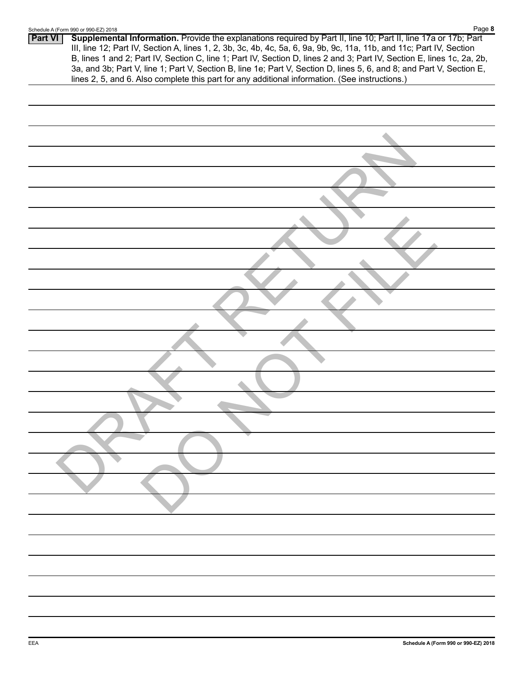|                | Page 8<br>Schedule A (Form 990 or 990-EZ) 2018                                                                                                                                                                                                                                                                                                                                                                                                                                                                                                                                              |
|----------------|---------------------------------------------------------------------------------------------------------------------------------------------------------------------------------------------------------------------------------------------------------------------------------------------------------------------------------------------------------------------------------------------------------------------------------------------------------------------------------------------------------------------------------------------------------------------------------------------|
| <b>Part VI</b> | Supplemental Information. Provide the explanations required by Part II, line 10; Part II, line 17a or 17b; Part<br>III, line 12; Part IV, Section A, lines 1, 2, 3b, 3c, 4b, 4c, 5a, 6, 9a, 9b, 9c, 11a, 11b, and 11c; Part IV, Section<br>B, lines 1 and 2; Part IV, Section C, line 1; Part IV, Section D, lines 2 and 3; Part IV, Section E, lines 1c, 2a, 2b,<br>3a, and 3b; Part V, line 1; Part V, Section B, line 1e; Part V, Section D, lines 5, 6, and 8; and Part V, Section E,<br>lines 2, 5, and 6. Also complete this part for any additional information. (See instructions.) |
|                |                                                                                                                                                                                                                                                                                                                                                                                                                                                                                                                                                                                             |
|                |                                                                                                                                                                                                                                                                                                                                                                                                                                                                                                                                                                                             |
|                |                                                                                                                                                                                                                                                                                                                                                                                                                                                                                                                                                                                             |
|                |                                                                                                                                                                                                                                                                                                                                                                                                                                                                                                                                                                                             |
|                |                                                                                                                                                                                                                                                                                                                                                                                                                                                                                                                                                                                             |
|                |                                                                                                                                                                                                                                                                                                                                                                                                                                                                                                                                                                                             |
|                |                                                                                                                                                                                                                                                                                                                                                                                                                                                                                                                                                                                             |
|                |                                                                                                                                                                                                                                                                                                                                                                                                                                                                                                                                                                                             |
|                |                                                                                                                                                                                                                                                                                                                                                                                                                                                                                                                                                                                             |
|                |                                                                                                                                                                                                                                                                                                                                                                                                                                                                                                                                                                                             |
|                |                                                                                                                                                                                                                                                                                                                                                                                                                                                                                                                                                                                             |
|                |                                                                                                                                                                                                                                                                                                                                                                                                                                                                                                                                                                                             |
|                |                                                                                                                                                                                                                                                                                                                                                                                                                                                                                                                                                                                             |
|                |                                                                                                                                                                                                                                                                                                                                                                                                                                                                                                                                                                                             |
|                |                                                                                                                                                                                                                                                                                                                                                                                                                                                                                                                                                                                             |
|                |                                                                                                                                                                                                                                                                                                                                                                                                                                                                                                                                                                                             |
|                |                                                                                                                                                                                                                                                                                                                                                                                                                                                                                                                                                                                             |
|                |                                                                                                                                                                                                                                                                                                                                                                                                                                                                                                                                                                                             |
|                |                                                                                                                                                                                                                                                                                                                                                                                                                                                                                                                                                                                             |
|                |                                                                                                                                                                                                                                                                                                                                                                                                                                                                                                                                                                                             |
|                |                                                                                                                                                                                                                                                                                                                                                                                                                                                                                                                                                                                             |
|                |                                                                                                                                                                                                                                                                                                                                                                                                                                                                                                                                                                                             |
|                |                                                                                                                                                                                                                                                                                                                                                                                                                                                                                                                                                                                             |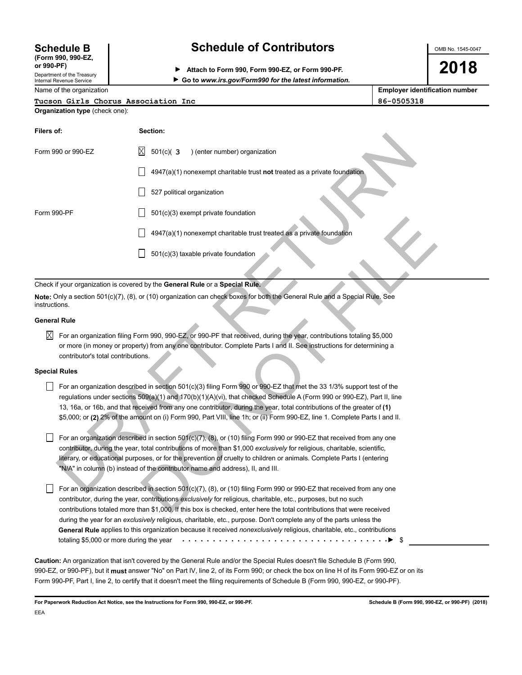# **(Form 990, 990-EZ,**

Department of the Treasury Internal Revenue Service

# **Schedule B Schedule of Contributors**

**or 990-PF) Attach to Form 990, Form 990-EZ, or Form 990-PF.**

OMB No. 1545-0047

**2018**

**Go to** *www.irs.gov/Form990 for the latest information.*

Name of the organization

|                                     | _____      |
|-------------------------------------|------------|
| Tucson Girls Chorus Association Inc | 86-0505318 |

|            | <b>Employer identification number</b> |  |
|------------|---------------------------------------|--|
| 86-0505318 |                                       |  |

|  |                                       | IUCSON GILIS CNOIUS ASSOCIG |
|--|---------------------------------------|-----------------------------|
|  | <b>Organization type</b> (check one): |                             |

| Filers of:           |                                                                                                                                                                                                                                                                                                                                                                                                                                                                                                                | Section: |                                                                              |                                                                                                                             |  |
|----------------------|----------------------------------------------------------------------------------------------------------------------------------------------------------------------------------------------------------------------------------------------------------------------------------------------------------------------------------------------------------------------------------------------------------------------------------------------------------------------------------------------------------------|----------|------------------------------------------------------------------------------|-----------------------------------------------------------------------------------------------------------------------------|--|
|                      | Form 990 or 990-EZ                                                                                                                                                                                                                                                                                                                                                                                                                                                                                             | Χ        | $501(c)$ (3<br>) (enter number) organization                                 |                                                                                                                             |  |
|                      |                                                                                                                                                                                                                                                                                                                                                                                                                                                                                                                |          |                                                                              | 4947(a)(1) nonexempt charitable trust not treated as a private foundation                                                   |  |
|                      |                                                                                                                                                                                                                                                                                                                                                                                                                                                                                                                |          | 527 political organization                                                   |                                                                                                                             |  |
| Form 990-PF          |                                                                                                                                                                                                                                                                                                                                                                                                                                                                                                                |          | 501(c)(3) exempt private foundation                                          |                                                                                                                             |  |
|                      |                                                                                                                                                                                                                                                                                                                                                                                                                                                                                                                |          | 4947(a)(1) nonexempt charitable trust treated as a private foundation        |                                                                                                                             |  |
|                      |                                                                                                                                                                                                                                                                                                                                                                                                                                                                                                                |          | 501(c)(3) taxable private foundation                                         |                                                                                                                             |  |
|                      |                                                                                                                                                                                                                                                                                                                                                                                                                                                                                                                |          | Check if your organization is covered by the General Rule or a Special Rule. |                                                                                                                             |  |
| instructions.        |                                                                                                                                                                                                                                                                                                                                                                                                                                                                                                                |          |                                                                              | Note: Only a section 501(c)(7), (8), or (10) organization can check boxes for both the General Rule and a Special Rule. See |  |
| General Rule         |                                                                                                                                                                                                                                                                                                                                                                                                                                                                                                                |          |                                                                              |                                                                                                                             |  |
| X                    | For an organization filing Form 990, 990-EZ, or 990-PF that received, during the year, contributions totaling \$5,000<br>or more (in money or property) from any one contributor. Complete Parts I and II. See instructions for determining a<br>contributor's total contributions.                                                                                                                                                                                                                            |          |                                                                              |                                                                                                                             |  |
| <b>Special Rules</b> |                                                                                                                                                                                                                                                                                                                                                                                                                                                                                                                |          |                                                                              |                                                                                                                             |  |
|                      | For an organization described in section 501(c)(3) filing Form 990 or 990-EZ that met the 33 1/3% support test of the<br>regulations under sections $509(a)(1)$ and $170(b)(1)(A)(vi)$ , that checked Schedule A (Form 990 or 990-EZ), Part II, line<br>13, 16a, or 16b, and that received from any one contributor, during the year, total contributions of the greater of (1)<br>\$5,000; or (2) 2% of the amount on (i) Form 990, Part VIII, line 1h; or (ii) Form 990-EZ, line 1. Complete Parts I and II. |          |                                                                              |                                                                                                                             |  |
|                      | For an organization described in section 501(c)(7), (8), or (10) filing Form 990 or 990-EZ that received from any one<br>contributor, during the year, total contributions of more than \$1,000 exclusively for religious, charitable, scientific,<br>literary, or educational purposes, or for the prevention of cruelty to children or animals. Complete Parts I (entering<br>"N/A" in column (b) instead of the contributor name and address), II, and III.                                                 |          |                                                                              |                                                                                                                             |  |
|                      | For an organization described in section 501(c)(7), (8), or (10) filing Form 990 or 990-EZ that received from any one<br>contributor, during the year, contributions exclusively for religious, charitable, etc., purposes, but no such<br>contributions totaled more than \$1,000. If this box is checked, enter here the total contributions that were received                                                                                                                                              |          |                                                                              |                                                                                                                             |  |

### **General Rule**

#### **Special Rules**

 $\Box$  For an organization described in section 501(c)(7), (8), or (10) filing Form 990 or 990-EZ that received from any one contributor, during the year, contributions *exclusively* for religious, charitable, etc., purposes, but no such contributions totaled more than \$1,000. If this box is checked, enter here the total contributions that were received during the year for an *exclusively* religious, charitable, etc., purpose. Don't complete any of the parts unless the **General Rule** applies to this organization because it received *nonexclusively* religious, charitable, etc., contributions totaling \$5,000 or more during the year \$ . . . . . . . . . . . . . . . . . . . . . . . . . . . . . . . . . .

**Caution:** An organization that isn't covered by the General Rule and/or the Special Rules doesn't file Schedule B (Form 990, 990-EZ, or 990-PF), but it **must** answer "No" on Part IV, line 2, of its Form 990; or check the box on line H of its Form 990-EZ or on its Form 990-PF, Part I, line 2, to certify that it doesn't meet the filing requirements of Schedule B (Form 990, 990-EZ, or 990-PF).

**For Paperwork Reduction Act Notice, see the Instructions for Form 990, 990-EZ, or 990-PF. Schedule B (Form 990, 990-EZ, or 990-PF) (2018)** EEA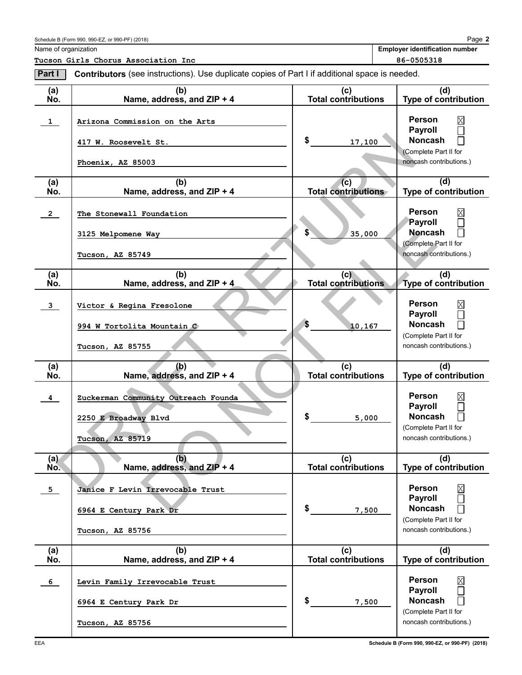Name of organization

**2** Page **Employer identification number**

**Tucson Girls Chorus Association Inc 86-0505318**

| Part I                  | Contributors (see instructions). Use duplicate copies of Part I if additional space is needed. |                                   |                                                                                                |
|-------------------------|------------------------------------------------------------------------------------------------|-----------------------------------|------------------------------------------------------------------------------------------------|
| (a)<br>No.              | (b)<br>Name, address, and ZIP + 4                                                              | (c)<br><b>Total contributions</b> | (d)<br>Type of contribution                                                                    |
| $\mathbf{1}$            | Arizona Commission on the Arts<br>417 W. Roosevelt St.                                         | \$<br>17,100                      | <b>Person</b><br><b>Payroll</b><br><b>Noncash</b>                                              |
|                         | Phoenix, AZ 85003                                                                              |                                   | (Complete Part II for<br>noncash contributions.)                                               |
| (a)<br>No.              | (b)<br>Name, address, and ZIP + 4                                                              | (c)<br><b>Total contributions</b> | (d)<br>Type of contribution                                                                    |
| $\overline{2}$          | The Stonewall Foundation                                                                       |                                   | <b>Person</b><br>Payroll                                                                       |
|                         | 3125 Melpomene Way                                                                             | 35,000                            | <b>Noncash</b><br>(Complete Part II for                                                        |
|                         | Tucson, AZ 85749                                                                               |                                   | noncash contributions.)                                                                        |
| (a)<br>No.              | (b)<br>Name, address, and ZIP + 4                                                              | (c)<br><b>Total contributions</b> | (d)<br><b>Type of contribution</b>                                                             |
| $\overline{\mathbf{3}}$ | Victor & Regina Fresolone                                                                      |                                   | <b>Person</b><br>Payroll                                                                       |
|                         | 994 W Tortolita Mountain C                                                                     | S<br>10,167                       | <b>Noncash</b><br>(Complete Part II for                                                        |
|                         | Tucson, AZ 85755                                                                               |                                   | noncash contributions.)                                                                        |
| (a)<br>No.              | (b)<br>Name, address, and ZIP + 4                                                              | (c)<br><b>Total contributions</b> | (d)<br>Type of contribution                                                                    |
| $\overline{\mathbf{4}}$ | Zuckerman Community Outreach Founda<br>2250 E Broadway Blvd<br>AZ 85719<br>Tucson,             | \$<br>5,000                       | <b>Person</b><br>Payroll<br><b>Noncash</b><br>(Complete Part II for<br>noncash contributions.) |
| (a)<br>No.              | (b)<br>Name, address, and ZIP + 4                                                              | (c)<br>Total contributions        | (d)<br><b>Type of contribution</b>                                                             |
| 5 <sub>1</sub>          | Janice F Levin Irrevocable Trust<br>6964 E Century Park Dr<br>Tucson, AZ 85756                 | \$<br>7,500                       | Person<br>Payroll<br><b>Noncash</b><br>(Complete Part II for<br>noncash contributions.)        |
| (a)<br>No.              | (b)<br>Name, address, and ZIP + 4                                                              | (c)<br><b>Total contributions</b> | (d)<br>Type of contribution                                                                    |
| 6                       | Levin Family Irrevocable Trust<br>6964 E Century Park Dr                                       | \$<br>7,500                       | <b>Person</b><br>Payroll<br><b>Noncash</b>                                                     |
|                         | Tucson, AZ 85756                                                                               |                                   | (Complete Part II for<br>noncash contributions.)                                               |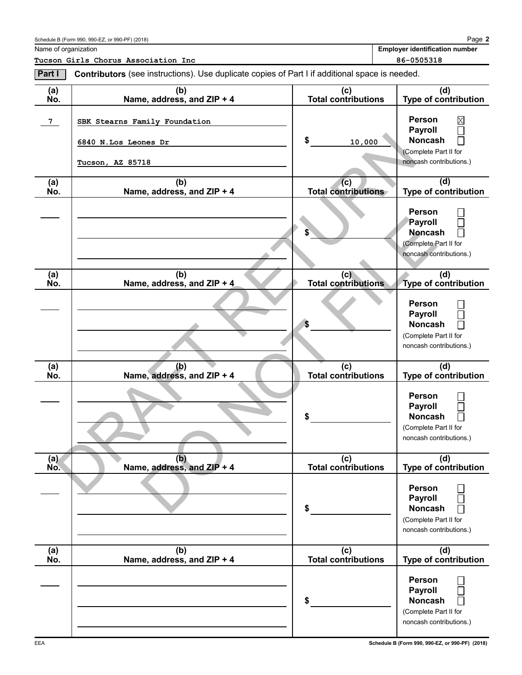| Schedule B (Form 990, 990-EZ, or 990-PF) (2018) |  |  |  |  |
|-------------------------------------------------|--|--|--|--|
|-------------------------------------------------|--|--|--|--|

| Name of organization |  |
|----------------------|--|

**Employer identification number**

**Tucson Girls Chorus Association Inc 86-0505318**

**2** Page

| Part I         | <b>Contributors</b> (see instructions). Use duplicate copies of Part I if additional space is needed. |                                   |                                                                                                                      |
|----------------|-------------------------------------------------------------------------------------------------------|-----------------------------------|----------------------------------------------------------------------------------------------------------------------|
| (a)<br>No.     | (b)<br>Name, address, and ZIP + 4                                                                     | (c)<br>Total contributions        | (d)<br>Type of contribution                                                                                          |
| 7 <sub>1</sub> | SBK Stearns Family Foundation<br>6840 N.Los Leones Dr<br>Tucson, AZ 85718                             | \$<br>10,000                      | <b>Person</b><br>⊠<br><b>Payroll</b><br>Γ<br><b>Noncash</b><br>П<br>(Complete Part II for<br>noncash contributions.) |
| (a)<br>No.     | (b)<br>Name, address, and ZIP + 4                                                                     | (c)<br><b>Total contributions</b> | (d)<br>Type of contribution                                                                                          |
|                |                                                                                                       |                                   | <b>Person</b><br>Payroll<br><b>Noncash</b><br>(Complete Part II for<br>noncash contributions.)                       |
| (a)<br>No.     | (b)<br>Name, address, and ZIP + 4                                                                     | (c)<br><b>Total contributions</b> | (d)<br>Type of contribution                                                                                          |
|                |                                                                                                       | S                                 | <b>Person</b><br><b>Payroll</b><br><b>Noncash</b><br>Г<br>(Complete Part II for<br>noncash contributions.)           |
| (a)<br>No.     | (b)<br>Name, address, and ZIP + 4                                                                     | (c)<br><b>Total contributions</b> | (d)<br><b>Type of contribution</b>                                                                                   |
|                |                                                                                                       | \$                                | <b>Person</b><br><b>Payroll</b><br><b>Noncash</b><br>П<br>(Complete Part II for<br>noncash contributions.)           |
| (a)<br>No.     | (b)<br>Name, address, and ZIP + 4                                                                     | (c)<br>Total contributions        | (d)<br>Type of contribution                                                                                          |
|                |                                                                                                       | \$                                | <b>Person</b><br><b>Payroll</b><br><b>Noncash</b><br>(Complete Part II for<br>noncash contributions.)                |
| (a)<br>No.     | (b)<br>Name, address, and ZIP + 4                                                                     | (c)<br><b>Total contributions</b> | (d)<br><b>Type of contribution</b>                                                                                   |
|                |                                                                                                       | \$                                | <b>Person</b><br><b>Payroll</b><br><b>Noncash</b><br>(Complete Part II for<br>noncash contributions.)                |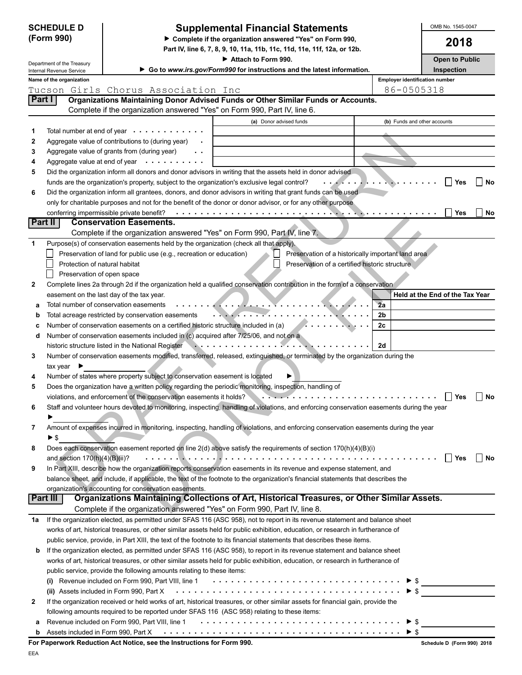|              | <b>SCHEDULE D</b>               |                                                                                                                                                              | <b>Supplemental Financial Statements</b>                                                                                                                |                                       | OMB No. 1545-0047               |
|--------------|---------------------------------|--------------------------------------------------------------------------------------------------------------------------------------------------------------|---------------------------------------------------------------------------------------------------------------------------------------------------------|---------------------------------------|---------------------------------|
|              | (Form 990)                      |                                                                                                                                                              | Complete if the organization answered "Yes" on Form 990,                                                                                                |                                       | 2018                            |
|              |                                 |                                                                                                                                                              | Part IV, line 6, 7, 8, 9, 10, 11a, 11b, 11c, 11d, 11e, 11f, 12a, or 12b.                                                                                |                                       |                                 |
|              | Department of the Treasury      |                                                                                                                                                              | Attach to Form 990.                                                                                                                                     |                                       | <b>Open to Public</b>           |
|              | Internal Revenue Service        |                                                                                                                                                              | Go to www.irs.gov/Form990 for instructions and the latest information.                                                                                  |                                       | Inspection                      |
|              | Name of the organization        |                                                                                                                                                              |                                                                                                                                                         | <b>Employer identification number</b> |                                 |
| Part I       |                                 | Tucson Girls Chorus Association Inc                                                                                                                          | Organizations Maintaining Donor Advised Funds or Other Similar Funds or Accounts.                                                                       | 86-0505318                            |                                 |
|              |                                 | Complete if the organization answered "Yes" on Form 990, Part IV, line 6.                                                                                    |                                                                                                                                                         |                                       |                                 |
|              |                                 |                                                                                                                                                              | (a) Donor advised funds                                                                                                                                 | (b) Funds and other accounts          |                                 |
| 1            |                                 | Total number at end of year $\cdots$                                                                                                                         |                                                                                                                                                         |                                       |                                 |
| 2            |                                 | Aggregate value of contributions to (during year)                                                                                                            |                                                                                                                                                         |                                       |                                 |
| 3            |                                 | Aggregate value of grants from (during year)<br>$\sim$ $\sim$                                                                                                |                                                                                                                                                         |                                       |                                 |
| 4            |                                 | Aggregate value at end of year $\cdots$                                                                                                                      |                                                                                                                                                         |                                       |                                 |
| 5            |                                 |                                                                                                                                                              | Did the organization inform all donors and donor advisors in writing that the assets held in donor advised                                              |                                       |                                 |
|              |                                 | funds are the organization's property, subject to the organization's exclusive legal control?                                                                |                                                                                                                                                         |                                       | No<br>Yes                       |
| 6            |                                 |                                                                                                                                                              | Did the organization inform all grantees, donors, and donor advisors in writing that grant funds can be used                                            |                                       |                                 |
|              |                                 |                                                                                                                                                              | only for charitable purposes and not for the benefit of the donor or donor advisor, or for any other purpose                                            |                                       |                                 |
|              |                                 | conferring impermissible private benefit?                                                                                                                    |                                                                                                                                                         |                                       | <b>Yes</b><br>No                |
|              | Part II                         | <b>Conservation Easements.</b>                                                                                                                               |                                                                                                                                                         |                                       |                                 |
|              |                                 | Complete if the organization answered "Yes" on Form 990, Part IV, line 7.                                                                                    |                                                                                                                                                         |                                       |                                 |
| 1            |                                 | Purpose(s) of conservation easements held by the organization (check all that apply).<br>Preservation of land for public use (e.g., recreation or education) |                                                                                                                                                         |                                       |                                 |
|              | Protection of natural habitat   |                                                                                                                                                              | Preservation of a historically important land area<br>Preservation of a certified historic structure                                                    |                                       |                                 |
|              | Preservation of open space      |                                                                                                                                                              |                                                                                                                                                         |                                       |                                 |
| $\mathbf{2}$ |                                 |                                                                                                                                                              | Complete lines 2a through 2d if the organization held a qualified conservation contribution in the form of a conservation                               |                                       |                                 |
|              |                                 | easement on the last day of the tax year.                                                                                                                    |                                                                                                                                                         |                                       | Held at the End of the Tax Year |
| а            |                                 | Total number of conservation easements                                                                                                                       |                                                                                                                                                         | 2a                                    |                                 |
| b            |                                 | Total acreage restricted by conservation easements                                                                                                           | . <i>.</i> .                                                                                                                                            | 2 <sub>b</sub>                        |                                 |
| c            |                                 | Number of conservation easements on a certified historic structure included in (a)                                                                           |                                                                                                                                                         | 2c                                    |                                 |
| d            |                                 | Number of conservation easements included in (c) acquired after 7/25/06, and not on a                                                                        |                                                                                                                                                         |                                       |                                 |
|              |                                 | historic structure listed in the National Register                                                                                                           |                                                                                                                                                         | 2d                                    |                                 |
| 3            |                                 |                                                                                                                                                              | Number of conservation easements modified, transferred, released, extinguished, or terminated by the organization during the                            |                                       |                                 |
|              | tax year I                      |                                                                                                                                                              |                                                                                                                                                         |                                       |                                 |
| 4            |                                 | Number of states where property subject to conservation easement is located                                                                                  |                                                                                                                                                         |                                       |                                 |
| 5            |                                 |                                                                                                                                                              | Does the organization have a written policy regarding the periodic monitoring, inspection, handling of                                                  |                                       |                                 |
|              |                                 | violations, and enforcement of the conservation easements it holds?                                                                                          |                                                                                                                                                         |                                       | Yes<br>No                       |
| 6            |                                 |                                                                                                                                                              | Staff and volunteer hours devoted to monitoring, inspecting, handling of violations, and enforcing conservation easements during the year               |                                       |                                 |
|              |                                 |                                                                                                                                                              |                                                                                                                                                         |                                       |                                 |
| 7            |                                 |                                                                                                                                                              | Amount of expenses incurred in monitoring, inspecting, handling of violations, and enforcing conservation easements during the year                     |                                       |                                 |
|              | $\blacktriangleright$ \$        |                                                                                                                                                              |                                                                                                                                                         |                                       |                                 |
| 8            | and section $170(h)(4)(B)(ii)?$ |                                                                                                                                                              | Does each conservation easement reported on line 2(d) above satisfy the requirements of section 170(h)(4)(B)(i)                                         |                                       | $\Box$ Yes                      |
| 9            |                                 |                                                                                                                                                              | In Part XIII, describe how the organization reports conservation easements in its revenue and expense statement, and                                    |                                       | l No                            |
|              |                                 |                                                                                                                                                              | balance sheet, and include, if applicable, the text of the footnote to the organization's financial statements that describes the                       |                                       |                                 |
|              |                                 | organization's accounting for conservation easements.                                                                                                        |                                                                                                                                                         |                                       |                                 |
|              | Part III                        |                                                                                                                                                              | Organizations Maintaining Collections of Art, Historical Treasures, or Other Similar Assets.                                                            |                                       |                                 |
|              |                                 | Complete if the organization answered "Yes" on Form 990, Part IV, line 8.                                                                                    |                                                                                                                                                         |                                       |                                 |
| 1a           |                                 |                                                                                                                                                              | If the organization elected, as permitted under SFAS 116 (ASC 958), not to report in its revenue statement and balance sheet                            |                                       |                                 |
|              |                                 |                                                                                                                                                              | works of art, historical treasures, or other similar assets held for public exhibition, education, or research in furtherance of                        |                                       |                                 |
|              |                                 |                                                                                                                                                              | public service, provide, in Part XIII, the text of the footnote to its financial statements that describes these items.                                 |                                       |                                 |
| b            |                                 |                                                                                                                                                              | If the organization elected, as permitted under SFAS 116 (ASC 958), to report in its revenue statement and balance sheet                                |                                       |                                 |
|              |                                 |                                                                                                                                                              | works of art, historical treasures, or other similar assets held for public exhibition, education, or research in furtherance of                        |                                       |                                 |
|              |                                 | public service, provide the following amounts relating to these items:                                                                                       |                                                                                                                                                         |                                       |                                 |
|              |                                 |                                                                                                                                                              |                                                                                                                                                         |                                       |                                 |
|              |                                 |                                                                                                                                                              | (i) Revenue included on Form 990, Part VIII, line 1 $\cdots \cdots \cdots \cdots \cdots \cdots \cdots \cdots \cdots \cdots \cdots$ $\uparrow \text{\$}$ |                                       |                                 |
| 2            |                                 |                                                                                                                                                              | If the organization received or held works of art, historical treasures, or other similar assets for financial gain, provide the                        |                                       |                                 |
|              |                                 | following amounts required to be reported under SFAS 116 (ASC 958) relating to these items:                                                                  |                                                                                                                                                         |                                       |                                 |
| a            |                                 |                                                                                                                                                              | Revenue included on Form 990, Part VIII, line 1 $\cdots \cdots \cdots \cdots \cdots \cdots \cdots \cdots \cdots \cdots \cdots$                          |                                       |                                 |
| b            |                                 |                                                                                                                                                              |                                                                                                                                                         |                                       |                                 |
|              |                                 |                                                                                                                                                              |                                                                                                                                                         |                                       |                                 |

**For Paperwork Reduction Act Notice, see the Instructions for Form 990.**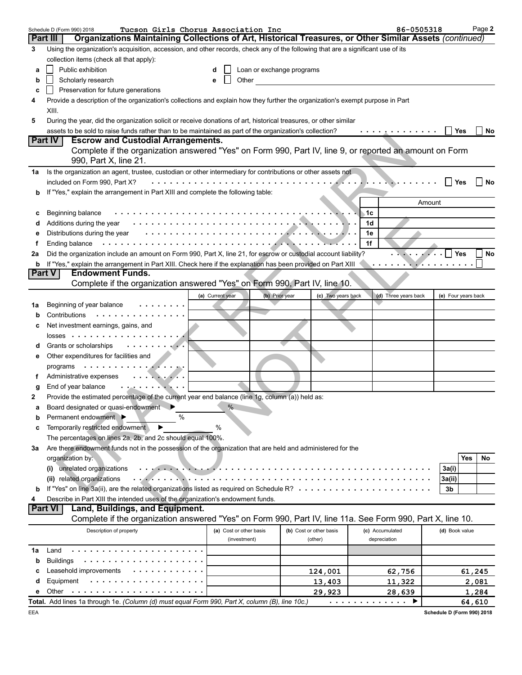|    | Tucson Girls Chorus Association Inc<br>Schedule D (Form 990) 2018                                                                |                                |                |                         |     | 86-0505318                |                | Page 2              |
|----|----------------------------------------------------------------------------------------------------------------------------------|--------------------------------|----------------|-------------------------|-----|---------------------------|----------------|---------------------|
|    | Organizations Maintaining Collections of Art, Historical Treasures, or Other Similar Assets (continued)<br><b>Part III</b>       |                                |                |                         |     |                           |                |                     |
| 3  | Using the organization's acquisition, accession, and other records, check any of the following that are a significant use of its |                                |                |                         |     |                           |                |                     |
|    | collection items (check all that apply):                                                                                         |                                |                |                         |     |                           |                |                     |
| а  | Public exhibition                                                                                                                | Loan or exchange programs<br>d |                |                         |     |                           |                |                     |
| b  | Scholarly research                                                                                                               | Other<br>e                     |                |                         |     |                           |                |                     |
| c  | Preservation for future generations                                                                                              |                                |                |                         |     |                           |                |                     |
| 4  | Provide a description of the organization's collections and explain how they further the organization's exempt purpose in Part   |                                |                |                         |     |                           |                |                     |
|    | XIII.                                                                                                                            |                                |                |                         |     |                           |                |                     |
| 5  | During the year, did the organization solicit or receive donations of art, historical treasures, or other similar                |                                |                |                         |     |                           |                |                     |
|    | assets to be sold to raise funds rather than to be maintained as part of the organization's collection?                          |                                |                |                         |     | . <u>.</u>                | $\perp$        | Yes<br>No           |
|    | Part IV<br><b>Escrow and Custodial Arrangements.</b>                                                                             |                                |                |                         |     |                           |                |                     |
|    | Complete if the organization answered "Yes" on Form 990, Part IV, line 9, or reported an amount on Form                          |                                |                |                         |     |                           |                |                     |
|    | 990, Part X, line 21.                                                                                                            |                                |                |                         |     |                           |                |                     |
| 1a | Is the organization an agent, trustee, custodian or other intermediary for contributions or other assets not                     |                                |                |                         |     |                           |                |                     |
|    | included on Form 990, Part X?                                                                                                    |                                |                |                         |     |                           |                | Yes<br>∣ No         |
| b  | If "Yes," explain the arrangement in Part XIII and complete the following table:                                                 |                                |                |                         |     |                           |                |                     |
|    |                                                                                                                                  |                                |                |                         |     |                           | Amount         |                     |
| c  | Beginning balance                                                                                                                |                                |                |                         | ⊾1c |                           |                |                     |
| d  | Additions during the year                                                                                                        |                                |                |                         | 1d  |                           |                |                     |
| е  | Distributions during the year                                                                                                    |                                |                |                         | 1е  |                           |                |                     |
| f  | Ending balance                                                                                                                   |                                |                |                         | 1f  |                           |                |                     |
| 2a | Did the organization include an amount on Form 990, Part X, line 21, for escrow or custodial account liability?                  |                                |                |                         |     |                           | Yes            | No                  |
| b  | If "Yes," explain the arrangement in Part XIII. Check here if the explanation has been provided on Part XIII                     |                                |                |                         |     | . <b>. . <i>. .</i> .</b> |                |                     |
|    | <b>Endowment Funds.</b><br><b>Part V</b>                                                                                         |                                |                |                         |     |                           |                |                     |
|    | Complete if the organization answered "Yes" on Form 990, Part IV, line 10.                                                       |                                |                |                         |     |                           |                |                     |
|    |                                                                                                                                  |                                |                |                         |     |                           |                |                     |
|    | Beginning of year balance                                                                                                        | (a) Current year               | (b) Prior year | (c) Two years back      |     | (d) Three years back      |                | (e) Four years back |
| 1a | .<br>Contributions                                                                                                               |                                |                |                         |     |                           |                |                     |
| b  | Net investment earnings, gains, and                                                                                              |                                |                |                         |     |                           |                |                     |
| с  | $losses$                                                                                                                         |                                |                |                         |     |                           |                |                     |
|    |                                                                                                                                  |                                |                |                         |     |                           |                |                     |
| d  | Grants or scholarships<br>$\mathbf{r}$ , $\mathbf{r}$ , $\mathbf{r}$ , $\mathbf{r}$ , $\mathbf{r}$ , $\mathbf{r}$                |                                |                |                         |     |                           |                |                     |
|    | Other expenditures for facilities and                                                                                            |                                |                |                         |     |                           |                |                     |
|    | programs                                                                                                                         |                                |                |                         |     |                           |                |                     |
|    | Administrative expenses<br>$\cdots$ . The set of $\cdots$                                                                        |                                |                |                         |     |                           |                |                     |
| g  | End of year balance<br>. . <u>.</u>                                                                                              |                                |                |                         |     |                           |                |                     |
| 2  | Provide the estimated percentage of the current year end balance (line 1g, column (a)) held as:                                  | $\frac{0}{6}$                  |                |                         |     |                           |                |                     |
|    | Board designated or quasi-endowment                                                                                              |                                |                |                         |     |                           |                |                     |
| b  | %<br>Permanent endowment ▶                                                                                                       |                                |                |                         |     |                           |                |                     |
| c  | Temporarily restricted endowment                                                                                                 | %                              |                |                         |     |                           |                |                     |
|    | The percentages on lines 2a, 2b, and 2c should equal 100%.                                                                       |                                |                |                         |     |                           |                |                     |
| 3a | Are there endowment funds not in the possession of the organization that are held and administered for the                       |                                |                |                         |     |                           |                |                     |
|    | organization by:                                                                                                                 |                                |                |                         |     |                           |                | Yes<br>No           |
|    | unrelated organizations<br><b>Contract Contract</b><br>(i)                                                                       |                                |                |                         |     |                           | 3a(i)          |                     |
|    | (ii) related organizations                                                                                                       | $   -$                         |                |                         |     |                           | 3a(ii)         |                     |
| b  | If "Yes" on line 3a(ii), are the related organizations listed as required on Schedule R? $\cdots \cdots \cdots \cdots$           |                                |                |                         |     |                           | 3b             |                     |
| 4  | Describe in Part XIII the intended uses of the organization's endowment funds.                                                   |                                |                |                         |     |                           |                |                     |
|    | <b>Part VI</b><br>Land, Buildings, and Equipment.                                                                                |                                |                |                         |     |                           |                |                     |
|    | Complete if the organization answered "Yes" on Form 990, Part IV, line 11a. See Form 990, Part X, line 10.                       |                                |                |                         |     |                           |                |                     |
|    | Description of property                                                                                                          | (a) Cost or other basis        |                | (b) Cost or other basis |     | (c) Accumulated           | (d) Book value |                     |
|    |                                                                                                                                  | (investment)                   |                | (other)                 |     | depreciation              |                |                     |
| 1a | Land                                                                                                                             |                                |                |                         |     |                           |                |                     |
| b  | <b>Buildings</b>                                                                                                                 |                                |                |                         |     |                           |                |                     |
| c  | Leasehold improvements                                                                                                           |                                |                | 124,001                 |     | 62,756                    |                | 61,245              |
| d  | Equipment<br>.                                                                                                                   |                                |                | 13,403                  |     | 11,322                    |                | 2,081               |
| е  | Other                                                                                                                            |                                |                | 29,923                  |     | 28,639                    |                | 1,284               |
|    | Total. Add lines 1a through 1e. (Column (d) must equal Form 990, Part X, column (B), line 10c.)                                  |                                |                |                         |     | .<br>▶                    |                | 64,610              |

**Schedule D (Form 990) 2018**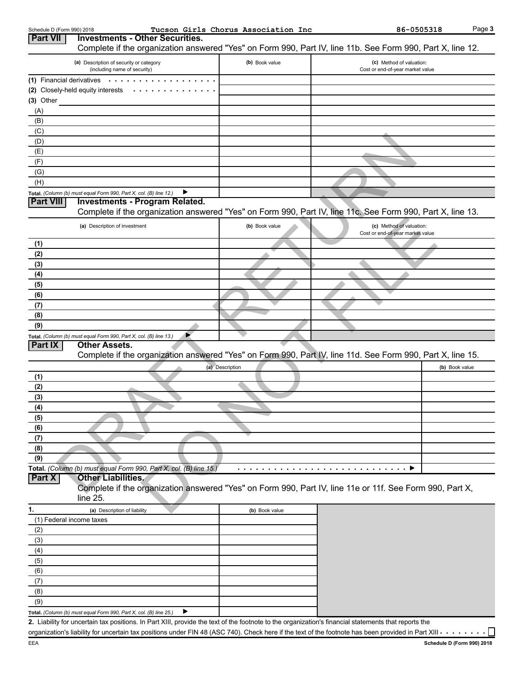| Schedule D (Form 990) 2018 |                                                                                                                                                                    | Tucson Girls Chorus Association Inc | 86-0505318                                                   | Page 3         |
|----------------------------|--------------------------------------------------------------------------------------------------------------------------------------------------------------------|-------------------------------------|--------------------------------------------------------------|----------------|
| <b>Part VII</b>            | <b>Investments - Other Securities.</b><br>Complete if the organization answered "Yes" on Form 990, Part IV, line 11b. See Form 990, Part X, line 12.               |                                     |                                                              |                |
|                            | (a) Description of security or category                                                                                                                            | (b) Book value                      | (c) Method of valuation:                                     |                |
|                            | (including name of security)                                                                                                                                       |                                     | Cost or end-of-year market value                             |                |
|                            | (1) Financial derivatives                                                                                                                                          |                                     |                                                              |                |
|                            | (2) Closely-held equity interests<br>$\sim$ 100 $\sim$                                                                                                             |                                     |                                                              |                |
| $(3)$ Other                |                                                                                                                                                                    |                                     |                                                              |                |
| (A)                        |                                                                                                                                                                    |                                     |                                                              |                |
| (B)                        |                                                                                                                                                                    |                                     |                                                              |                |
| (C)                        |                                                                                                                                                                    |                                     |                                                              |                |
| (D)                        |                                                                                                                                                                    |                                     |                                                              |                |
| (E)                        |                                                                                                                                                                    |                                     |                                                              |                |
| (F)                        |                                                                                                                                                                    |                                     |                                                              |                |
| (G)                        |                                                                                                                                                                    |                                     |                                                              |                |
| (H)                        |                                                                                                                                                                    |                                     |                                                              |                |
|                            | Total. (Column (b) must equal Form 990, Part X, col. (B) line 12.)                                                                                                 |                                     |                                                              |                |
| <b>Part VIII</b>           | <b>Investments - Program Related.</b>                                                                                                                              |                                     |                                                              |                |
|                            | Complete if the organization answered "Yes" on Form 990, Part IV, line 11c. See Form 990, Part X, line 13.                                                         |                                     |                                                              |                |
|                            | (a) Description of investment                                                                                                                                      | (b) Book value                      | (c) Method of valuation:<br>Cost or end-of-year market value |                |
| (1)                        |                                                                                                                                                                    |                                     |                                                              |                |
| (2)                        |                                                                                                                                                                    |                                     |                                                              |                |
| (3)                        |                                                                                                                                                                    |                                     |                                                              |                |
| (4)                        |                                                                                                                                                                    |                                     |                                                              |                |
| (5)                        |                                                                                                                                                                    |                                     |                                                              |                |
| (6)                        |                                                                                                                                                                    |                                     |                                                              |                |
| (7)                        |                                                                                                                                                                    |                                     |                                                              |                |
| (8)                        |                                                                                                                                                                    |                                     |                                                              |                |
| (9)                        |                                                                                                                                                                    |                                     |                                                              |                |
|                            | Total. (Column (b) must equal Form 990, Part X, col. (B) line 13.)                                                                                                 |                                     |                                                              |                |
| <b>Part IX</b>             | <b>Other Assets.</b>                                                                                                                                               |                                     |                                                              |                |
|                            | Complete if the organization answered "Yes" on Form 990, Part IV, line 11d. See Form 990, Part X, line 15.                                                         |                                     |                                                              |                |
|                            |                                                                                                                                                                    | (a) Description                     |                                                              | (b) Book value |
| (1)                        |                                                                                                                                                                    |                                     |                                                              |                |
| (2)                        |                                                                                                                                                                    |                                     |                                                              |                |
| (3)                        |                                                                                                                                                                    |                                     |                                                              |                |
| (4)                        |                                                                                                                                                                    |                                     |                                                              |                |
| (5)                        |                                                                                                                                                                    |                                     |                                                              |                |
| (6)                        |                                                                                                                                                                    |                                     |                                                              |                |
| (7)                        |                                                                                                                                                                    |                                     |                                                              |                |
| (8)                        |                                                                                                                                                                    |                                     |                                                              |                |
| (9)                        |                                                                                                                                                                    |                                     |                                                              |                |
|                            | Total. (Column (b) must equal Form 990, Part X, col. (B) line 15.)                                                                                                 |                                     |                                                              |                |
| <b>Part X</b>              | <b>Other Liabilities.</b>                                                                                                                                          |                                     |                                                              |                |
|                            | Complete if the organization answered "Yes" on Form 990, Part IV, line 11e or 11f. See Form 990, Part X,                                                           |                                     |                                                              |                |
|                            | $line 25$ .                                                                                                                                                        |                                     |                                                              |                |
| 1.                         | (a) Description of liability                                                                                                                                       | (b) Book value                      |                                                              |                |
|                            | (1) Federal income taxes                                                                                                                                           |                                     |                                                              |                |
| (2)                        |                                                                                                                                                                    |                                     |                                                              |                |
| (3)                        |                                                                                                                                                                    |                                     |                                                              |                |
| (4)                        |                                                                                                                                                                    |                                     |                                                              |                |
| (5)                        |                                                                                                                                                                    |                                     |                                                              |                |
| (6)                        |                                                                                                                                                                    |                                     |                                                              |                |
| (7)                        |                                                                                                                                                                    |                                     |                                                              |                |
| (8)                        |                                                                                                                                                                    |                                     |                                                              |                |
|                            |                                                                                                                                                                    |                                     |                                                              |                |
| (9)                        |                                                                                                                                                                    |                                     |                                                              |                |
|                            | Total. (Column (b) must equal Form 990, Part X, col. (B) line 25.)                                                                                                 |                                     |                                                              |                |
|                            | 2. Liability for uncertain tax positions. In Part XIII, provide the text of the footnote to the organization's financial statements that reports the               |                                     |                                                              |                |
|                            | organization's liability for uncertain tax positions under FIN 48 (ASC 740). Check here if the text of the footnote has been provided in Part XIII $\cdots \cdots$ |                                     |                                                              |                |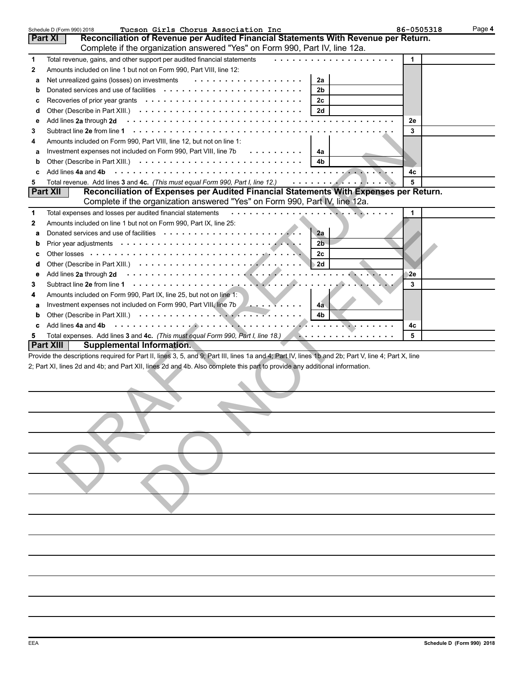|             | Tucson Girls Chorus Association Inc<br>Schedule D (Form 990) 2018                                                                                  | 86-0505318 | Page 4 |
|-------------|----------------------------------------------------------------------------------------------------------------------------------------------------|------------|--------|
|             | Reconciliation of Revenue per Audited Financial Statements With Revenue per Return.<br>Part XI                                                     |            |        |
|             | Complete if the organization answered "Yes" on Form 990, Part IV, line 12a.                                                                        |            |        |
| 1           | Total revenue, gains, and other support per audited financial statements                                                                           | 1          |        |
| 2           | Amounts included on line 1 but not on Form 990, Part VIII, line 12:                                                                                |            |        |
| a           | .<br>Net unrealized gains (losses) on investments<br>2a                                                                                            |            |        |
| b           | 2 <sub>b</sub>                                                                                                                                     |            |        |
| c           | 2c                                                                                                                                                 |            |        |
| d           | 2d                                                                                                                                                 |            |        |
| e           |                                                                                                                                                    | 2e         |        |
| 3           |                                                                                                                                                    | 3          |        |
| 4           | Amounts included on Form 990, Part VIII, line 12, but not on line 1:                                                                               |            |        |
| a           | Investment expenses not included on Form 990, Part VIII, line 7b<br>4a                                                                             |            |        |
| b           | 4b                                                                                                                                                 |            |        |
| c           | Add lines 4a and 4b                                                                                                                                | 4c         |        |
| 5           | Total revenue. Add lines 3 and 4c. (This must equal Form 990, Part I, line 12.)<br>. <i>. .</i>                                                    | 5          |        |
|             | Reconciliation of Expenses per Audited Financial Statements With Expenses per Return.<br><b>Part XII</b>                                           |            |        |
|             | Complete if the organization answered "Yes" on Form 990, Part IV, line 12a.                                                                        |            |        |
|             | .                                                                                                                                                  |            |        |
| 1           | Total expenses and losses per audited financial statements                                                                                         | 1          |        |
| 2           | Amounts included on line 1 but not on Form 990, Part IX, line 25:                                                                                  |            |        |
| a           | 2a                                                                                                                                                 |            |        |
| $\mathbf b$ | 2 <sub>b</sub>                                                                                                                                     |            |        |
| c           | 2c                                                                                                                                                 |            |        |
| d           | 2d                                                                                                                                                 |            |        |
| е           | Add lines 2a through 2d                                                                                                                            | 2e         |        |
| 3           |                                                                                                                                                    | 3          |        |
| 4           | Amounts included on Form 990, Part IX, line 25, but not on line 1:                                                                                 |            |        |
| а           | Investment expenses not included on Form 990, Part VIII, line 7b<br>4a                                                                             |            |        |
| b           | 4 <sub>b</sub>                                                                                                                                     |            |        |
| c           | Add lines 4a and 4b                                                                                                                                | 4c         |        |
| 5           |                                                                                                                                                    | 5          |        |
|             | <b>Part XIII</b><br>Supplemental Information.                                                                                                      |            |        |
|             | Provide the descriptions required for Part II, lines 3, 5, and 9; Part III, lines 1a and 4; Part IV, lines 1b and 2b; Part V, line 4; Part X, line |            |        |
|             | 2; Part XI, lines 2d and 4b; and Part XII, lines 2d and 4b. Also complete this part to provide any additional information.                         |            |        |
|             |                                                                                                                                                    |            |        |
|             |                                                                                                                                                    |            |        |
|             |                                                                                                                                                    |            |        |
|             |                                                                                                                                                    |            |        |
|             |                                                                                                                                                    |            |        |
|             |                                                                                                                                                    |            |        |
|             |                                                                                                                                                    |            |        |
|             |                                                                                                                                                    |            |        |
|             |                                                                                                                                                    |            |        |
|             |                                                                                                                                                    |            |        |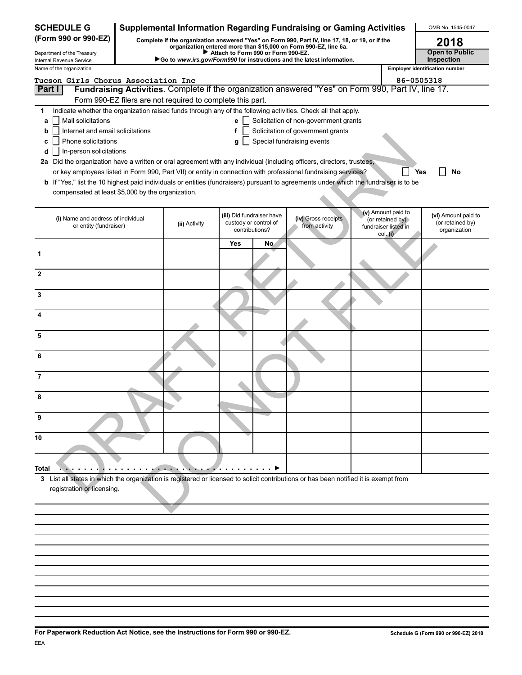| <b>SCHEDULE G</b>                                                                                                                     |                                                            |                                    |                                         | <b>Supplemental Information Regarding Fundraising or Gaming Activities</b>                                                                             |                                                                            | OMB No. 1545-0047                                       |
|---------------------------------------------------------------------------------------------------------------------------------------|------------------------------------------------------------|------------------------------------|-----------------------------------------|--------------------------------------------------------------------------------------------------------------------------------------------------------|----------------------------------------------------------------------------|---------------------------------------------------------|
| (Form 990 or 990-EZ)                                                                                                                  |                                                            |                                    |                                         | Complete if the organization answered "Yes" on Form 990, Part IV, line 17, 18, or 19, or if the                                                        |                                                                            | 2018                                                    |
| Department of the Treasury                                                                                                            |                                                            | Attach to Form 990 or Form 990-EZ. |                                         | organization entered more than \$15,000 on Form 990-EZ, line 6a.<br>Go to www.irs.gov/Form990 for instructions and the latest information.             |                                                                            | <b>Open to Public</b><br>Inspection                     |
| Internal Revenue Service<br>Name of the organization                                                                                  |                                                            |                                    |                                         |                                                                                                                                                        |                                                                            | <b>Employer identification number</b>                   |
| Tucson Girls Chorus Association Inc                                                                                                   |                                                            |                                    |                                         |                                                                                                                                                        | 86-0505318                                                                 |                                                         |
| Part I                                                                                                                                |                                                            |                                    |                                         | Fundraising Activities. Complete if the organization answered "Yes" on Form 990, Part IV, line 17.                                                     |                                                                            |                                                         |
|                                                                                                                                       | Form 990-EZ filers are not required to complete this part. |                                    |                                         |                                                                                                                                                        |                                                                            |                                                         |
| 1<br>Mail solicitations<br>a                                                                                                          |                                                            | e l                                |                                         | Indicate whether the organization raised funds through any of the following activities. Check all that apply.<br>Solicitation of non-government grants |                                                                            |                                                         |
| Internet and email solicitations<br>b                                                                                                 |                                                            | f                                  |                                         | Solicitation of government grants                                                                                                                      |                                                                            |                                                         |
| Phone solicitations<br>c                                                                                                              |                                                            | g                                  |                                         | Special fundraising events                                                                                                                             |                                                                            |                                                         |
| In-person solicitations<br>d                                                                                                          |                                                            |                                    |                                         |                                                                                                                                                        |                                                                            |                                                         |
| 2a Did the organization have a written or oral agreement with any individual (including officers, directors, trustees,                |                                                            |                                    |                                         |                                                                                                                                                        |                                                                            |                                                         |
| b If "Yes," list the 10 highest paid individuals or entities (fundraisers) pursuant to agreements under which the fundraiser is to be |                                                            |                                    |                                         | or key employees listed in Form 990, Part VII) or entity in connection with professional fundraising services?                                         | Yes                                                                        | No                                                      |
| compensated at least \$5,000 by the organization.                                                                                     |                                                            |                                    |                                         |                                                                                                                                                        |                                                                            |                                                         |
|                                                                                                                                       |                                                            |                                    |                                         |                                                                                                                                                        |                                                                            |                                                         |
| (i) Name and address of individual<br>or entity (fundraiser)                                                                          | (ii) Activity                                              | (iii) Did fundraiser have          | custody or control of<br>contributions? | (iv) Gross receipts<br>from activity                                                                                                                   | (v) Amount paid to<br>(or retained by)<br>fundraiser listed in<br>col. (i) | (vi) Amount paid to<br>(or retained by)<br>organization |
|                                                                                                                                       |                                                            | <b>Yes</b>                         | No                                      |                                                                                                                                                        |                                                                            |                                                         |
| 1                                                                                                                                     |                                                            |                                    |                                         |                                                                                                                                                        |                                                                            |                                                         |
| $\mathbf{2}$                                                                                                                          |                                                            |                                    |                                         |                                                                                                                                                        |                                                                            |                                                         |
| 3                                                                                                                                     |                                                            |                                    |                                         |                                                                                                                                                        |                                                                            |                                                         |
|                                                                                                                                       |                                                            |                                    |                                         |                                                                                                                                                        |                                                                            |                                                         |
| 5                                                                                                                                     |                                                            |                                    |                                         |                                                                                                                                                        |                                                                            |                                                         |
| 6                                                                                                                                     |                                                            |                                    |                                         |                                                                                                                                                        |                                                                            |                                                         |
| 7                                                                                                                                     |                                                            |                                    |                                         |                                                                                                                                                        |                                                                            |                                                         |
| 8                                                                                                                                     |                                                            |                                    |                                         |                                                                                                                                                        |                                                                            |                                                         |
| 9                                                                                                                                     |                                                            |                                    |                                         |                                                                                                                                                        |                                                                            |                                                         |
| 10                                                                                                                                    |                                                            |                                    |                                         |                                                                                                                                                        |                                                                            |                                                         |
| Total                                                                                                                                 |                                                            |                                    |                                         |                                                                                                                                                        |                                                                            |                                                         |
| 3 List all states in which the organization is registered or licensed to solicit contributions or has been notified it is exempt from |                                                            |                                    |                                         |                                                                                                                                                        |                                                                            |                                                         |
| registration or licensing.                                                                                                            |                                                            |                                    |                                         |                                                                                                                                                        |                                                                            |                                                         |
|                                                                                                                                       |                                                            |                                    |                                         |                                                                                                                                                        |                                                                            |                                                         |
|                                                                                                                                       |                                                            |                                    |                                         |                                                                                                                                                        |                                                                            |                                                         |
|                                                                                                                                       |                                                            |                                    |                                         |                                                                                                                                                        |                                                                            |                                                         |
|                                                                                                                                       |                                                            |                                    |                                         |                                                                                                                                                        |                                                                            |                                                         |
|                                                                                                                                       |                                                            |                                    |                                         |                                                                                                                                                        |                                                                            |                                                         |
|                                                                                                                                       |                                                            |                                    |                                         |                                                                                                                                                        |                                                                            |                                                         |
|                                                                                                                                       |                                                            |                                    |                                         |                                                                                                                                                        |                                                                            |                                                         |
|                                                                                                                                       |                                                            |                                    |                                         |                                                                                                                                                        |                                                                            |                                                         |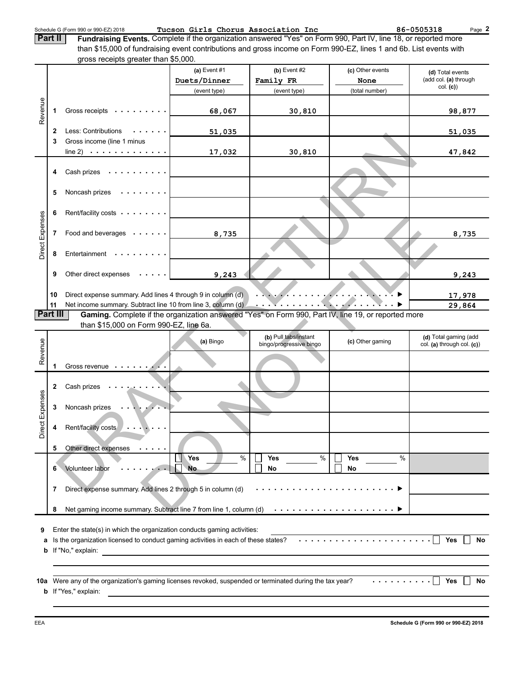Schedule G (Form 990 or 990-EZ) 2018 **Tucson Girls Chorus Association Inc** 86-0505318 Page

**2**

**Fundraising Events.** Complete if the organization answered "Yes" on Form 990, Part IV, line 18, or reported more than \$15,000 of fundraising event contributions and gross income on Form 990-EZ, lines 1 and 6b. List events with gross receipts greater than \$5,000. **Part II**

|                 |          | gross receipts greater than \$5,000.                                                                     |                                                                                                                      |                                                                         |                                                                                                                                                                       |                            |
|-----------------|----------|----------------------------------------------------------------------------------------------------------|----------------------------------------------------------------------------------------------------------------------|-------------------------------------------------------------------------|-----------------------------------------------------------------------------------------------------------------------------------------------------------------------|----------------------------|
|                 |          |                                                                                                          | (a) Event #1                                                                                                         | $(b)$ Event #2                                                          | (c) Other events                                                                                                                                                      | (d) Total events           |
|                 |          |                                                                                                          | Duets/Dinner                                                                                                         | Family FR                                                               | None                                                                                                                                                                  | (add col. (a) through      |
|                 |          |                                                                                                          | (event type)                                                                                                         | (event type)                                                            | (total number)                                                                                                                                                        | col. (c)                   |
|                 |          |                                                                                                          |                                                                                                                      |                                                                         |                                                                                                                                                                       |                            |
| Revenue         | 1        | Gross receipts                                                                                           | 68,067                                                                                                               | 30,810                                                                  |                                                                                                                                                                       | 98,877                     |
|                 |          |                                                                                                          |                                                                                                                      |                                                                         |                                                                                                                                                                       |                            |
|                 | 2        | Less: Contributions<br>.                                                                                 | 51,035                                                                                                               |                                                                         |                                                                                                                                                                       | <u>51,035</u>              |
|                 | 3        | Gross income (line 1 minus                                                                               |                                                                                                                      |                                                                         |                                                                                                                                                                       |                            |
|                 |          | line 2) $\cdots$ $\cdots$ $\cdots$ $\cdots$                                                              | 17,032                                                                                                               | 30,810                                                                  |                                                                                                                                                                       | 47,842                     |
|                 |          |                                                                                                          |                                                                                                                      |                                                                         |                                                                                                                                                                       |                            |
|                 | 4        | Cash prizes                                                                                              |                                                                                                                      |                                                                         |                                                                                                                                                                       |                            |
|                 |          |                                                                                                          |                                                                                                                      |                                                                         |                                                                                                                                                                       |                            |
|                 | 5        | Noncash prizes<br>.                                                                                      |                                                                                                                      |                                                                         |                                                                                                                                                                       |                            |
|                 |          |                                                                                                          |                                                                                                                      |                                                                         |                                                                                                                                                                       |                            |
|                 | 6        | Rent/facility costs                                                                                      |                                                                                                                      |                                                                         |                                                                                                                                                                       |                            |
|                 |          |                                                                                                          |                                                                                                                      |                                                                         |                                                                                                                                                                       |                            |
|                 | 7        | Food and beverages                                                                                       | 8,735                                                                                                                |                                                                         |                                                                                                                                                                       | 8,735                      |
| Direct Expenses |          |                                                                                                          |                                                                                                                      |                                                                         |                                                                                                                                                                       |                            |
|                 | 8        | Entertainment                                                                                            |                                                                                                                      |                                                                         |                                                                                                                                                                       |                            |
|                 |          |                                                                                                          |                                                                                                                      |                                                                         |                                                                                                                                                                       |                            |
|                 | 9        | Other direct expenses $\cdots$ .                                                                         | 9,243                                                                                                                |                                                                         |                                                                                                                                                                       | 9,243                      |
|                 |          |                                                                                                          |                                                                                                                      |                                                                         |                                                                                                                                                                       |                            |
|                 | 10       | Direct expense summary. Add lines 4 through 9 in column (d)                                              |                                                                                                                      | $\cdots$ . The contract of the contract of the contract of $\mathbb{R}$ |                                                                                                                                                                       | 17,978                     |
|                 | 11       | Net income summary. Subtract line 10 from line 3, column (d)                                             |                                                                                                                      |                                                                         |                                                                                                                                                                       | 29,864                     |
|                 | Part III | Gaming. Complete if the organization answered "Yes" on Form 990, Part IV, line 19, or reported more      |                                                                                                                      |                                                                         |                                                                                                                                                                       |                            |
|                 |          | than \$15,000 on Form 990-EZ, line 6a.                                                                   |                                                                                                                      |                                                                         |                                                                                                                                                                       |                            |
|                 |          |                                                                                                          |                                                                                                                      | (b) Pull tabs/instant                                                   |                                                                                                                                                                       |                            |
|                 |          |                                                                                                          |                                                                                                                      |                                                                         |                                                                                                                                                                       |                            |
|                 |          |                                                                                                          | (a) Bingo                                                                                                            |                                                                         | (c) Other gaming                                                                                                                                                      | (d) Total gaming (add      |
|                 |          |                                                                                                          |                                                                                                                      | bingo/progressive bingo                                                 |                                                                                                                                                                       | col. (a) through col. (c)) |
| Revenue         |          |                                                                                                          |                                                                                                                      |                                                                         |                                                                                                                                                                       |                            |
|                 | 1        | Gross revenue                                                                                            |                                                                                                                      |                                                                         |                                                                                                                                                                       |                            |
|                 |          |                                                                                                          |                                                                                                                      |                                                                         |                                                                                                                                                                       |                            |
|                 | 2        | Cash prizes                                                                                              |                                                                                                                      |                                                                         |                                                                                                                                                                       |                            |
|                 |          |                                                                                                          |                                                                                                                      |                                                                         |                                                                                                                                                                       |                            |
|                 | 3        | Noncash prizes                                                                                           |                                                                                                                      |                                                                         |                                                                                                                                                                       |                            |
|                 |          |                                                                                                          |                                                                                                                      |                                                                         |                                                                                                                                                                       |                            |
|                 | 4        | Rent/facility costs<br>$\mathbf{r} \rightarrow \mathbf{r}$ , where $\mathbf{r}$                          |                                                                                                                      |                                                                         |                                                                                                                                                                       |                            |
| Direct Expenses |          |                                                                                                          |                                                                                                                      |                                                                         |                                                                                                                                                                       |                            |
|                 | 5        | Other direct expenses<br>.                                                                               |                                                                                                                      |                                                                         |                                                                                                                                                                       |                            |
|                 |          |                                                                                                          | $\%$<br>Yes                                                                                                          | $\%$<br><b>Yes</b>                                                      | %<br>Yes                                                                                                                                                              |                            |
|                 | 6        | Volunteer labor                                                                                          | <b>No</b>                                                                                                            | No                                                                      | No                                                                                                                                                                    |                            |
|                 |          |                                                                                                          |                                                                                                                      |                                                                         |                                                                                                                                                                       |                            |
|                 | 7        | Direct expense summary. Add lines 2 through 5 in column (d)                                              |                                                                                                                      |                                                                         |                                                                                                                                                                       |                            |
|                 |          |                                                                                                          |                                                                                                                      |                                                                         |                                                                                                                                                                       |                            |
|                 | 8        |                                                                                                          |                                                                                                                      |                                                                         |                                                                                                                                                                       |                            |
|                 |          |                                                                                                          |                                                                                                                      |                                                                         |                                                                                                                                                                       |                            |
| 9               |          | Enter the state(s) in which the organization conducts gaming activities:                                 |                                                                                                                      |                                                                         |                                                                                                                                                                       |                            |
| а               |          | Is the organization licensed to conduct gaming activities in each of these states?                       |                                                                                                                      |                                                                         |                                                                                                                                                                       | <b>Yes</b><br>No           |
| b               |          | If "No," explain:                                                                                        | <u> 1989 - John Stein, mars and de Britain and de Britain and de Britain and de Britain and de Britain and de Br</u> |                                                                         |                                                                                                                                                                       |                            |
|                 |          |                                                                                                          |                                                                                                                      |                                                                         |                                                                                                                                                                       |                            |
|                 |          |                                                                                                          |                                                                                                                      |                                                                         |                                                                                                                                                                       |                            |
|                 |          | 10a Were any of the organization's gaming licenses revoked, suspended or terminated during the tax year? |                                                                                                                      |                                                                         | $\mathbf{1} \quad \mathbf{2} \quad \mathbf{3} \quad \mathbf{4} \quad \mathbf{5} \quad \mathbf{6} \quad \mathbf{7} \quad \mathbf{8} \quad \mathbf{9} \quad \mathbf{1}$ | <b>Yes</b><br>No           |
|                 |          | b If "Yes," explain:                                                                                     | <u> 1989 - Johann Barn, mars et al. (b. 1989)</u>                                                                    |                                                                         |                                                                                                                                                                       |                            |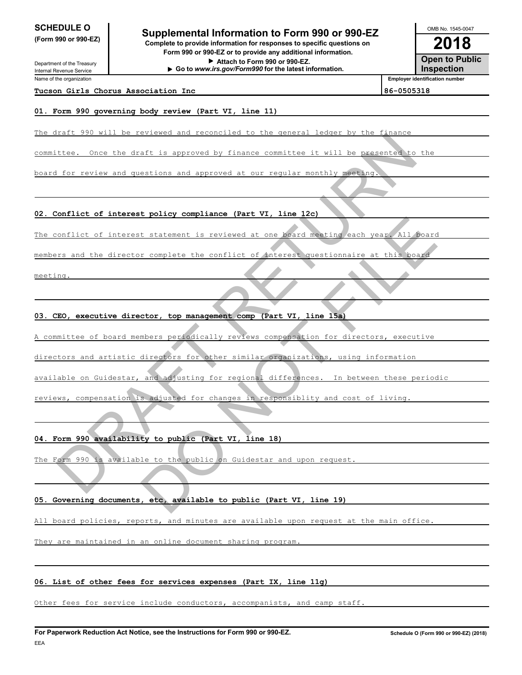Department of the Treasury Internal Revenue Service Name of the organization

## **2018 SUPPLE O** Supplemental Information to Form 990 or 990-EZ <br> **Complete to provide information for responses to specific questions on (Form 990 or 990-EZ) Complete to provide information for responses to specific questions on**

**Form 990 or 990-EZ or to provide any additional information. Attach to Form 990 or 990-EZ. Go to** *www.irs.gov/Form990* **for the latest information.**

**Open to Public Inspection Employer identification number** OMB No. 1545-0047

#### **Tucson Girls Chorus Association Inc 86-0505318**

#### **01. Form 990 governing body review (Part VI, line 11)**

The draft 990 will be reviewed and reconciled to the general ledger by the finance

committee. Once the draft is approved by finance committee it will be presented to

board for review and questions and approved at our regular monthly meeting.

**02. Conflict of interest policy compliance (Part VI, line 12c)**

The conflict of interest statement is reviewed at one board meeting each year. All board

members and the director complete the conflict of interest questionnaire at this

meeting.

**03. CEO, executive director, top management comp (Part VI, line 15a)**

A committee of board members periodically reviews compensation for directors, executive etten. Onder the draft is supremed by finance committee it will be presented to the<br>for review and questions and approved by finance committee it will be presented to the<br>conflict of interest statement is reviewed at our m It statement is reviewed at one hoard meating each year. All posts<br>
r complete the conflict of therest questionnaire at this board<br>
ctor, top management comp (Part VI, line 15.)<br>
mbers periodically reviews compensation for

directors and artistic directors for other similar organizations, using information

available on Guidestar, and adjusting for regional differences. In between these periodic

reviews, compensation is adjusted for changes in responsiblity and cost of living.

**04. Form 990 availability to public (Part VI, line 18)**

The Form 990 is available to the public on Guidestar and upon request

#### **05. Governing documents, etc, available to public (Part VI, line 19)**

All board policies, reports, and minutes are available upon request at the main office.

They are maintained in an online document sharing program.

#### **06. List of other fees for services expenses (Part IX, line 11g)**

Other fees for service include conductors, accompanists, and camp staff